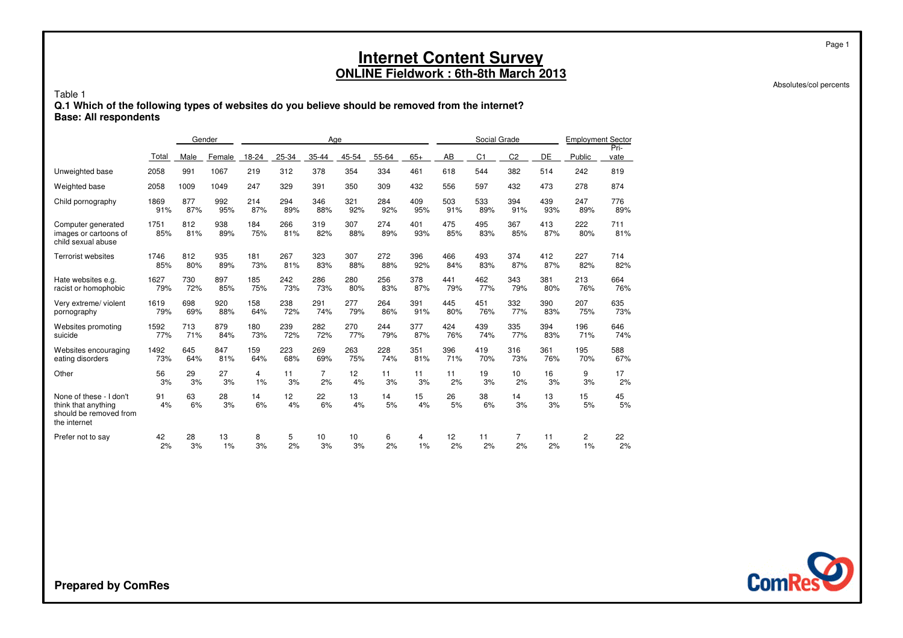Absolutes/col percents

Page 1

#### Table 1 **Q.1 Which of the following types of websites do you believe should be removed from the internet?Base: All respondents**

|                                                                                          |             | Gender     |            |            |            | Age            |            |            |            |                 | Social Grade   |                |            | <b>Employment Sector</b> |              |
|------------------------------------------------------------------------------------------|-------------|------------|------------|------------|------------|----------------|------------|------------|------------|-----------------|----------------|----------------|------------|--------------------------|--------------|
|                                                                                          | Total       | Male       | Female     | 18-24      | 25-34      | 35-44          | 45-54      | 55-64      | $65+$      | AB              | C <sub>1</sub> | C <sub>2</sub> | DE         | Public                   | Pri-<br>vate |
| Unweighted base                                                                          | 2058        | 991        | 1067       | 219        | 312        | 378            | 354        | 334        | 461        | 618             | 544            | 382            | 514        | 242                      | 819          |
| Weighted base                                                                            | 2058        | 1009       | 1049       | 247        | 329        | 391            | 350        | 309        | 432        | 556             | 597            | 432            | 473        | 278                      | 874          |
| Child pornography                                                                        | 1869        | 877        | 992        | 214        | 294        | 346            | 321        | 284        | 409        | 503             | 533            | 394            | 439        | 247                      | 776          |
|                                                                                          | 91%         | 87%        | 95%        | 87%        | 89%        | 88%            | 92%        | 92%        | 95%        | 91%             | 89%            | 91%            | 93%        | 89%                      | 89%          |
| Computer generated<br>images or cartoons of<br>child sexual abuse                        | 1751<br>85% | 812<br>81% | 938<br>89% | 184<br>75% | 266<br>81% | 319<br>82%     | 307<br>88% | 274<br>89% | 401<br>93% | 475<br>85%      | 495<br>83%     | 367<br>85%     | 413<br>87% | 222<br>80%               | 711<br>81%   |
| <b>Terrorist websites</b>                                                                | 1746        | 812        | 935        | 181        | 267        | 323            | 307        | 272        | 396        | 466             | 493            | 374            | 412        | 227                      | 714          |
|                                                                                          | 85%         | 80%        | 89%        | 73%        | 81%        | 83%            | 88%        | 88%        | 92%        | 84%             | 83%            | 87%            | 87%        | 82%                      | 82%          |
| Hate websites e.g.                                                                       | 1627        | 730        | 897        | 185        | 242        | 286            | 280        | 256        | 378        | 441             | 462            | 343            | 381        | 213                      | 664          |
| racist or homophobic                                                                     | 79%         | 72%        | 85%        | 75%        | 73%        | 73%            | 80%        | 83%        | 87%        | 79%             | 77%            | 79%            | 80%        | 76%                      | 76%          |
| Very extreme/ violent                                                                    | 1619        | 698        | 920        | 158        | 238        | 291            | 277        | 264        | 391        | 445             | 451            | 332            | 390        | 207                      | 635          |
| pornography                                                                              | 79%         | 69%        | 88%        | 64%        | 72%        | 74%            | 79%        | 86%        | 91%        | 80%             | 76%            | 77%            | 83%        | 75%                      | 73%          |
| Websites promoting                                                                       | 1592        | 713        | 879        | 180        | 239        | 282            | 270        | 244        | 377        | 424             | 439            | 335            | 394        | 196                      | 646          |
| suicide                                                                                  | 77%         | 71%        | 84%        | 73%        | 72%        | 72%            | 77%        | 79%        | 87%        | 76%             | 74%            | 77%            | 83%        | 71%                      | 74%          |
| Websites encouraging                                                                     | 1492        | 645        | 847        | 159        | 223        | 269            | 263        | 228        | 351        | 396             | 419            | 316            | 361        | 195                      | 588          |
| eating disorders                                                                         | 73%         | 64%        | 81%        | 64%        | 68%        | 69%            | 75%        | 74%        | 81%        | 71%             | 70%            | 73%            | 76%        | 70%                      | 67%          |
| Other                                                                                    | 56          | 29         | 27         | 4          | 11         | $\overline{7}$ | 12         | 11         | 11         | 11              | 19             | 10             | 16         | 9                        | 17           |
|                                                                                          | 3%          | 3%         | 3%         | 1%         | 3%         | 2%             | 4%         | 3%         | 3%         | 2%              | 3%             | 2%             | 3%         | 3%                       | 2%           |
| None of these - I don't<br>think that anything<br>should be removed from<br>the internet | 91<br>4%    | 63<br>6%   | 28<br>3%   | 14<br>6%   | 12<br>4%   | 22<br>6%       | 13<br>4%   | 14<br>5%   | 15<br>4%   | 26<br>5%        | 38<br>6%       | 14<br>3%       | 13<br>3%   | 15<br>5%                 | 45<br>5%     |
| Prefer not to say                                                                        | 42          | 28         | 13         | 8          | 5          | 10             | 10         | 6          | 4          | 12 <sup>2</sup> | 11             | 7              | 11         | 2                        | 22           |
|                                                                                          | 2%          | 3%         | 1%         | 3%         | 2%         | 3%             | 3%         | 2%         | 1%         | 2%              | 2%             | 2%             | 2%         | 1%                       | 2%           |

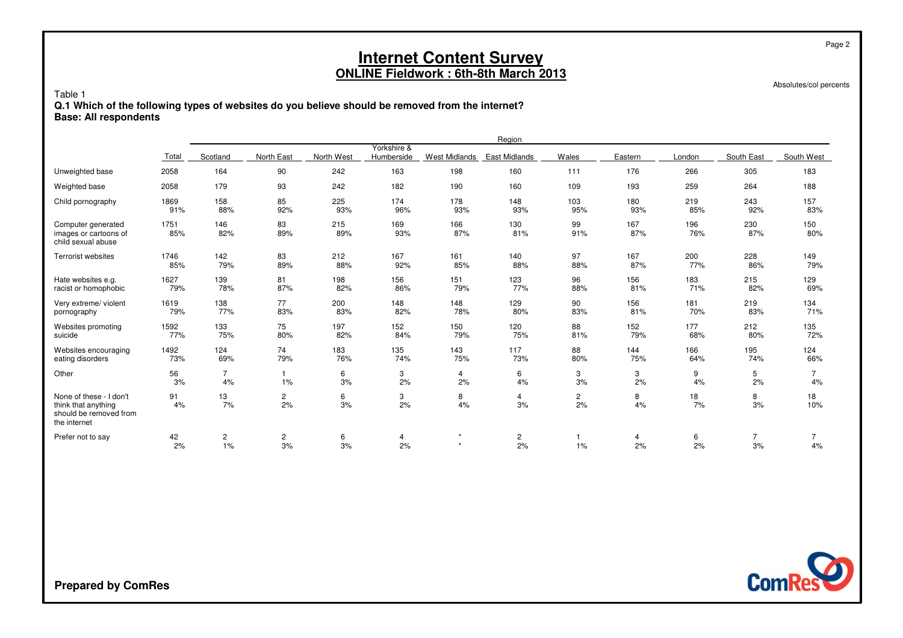Absolutes/col percents

Page 2

#### Table 1 **Q.1 Which of the following types of websites do you believe should be removed from the internet?Base: All respondents**

|                                                                                          |             |                      |                      |            |                           |                      | Region               |                      |            |            |                      |                |
|------------------------------------------------------------------------------------------|-------------|----------------------|----------------------|------------|---------------------------|----------------------|----------------------|----------------------|------------|------------|----------------------|----------------|
|                                                                                          | Total       | Scotland             | North East           | North West | Yorkshire &<br>Humberside | <b>West Midlands</b> | <b>East Midlands</b> | Wales                | Eastern    | London     | South East           | South West     |
| Unweighted base                                                                          | 2058        | 164                  | 90                   | 242        | 163                       | 198                  | 160                  | 111                  | 176        | 266        | 305                  | 183            |
| Weighted base                                                                            | 2058        | 179                  | 93                   | 242        | 182                       | 190                  | 160                  | 109                  | 193        | 259        | 264                  | 188            |
| Child pornography                                                                        | 1869        | 158                  | 85                   | 225        | 174                       | 178                  | 148                  | 103                  | 180        | 219        | 243                  | 157            |
|                                                                                          | 91%         | 88%                  | 92%                  | 93%        | 96%                       | 93%                  | 93%                  | 95%                  | 93%        | 85%        | 92%                  | 83%            |
| Computer generated<br>images or cartoons of<br>child sexual abuse                        | 1751<br>85% | 146<br>82%           | 83<br>89%            | 215<br>89% | 169<br>93%                | 166<br>87%           | 130<br>81%           | 99<br>91%            | 167<br>87% | 196<br>76% | 230<br>87%           | 150<br>80%     |
| <b>Terrorist websites</b>                                                                | 1746        | 142                  | 83                   | 212        | 167                       | 161                  | 140                  | 97                   | 167        | 200        | 228                  | 149            |
|                                                                                          | 85%         | 79%                  | 89%                  | 88%        | 92%                       | 85%                  | 88%                  | 88%                  | 87%        | 77%        | 86%                  | 79%            |
| Hate websites e.g.                                                                       | 1627        | 139                  | 81                   | 198        | 156                       | 151                  | 123                  | 96                   | 156        | 183        | 215                  | 129            |
| racist or homophobic                                                                     | 79%         | 78%                  | 87%                  | 82%        | 86%                       | 79%                  | 77%                  | 88%                  | 81%        | 71%        | 82%                  | 69%            |
| Very extreme/ violent                                                                    | 1619        | 138                  | 77                   | 200        | 148                       | 148                  | 129                  | 90                   | 156        | 181        | 219                  | 134            |
| pornography                                                                              | 79%         | 77%                  | 83%                  | 83%        | 82%                       | 78%                  | 80%                  | 83%                  | 81%        | 70%        | 83%                  | 71%            |
| Websites promoting                                                                       | 1592        | 133                  | 75                   | 197        | 152                       | 150                  | 120                  | 88                   | 152        | 177        | 212                  | 135            |
| suicide                                                                                  | 77%         | 75%                  | 80%                  | 82%        | 84%                       | 79%                  | 75%                  | 81%                  | 79%        | 68%        | 80%                  | 72%            |
| Websites encouraging                                                                     | 1492        | 124                  | 74                   | 183        | 135                       | 143                  | 117                  | 88                   | 144        | 166        | 195                  | 124            |
| eating disorders                                                                         | 73%         | 69%                  | 79%                  | 76%        | 74%                       | 75%                  | 73%                  | 80%                  | 75%        | 64%        | 74%                  | 66%            |
| Other                                                                                    | 56          | $\overline{7}$       | $\overline{1}$       | 6          | 3                         | $\overline{4}$       | 6                    | 3                    | 3          | 9          | 5                    | $\overline{7}$ |
|                                                                                          | 3%          | 4%                   | 1%                   | 3%         | 2%                        | 2%                   | 4%                   | 3%                   | 2%         | 4%         | 2%                   | 4%             |
| None of these - I don't<br>think that anything<br>should be removed from<br>the internet | 91<br>4%    | 13<br>7%             | $\overline{c}$<br>2% | 6<br>3%    | 3<br>2%                   | 8<br>4%              | 4<br>3%              | $\overline{c}$<br>2% | 8<br>4%    | 18<br>7%   | 8<br>3%              | 18<br>10%      |
| Prefer not to say                                                                        | 42<br>2%    | $\overline{c}$<br>1% | $\overline{c}$<br>3% | 6<br>3%    | 4<br>2%                   | $\star$<br>$\star$   | $\overline{c}$<br>2% | 1%                   | 4<br>2%    | 6<br>2%    | $\overline{7}$<br>3% | 4%             |

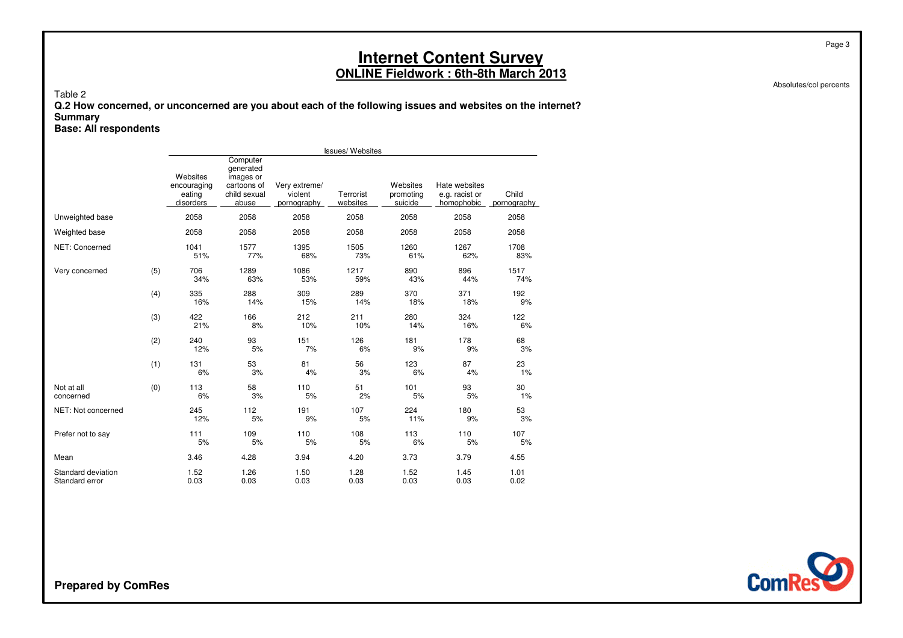Absolutes/col percents

Page 3

Table 2

 **Q.2 How concerned, or unconcerned are you about each of the following issues and websites on the internet?Summary**

**Base: All respondents**

|                                      |     |                                                |                                                                            |                                         | <b>Issues/Websites</b> |                                  |                                               |                      |
|--------------------------------------|-----|------------------------------------------------|----------------------------------------------------------------------------|-----------------------------------------|------------------------|----------------------------------|-----------------------------------------------|----------------------|
|                                      |     | Websites<br>encouraging<br>eating<br>disorders | Computer<br>generated<br>images or<br>cartoons of<br>child sexual<br>abuse | Very extreme/<br>violent<br>pornography | Terrorist<br>websites  | Websites<br>promoting<br>suicide | Hate websites<br>e.g. racist or<br>homophobic | Child<br>pornography |
| Unweighted base                      |     | 2058                                           | 2058                                                                       | 2058                                    | 2058                   | 2058                             | 2058                                          | 2058                 |
| Weighted base                        |     | 2058                                           | 2058                                                                       | 2058                                    | 2058                   | 2058                             | 2058                                          | 2058                 |
| NET: Concerned                       |     | 1041<br>51%                                    | 1577<br>77%                                                                | 1395<br>68%                             | 1505<br>73%            | 1260<br>61%                      | 1267<br>62%                                   | 1708<br>83%          |
| Very concerned                       | (5) | 706<br>34%                                     | 1289<br>63%                                                                | 1086<br>53%                             | 1217<br>59%            | 890<br>43%                       | 896<br>44%                                    | 1517<br>74%          |
|                                      | (4) | 335<br>16%                                     | 288<br>14%                                                                 | 309<br>15%                              | 289<br>14%             | 370<br>18%                       | 371<br>18%                                    | 192<br>9%            |
|                                      | (3) | 422<br>21%                                     | 166<br>8%                                                                  | 212<br>10%                              | 211<br>10%             | 280<br>14%                       | 324<br>16%                                    | 122<br>6%            |
|                                      | (2) | 240<br>12%                                     | 93<br>5%                                                                   | 151<br>7%                               | 126<br>6%              | 181<br>9%                        | 178<br>9%                                     | 68<br>3%             |
|                                      | (1) | 131<br>6%                                      | 53<br>3%                                                                   | 81<br>4%                                | 56<br>3%               | 123<br>6%                        | 87<br>4%                                      | 23<br>1%             |
| Not at all<br>concerned              | (0) | 113<br>6%                                      | 58<br>3%                                                                   | 110<br>5%                               | 51<br>2%               | 101<br>5%                        | 93<br>5%                                      | 30<br>1%             |
| NET: Not concerned                   |     | 245<br>12%                                     | 112<br>5%                                                                  | 191<br>9%                               | 107<br>5%              | 224<br>11%                       | 180<br>9%                                     | 53<br>3%             |
| Prefer not to say                    |     | 111<br>5%                                      | 109<br>5%                                                                  | 110<br>5%                               | 108<br>5%              | 113<br>6%                        | 110<br>5%                                     | 107<br>5%            |
| Mean                                 |     | 3.46                                           | 4.28                                                                       | 3.94                                    | 4.20                   | 3.73                             | 3.79                                          | 4.55                 |
| Standard deviation<br>Standard error |     | 1.52<br>0.03                                   | 1.26<br>0.03                                                               | 1.50<br>0.03                            | 1.28<br>0.03           | 1.52<br>0.03                     | 1.45<br>0.03                                  | 1.01<br>0.02         |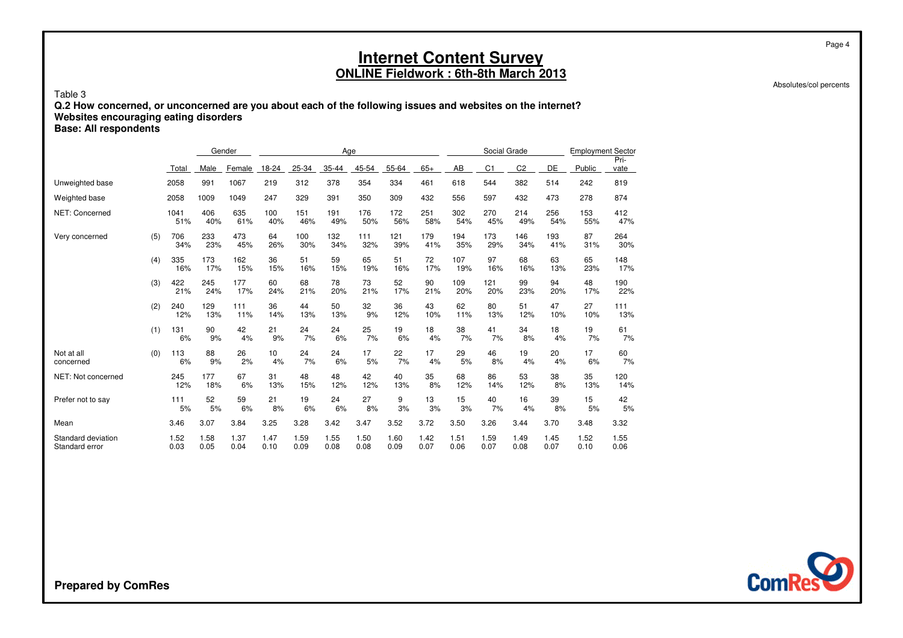Pri-

Absolutes/col percents

Page 4

#### Table 3 **Q.2 How concerned, or unconcerned are you about each of the following issues and websites on the internet?Websites encouraging eating disordersBase: All respondents**

Gender AgeSocial Grade Employment Sector Total Male<u>e Female 18-24 25-34 35-44 45-54 55-64 65+</u>  $65+$  AB <u>B C1 C2 DE Public vate</u> Unweighted base <sup>2058</sup> <sup>991</sup> <sup>1067</sup> <sup>219</sup> <sup>312</sup> <sup>378</sup> <sup>354</sup> <sup>334</sup> <sup>461</sup> <sup>618</sup> <sup>544</sup> <sup>382</sup> <sup>514</sup> <sup>242</sup> <sup>819</sup> Weighted base <sup>2058</sup> <sup>1009</sup> <sup>1049</sup> <sup>247</sup> <sup>329</sup> <sup>391</sup> <sup>350</sup> <sup>309</sup> <sup>432</sup> <sup>556</sup> <sup>597</sup> <sup>432</sup> <sup>473</sup> <sup>278</sup> <sup>874</sup> NET: Concerned <sup>1041</sup> <sup>406</sup> <sup>635</sup> <sup>100</sup> <sup>151</sup> <sup>191</sup> <sup>176</sup> <sup>172</sup> <sup>251</sup> <sup>302</sup> <sup>270</sup> <sup>214</sup> <sup>256</sup> <sup>153</sup> <sup>412</sup> 51% 40% 61% 40% 46% 49% 50% 56% 58% 54% 45% 49% 54% 55% 47% Very concerned (5) 706 <sup>233</sup> <sup>473</sup> <sup>64</sup> <sup>100</sup> <sup>132</sup> <sup>111</sup> <sup>121</sup> <sup>179</sup> <sup>194</sup> <sup>173</sup> <sup>146</sup> <sup>193</sup> <sup>87</sup> <sup>264</sup> 34% 23% 45% 26% 30% 34% 32% 39% 41% 35% 29% 34% 41% 31% 30% (4) 335 <sup>173</sup> <sup>162</sup> <sup>36</sup> <sup>51</sup> <sup>59</sup> <sup>65</sup> <sup>51</sup> <sup>72</sup> <sup>107</sup> <sup>97</sup> <sup>68</sup> <sup>63</sup> <sup>65</sup> <sup>148</sup> 16% 17% 15% 15% 16% 15% 19% 16% 17% 19% 16% 16% 13% 23% 17% (3) <sup>422</sup> <sup>245</sup> <sup>177</sup> <sup>60</sup> <sup>68</sup> <sup>78</sup> <sup>73</sup> <sup>52</sup> <sup>90</sup> <sup>109</sup> <sup>121</sup> <sup>99</sup> <sup>94</sup> <sup>48</sup> <sup>190</sup> 21% 24% 17% 24% 21% 20% 21% 17% 21% 20% 20% 23% 20% 17% 22% (2) 240 <sup>129</sup> <sup>111</sup> <sup>36</sup> <sup>44</sup> <sup>50</sup> <sup>32</sup> <sup>36</sup> <sup>43</sup> <sup>62</sup> <sup>80</sup> <sup>51</sup> <sup>47</sup> <sup>27</sup> <sup>111</sup> 12% 13% 11% 14% 13% 13% 9% 12% 10% 11% 13% 12% 10% 10% 13% (1) 131 <sup>90</sup> <sup>42</sup> <sup>21</sup> <sup>24</sup> <sup>24</sup> <sup>25</sup> <sup>19</sup> <sup>18</sup> <sup>38</sup> <sup>41</sup> <sup>34</sup> <sup>18</sup> <sup>19</sup> <sup>61</sup> 6% 9% 4% 9% 7% 6% 7% 6% 4% 7% 7% 8% 4% 7% 7% Not at all (0)113<br>6% <sup>88</sup> <sup>26</sup> <sup>10</sup> <sup>24</sup> <sup>24</sup> <sup>17</sup> <sup>22</sup> <sup>17</sup> <sup>29</sup> <sup>46</sup> <sup>19</sup> <sup>20</sup> <sup>17</sup> <sup>60</sup> concernedd 6% 9% 2% 4% 7% 6% 5% 7% 4% 5% 8% 4% 4% 6% 7% NET: Not concerned <sup>245</sup> <sup>177</sup> <sup>67</sup> <sup>31</sup> <sup>48</sup> <sup>48</sup> <sup>42</sup> <sup>40</sup> <sup>35</sup> <sup>68</sup> <sup>86</sup> <sup>53</sup> <sup>38</sup> <sup>35</sup> <sup>120</sup> 12% 18% 6% 13% 15% 12% 12% 13% 8% 12% 14% 12% 8% 13% 14% Prefer not to sayy 111 <sup>52</sup> <sup>59</sup> <sup>21</sup> <sup>19</sup> <sup>24</sup> <sup>27</sup> <sup>9</sup> <sup>13</sup> <sup>15</sup> <sup>40</sup> <sup>16</sup> <sup>39</sup> <sup>15</sup> <sup>42</sup> 5% 5% 6% 8% 6% 6% 8% 3% 3% 3% 7% 4% 8% 5% 5% Mean 3.46 3.07 3.84 3.25 3.28 3.42 3.47 3.52 3.72 3.50 3.26 3.44 3.70 3.48 3.32 Standard deviation 1.52 1.58 1.37 1.47 1.59 1.55 1.50 1.60 1.42 1.51 1.59 1.49 1.45 1.52 1.55 Standard error 0.030.05 0.04 0.10 0.09 0.08 0.08 0.09 0.07 0.06 0.07 0.08 0.07 0.10 0.06

**ComRes**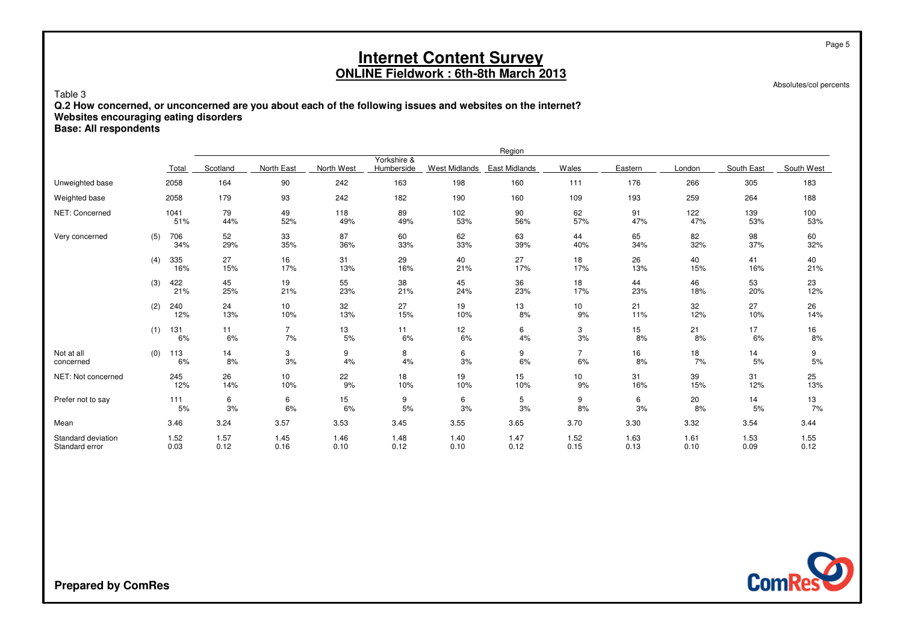Absolutes/col percents

Page 5

### Table 3 **Q.2 How concerned, or unconcerned are you about each of the following issues and websites on the internet?Websites encouraging eating disorders**

**Base: All respondents**

|                                      |     |              |              |                      |              |                           |               | Region        |                      |              |              |              |              |
|--------------------------------------|-----|--------------|--------------|----------------------|--------------|---------------------------|---------------|---------------|----------------------|--------------|--------------|--------------|--------------|
|                                      |     | Total        | Scotland     | North East           | North West   | Yorkshire &<br>Humberside | West Midlands | East Midlands | Wales                | Eastern      | London       | South East   | South West   |
| Unweighted base                      |     | 2058         | 164          | 90                   | 242          | 163                       | 198           | 160           | 111                  | 176          | 266          | 305          | 183          |
| Weighted base                        |     | 2058         | 179          | 93                   | 242          | 182                       | 190           | 160           | 109                  | 193          | 259          | 264          | 188          |
| NET: Concerned                       |     | 1041<br>51%  | 79<br>44%    | 49<br>52%            | 118<br>49%   | 89<br>49%                 | 102<br>53%    | 90<br>56%     | 62<br>57%            | 91<br>47%    | 122<br>47%   | 139<br>53%   | 100<br>53%   |
| Very concerned                       | (5) | 706<br>34%   | 52<br>29%    | 33<br>35%            | 87<br>36%    | 60<br>33%                 | 62<br>33%     | 63<br>39%     | 44<br>40%            | 65<br>34%    | 82<br>32%    | 98<br>37%    | 60<br>32%    |
|                                      | (4) | 335<br>16%   | 27<br>15%    | 16<br>17%            | 31<br>13%    | 29<br>16%                 | 40<br>21%     | 27<br>17%     | 18<br>17%            | 26<br>13%    | 40<br>15%    | 41<br>16%    | 40<br>21%    |
|                                      | (3) | 422<br>21%   | 45<br>25%    | 19<br>21%            | 55<br>23%    | 38<br>21%                 | 45<br>24%     | 36<br>23%     | 18<br>17%            | 44<br>23%    | 46<br>18%    | 53<br>20%    | 23<br>12%    |
|                                      | (2) | 240<br>12%   | 24<br>13%    | 10<br>10%            | 32<br>13%    | 27<br>15%                 | 19<br>10%     | 13<br>8%      | 10<br>9%             | 21<br>11%    | 32<br>12%    | 27<br>10%    | 26<br>14%    |
|                                      | (1) | 131<br>6%    | 11<br>6%     | $\overline{7}$<br>7% | 13<br>5%     | 11<br>6%                  | 12<br>6%      | 6<br>4%       | 3<br>3%              | 15<br>8%     | 21<br>8%     | 17<br>6%     | 16<br>8%     |
| Not at all<br>concerned              | (0) | 113<br>6%    | 14<br>8%     | 3<br>3%              | 9<br>4%      | 8<br>4%                   | 6<br>3%       | 9<br>6%       | $\overline{7}$<br>6% | 16<br>8%     | 18<br>7%     | 14<br>5%     | 9<br>5%      |
| NET: Not concerned                   |     | 245<br>12%   | 26<br>14%    | 10<br>10%            | 22<br>9%     | 18<br>10%                 | 19<br>10%     | 15<br>10%     | 10<br>9%             | 31<br>16%    | 39<br>15%    | 31<br>12%    | 25<br>13%    |
| Prefer not to say                    |     | 111<br>5%    | 6<br>3%      | 6<br>6%              | 15<br>6%     | 9<br>5%                   | 6<br>3%       | 5<br>3%       | 9<br>8%              | 6<br>3%      | 20<br>8%     | 14<br>5%     | 13<br>7%     |
| Mean                                 |     | 3.46         | 3.24         | 3.57                 | 3.53         | 3.45                      | 3.55          | 3.65          | 3.70                 | 3.30         | 3.32         | 3.54         | 3.44         |
| Standard deviation<br>Standard error |     | 1.52<br>0.03 | 1.57<br>0.12 | 1.45<br>0.16         | 1.46<br>0.10 | 1.48<br>0.12              | 1.40<br>0.10  | 1.47<br>0.12  | 1.52<br>0.15         | 1.63<br>0.13 | 1.61<br>0.10 | 1.53<br>0.09 | 1.55<br>0.12 |

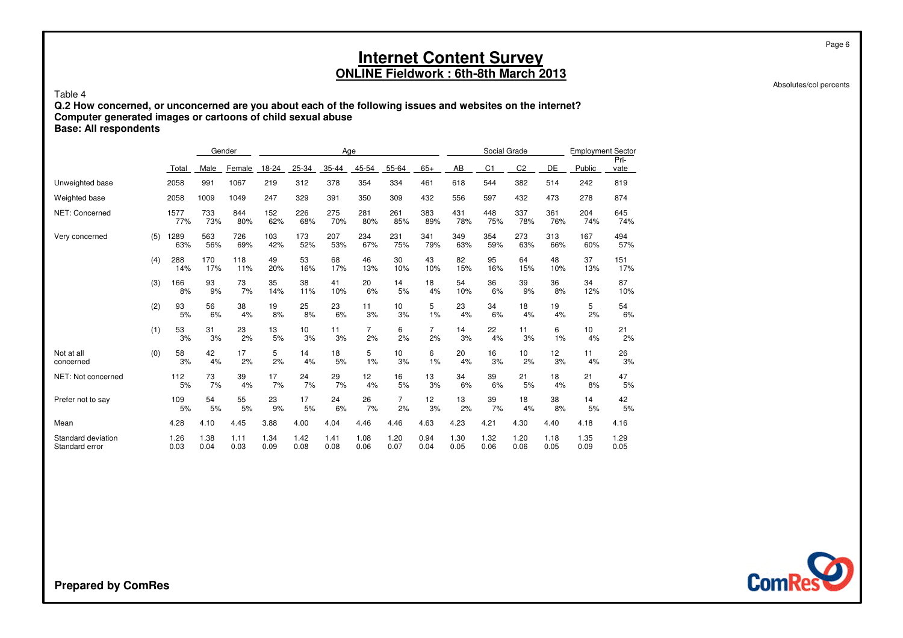Absolutes/col percents

Page 6

#### Table 4

 **Q.2 How concerned, or unconcerned are you about each of the following issues and websites on the internet?Computer generated images or cartoons of child sexual abuseBase: All respondents**

|                                      |     |              |              | Gender       |              |              | Age          |                      |                      |                      |              | Social Grade   |                |              | <b>Employment Sector</b> |              |
|--------------------------------------|-----|--------------|--------------|--------------|--------------|--------------|--------------|----------------------|----------------------|----------------------|--------------|----------------|----------------|--------------|--------------------------|--------------|
|                                      |     | Total        | Male         | Female       | 18-24        | 25-34        | 35-44        | 45-54                | 55-64                | $65+$                | AB           | C <sub>1</sub> | C <sub>2</sub> | DE           | Public                   | Pri-<br>vate |
| Unweighted base                      |     | 2058         | 991          | 1067         | 219          | 312          | 378          | 354                  | 334                  | 461                  | 618          | 544            | 382            | 514          | 242                      | 819          |
| Weighted base                        |     | 2058         | 1009         | 1049         | 247          | 329          | 391          | 350                  | 309                  | 432                  | 556          | 597            | 432            | 473          | 278                      | 874          |
| <b>NET: Concerned</b>                |     | 1577<br>77%  | 733<br>73%   | 844<br>80%   | 152<br>62%   | 226<br>68%   | 275<br>70%   | 281<br>80%           | 261<br>85%           | 383<br>89%           | 431<br>78%   | 448<br>75%     | 337<br>78%     | 361<br>76%   | 204<br>74%               | 645<br>74%   |
| Very concerned                       | (5) | 1289<br>63%  | 563<br>56%   | 726<br>69%   | 103<br>42%   | 173<br>52%   | 207<br>53%   | 234<br>67%           | 231<br>75%           | 341<br>79%           | 349<br>63%   | 354<br>59%     | 273<br>63%     | 313<br>66%   | 167<br>60%               | 494<br>57%   |
|                                      | (4) | 288<br>14%   | 170<br>17%   | 118<br>11%   | 49<br>20%    | 53<br>16%    | 68<br>17%    | 46<br>13%            | 30<br>10%            | 43<br>10%            | 82<br>15%    | 95<br>16%      | 64<br>15%      | 48<br>10%    | 37<br>13%                | 151<br>17%   |
|                                      | (3) | 166<br>8%    | 93<br>9%     | 73<br>7%     | 35<br>14%    | 38<br>11%    | 41<br>10%    | 20<br>6%             | 14<br>5%             | 18<br>4%             | 54<br>10%    | 36<br>6%       | 39<br>9%       | 36<br>8%     | 34<br>12%                | 87<br>10%    |
|                                      | (2) | 93<br>5%     | 56<br>6%     | 38<br>4%     | 19<br>8%     | 25<br>8%     | 23<br>6%     | 11<br>3%             | 10<br>3%             | 5<br>1%              | 23<br>4%     | 34<br>6%       | 18<br>4%       | 19<br>4%     | 5<br>2%                  | 54<br>6%     |
|                                      | (1) | 53<br>3%     | 31<br>3%     | 23<br>2%     | 13<br>5%     | 10<br>3%     | 11<br>3%     | $\overline{7}$<br>2% | 6<br>2%              | $\overline{7}$<br>2% | 14<br>3%     | 22<br>4%       | 11<br>3%       | 6<br>1%      | 10<br>4%                 | 21<br>2%     |
| Not at all<br>concerned              | (0) | 58<br>3%     | 42<br>4%     | 17<br>2%     | 5<br>2%      | 14<br>4%     | 18<br>5%     | 5<br>1%              | 10<br>3%             | 6<br>1%              | 20<br>4%     | 16<br>3%       | 10<br>2%       | 12<br>3%     | 11<br>4%                 | 26<br>3%     |
| NET: Not concerned                   |     | 112<br>5%    | 73<br>7%     | 39<br>4%     | 17<br>7%     | 24<br>7%     | 29<br>7%     | 12<br>4%             | 16<br>5%             | 13<br>3%             | 34<br>6%     | 39<br>6%       | 21<br>5%       | 18<br>4%     | 21<br>8%                 | 47<br>5%     |
| Prefer not to say                    |     | 109<br>5%    | 54<br>5%     | 55<br>5%     | 23<br>9%     | 17<br>5%     | 24<br>6%     | 26<br>7%             | $\overline{7}$<br>2% | 12<br>3%             | 13<br>2%     | 39<br>7%       | 18<br>4%       | 38<br>8%     | 14<br>5%                 | 42<br>5%     |
| Mean                                 |     | 4.28         | 4.10         | 4.45         | 3.88         | 4.00         | 4.04         | 4.46                 | 4.46                 | 4.63                 | 4.23         | 4.21           | 4.30           | 4.40         | 4.18                     | 4.16         |
| Standard deviation<br>Standard error |     | 1.26<br>0.03 | 1.38<br>0.04 | 1.11<br>0.03 | 1.34<br>0.09 | 1.42<br>0.08 | 1.41<br>0.08 | 1.08<br>0.06         | 1.20<br>0.07         | 0.94<br>0.04         | 1.30<br>0.05 | 1.32<br>0.06   | 1.20<br>0.06   | 1.18<br>0.05 | 1.35<br>0.09             | 1.29<br>0.05 |

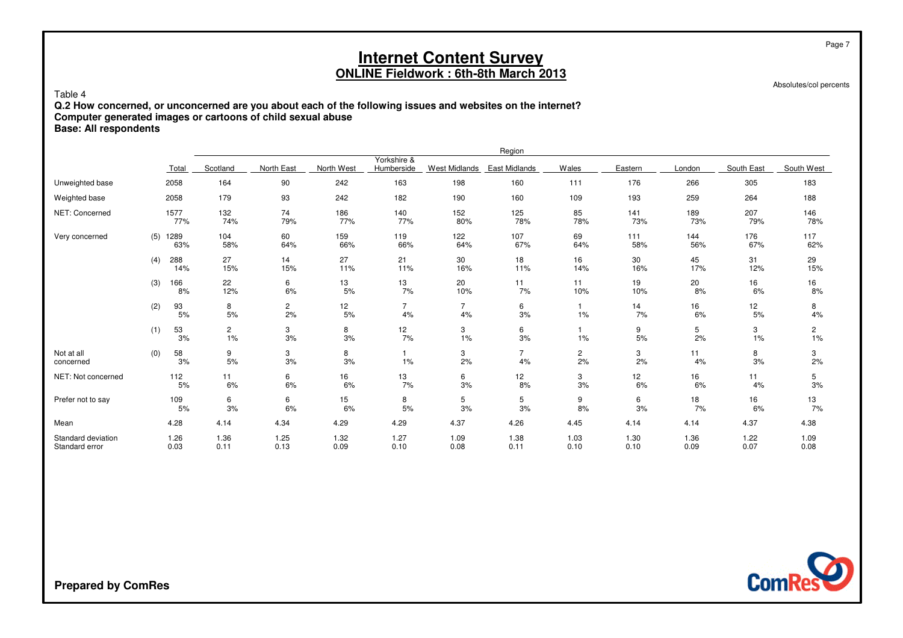Absolutes/col percents

Page 7

#### Table 4

 **Q.2 How concerned, or unconcerned are you about each of the following issues and websites on the internet?Computer generated images or cartoons of child sexual abuse**

### **Base: All respondents**

|                                      |     |              |                      |                      |              |                           |                      | Region               |                    |              |              |              |                      |
|--------------------------------------|-----|--------------|----------------------|----------------------|--------------|---------------------------|----------------------|----------------------|--------------------|--------------|--------------|--------------|----------------------|
|                                      |     | Total        | Scotland             | North East           | North West   | Yorkshire &<br>Humberside | West Midlands        | East Midlands        | Wales              | Eastern      | London       | South East   | South West           |
| Unweighted base                      |     | 2058         | 164                  | 90                   | 242          | 163                       | 198                  | 160                  | 111                | 176          | 266          | 305          | 183                  |
| Weighted base                        |     | 2058         | 179                  | 93                   | 242          | 182                       | 190                  | 160                  | 109                | 193          | 259          | 264          | 188                  |
| NET: Concerned                       |     | 1577<br>77%  | 132<br>74%           | 74<br>79%            | 186<br>77%   | 140<br>77%                | 152<br>$80\%$        | 125<br>78%           | 85<br>78%          | 141<br>73%   | 189<br>73%   | 207<br>79%   | 146<br>78%           |
| Very concerned                       | (5) | 1289<br>63%  | 104<br>58%           | 60<br>64%            | 159<br>66%   | 119<br>66%                | 122<br>64%           | 107<br>67%           | 69<br>64%          | 111<br>58%   | 144<br>56%   | 176<br>67%   | 117<br>62%           |
|                                      | (4) | 288<br>14%   | 27<br>15%            | 14<br>15%            | 27<br>11%    | 21<br>11%                 | 30<br>16%            | 18<br>11%            | 16<br>14%          | 30<br>16%    | 45<br>17%    | 31<br>12%    | 29<br>15%            |
|                                      | (3) | 166<br>8%    | 22<br>12%            | 6<br>6%              | 13<br>5%     | 13<br>7%                  | 20<br>10%            | 11<br>7%             | 11<br>10%          | 19<br>10%    | 20<br>8%     | 16<br>6%     | 16<br>8%             |
|                                      | (2) | 93<br>5%     | 8<br>$5%$            | $\overline{c}$<br>2% | 12<br>5%     | $\overline{7}$<br>4%      | $\overline{7}$<br>4% | 6<br>3%              | $\mathbf{1}$<br>1% | 14<br>7%     | 16<br>6%     | 12<br>5%     | 8<br>4%              |
|                                      | (1) | 53<br>3%     | $\overline{c}$<br>1% | 3<br>3%              | 8<br>3%      | 12<br>7%                  | 3<br>1%              | 6<br>3%              | $\mathbf 1$<br>1%  | 9<br>5%      | 5<br>2%      | 3<br>1%      | $\overline{c}$<br>1% |
| Not at all<br>concerned              | (0) | 58<br>3%     | 9<br>5%              | 3<br>3%              | 8<br>3%      | 1%                        | 3<br>2%              | $\overline{7}$<br>4% | 2<br>2%            | 3<br>2%      | 11<br>4%     | 8<br>3%      | 3<br>2%              |
| NET: Not concerned                   |     | 112<br>5%    | 11<br>6%             | 6<br>6%              | 16<br>6%     | 13<br>7%                  | 6<br>3%              | 12<br>8%             | 3<br>3%            | 12<br>6%     | 16<br>6%     | 11<br>4%     | 5<br>3%              |
| Prefer not to say                    |     | 109<br>5%    | 6<br>3%              | 6<br>6%              | 15<br>6%     | 8<br>5%                   | 5<br>3%              | 5<br>3%              | 9<br>8%            | 6<br>3%      | 18<br>7%     | 16<br>6%     | 13<br>7%             |
| Mean                                 |     | 4.28         | 4.14                 | 4.34                 | 4.29         | 4.29                      | 4.37                 | 4.26                 | 4.45               | 4.14         | 4.14         | 4.37         | 4.38                 |
| Standard deviation<br>Standard error |     | 1.26<br>0.03 | 1.36<br>0.11         | 1.25<br>0.13         | 1.32<br>0.09 | 1.27<br>0.10              | 1.09<br>0.08         | 1.38<br>0.11         | 1.03<br>0.10       | 1.30<br>0.10 | 1.36<br>0.09 | 1.22<br>0.07 | 1.09<br>0.08         |

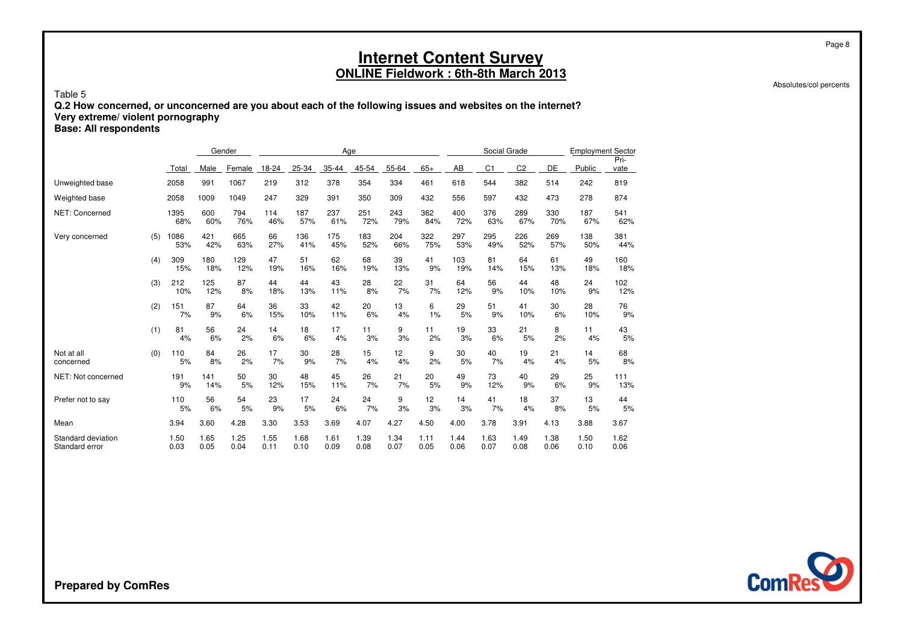Absolutes/col percents

Page 8

#### Table 5 **Q.2 How concerned, or unconcerned are you about each of the following issues and websites on the internet?Very extreme/ violent pornographyBase: All respondents**

|                                      |     |              | Gender       |              |              |              | Age          |              |              |              |              | Social Grade   |                |              | <b>Employment Sector</b> |              |
|--------------------------------------|-----|--------------|--------------|--------------|--------------|--------------|--------------|--------------|--------------|--------------|--------------|----------------|----------------|--------------|--------------------------|--------------|
|                                      |     | Total        | Male         | Female       | 18-24        | 25-34        | 35-44        | 45-54        | 55-64        | $65+$        | AB           | C <sub>1</sub> | C <sub>2</sub> | DE           | Public                   | Pri-<br>vate |
| Unweighted base                      |     | 2058         | 991          | 1067         | 219          | 312          | 378          | 354          | 334          | 461          | 618          | 544            | 382            | 514          | 242                      | 819          |
| Weighted base                        |     | 2058         | 1009         | 1049         | 247          | 329          | 391          | 350          | 309          | 432          | 556          | 597            | 432            | 473          | 278                      | 874          |
| <b>NET: Concerned</b>                |     | 1395<br>68%  | 600<br>60%   | 794<br>76%   | 114<br>46%   | 187<br>57%   | 237<br>61%   | 251<br>72%   | 243<br>79%   | 362<br>84%   | 400<br>72%   | 376<br>63%     | 289<br>67%     | 330<br>70%   | 187<br>67%               | 541<br>62%   |
| Very concerned                       | (5) | 1086<br>53%  | 421<br>42%   | 665<br>63%   | 66<br>27%    | 136<br>41%   | 175<br>45%   | 183<br>52%   | 204<br>66%   | 322<br>75%   | 297<br>53%   | 295<br>49%     | 226<br>52%     | 269<br>57%   | 138<br>50%               | 381<br>44%   |
|                                      | (4) | 309<br>15%   | 180<br>18%   | 129<br>12%   | 47<br>19%    | 51<br>16%    | 62<br>16%    | 68<br>19%    | 39<br>13%    | 41<br>9%     | 103<br>19%   | 81<br>14%      | 64<br>15%      | 61<br>13%    | 49<br>18%                | 160<br>18%   |
|                                      | (3) | 212<br>10%   | 125<br>12%   | 87<br>8%     | 44<br>18%    | 44<br>13%    | 43<br>11%    | 28<br>8%     | 22<br>7%     | 31<br>7%     | 64<br>12%    | 56<br>9%       | 44<br>10%      | 48<br>10%    | 24<br>9%                 | 102<br>12%   |
|                                      | (2) | 151<br>7%    | 87<br>9%     | 64<br>6%     | 36<br>15%    | 33<br>10%    | 42<br>11%    | 20<br>6%     | 13<br>4%     | 6<br>1%      | 29<br>5%     | 51<br>9%       | 41<br>10%      | 30<br>6%     | 28<br>10%                | 76<br>9%     |
|                                      | (1) | 81<br>4%     | 56<br>6%     | 24<br>2%     | 14<br>6%     | 18<br>6%     | 17<br>4%     | 11<br>3%     | 9<br>3%      | 11<br>2%     | 19<br>3%     | 33<br>6%       | 21<br>5%       | 8<br>2%      | 11<br>4%                 | 43<br>5%     |
| Not at all<br>concerned              | (0) | 110<br>5%    | 84<br>8%     | 26<br>2%     | 17<br>7%     | 30<br>9%     | 28<br>7%     | 15<br>4%     | 12<br>4%     | 9<br>2%      | 30<br>5%     | 40<br>7%       | 19<br>4%       | 21<br>4%     | 14<br>5%                 | 68<br>8%     |
| NET: Not concerned                   |     | 191<br>9%    | 141<br>14%   | 50<br>5%     | 30<br>12%    | 48<br>15%    | 45<br>11%    | 26<br>7%     | 21<br>7%     | 20<br>5%     | 49<br>9%     | 73<br>12%      | 40<br>9%       | 29<br>6%     | 25<br>9%                 | 111<br>13%   |
| Prefer not to say                    |     | 110<br>5%    | 56<br>6%     | 54<br>5%     | 23<br>9%     | 17<br>5%     | 24<br>6%     | 24<br>7%     | 9<br>3%      | 12<br>3%     | 14<br>3%     | 41<br>7%       | 18<br>4%       | 37<br>8%     | 13<br>5%                 | 44<br>5%     |
| Mean                                 |     | 3.94         | 3.60         | 4.28         | 3.30         | 3.53         | 3.69         | 4.07         | 4.27         | 4.50         | 4.00         | 3.78           | 3.91           | 4.13         | 3.88                     | 3.67         |
| Standard deviation<br>Standard error |     | 1.50<br>0.03 | 1.65<br>0.05 | 1.25<br>0.04 | 1.55<br>0.11 | 1.68<br>0.10 | 1.61<br>0.09 | 1.39<br>0.08 | 1.34<br>0.07 | 1.11<br>0.05 | 1.44<br>0.06 | 1.63<br>0.07   | 1.49<br>0.08   | 1.38<br>0.06 | 1.50<br>0.10             | 1.62<br>0.06 |

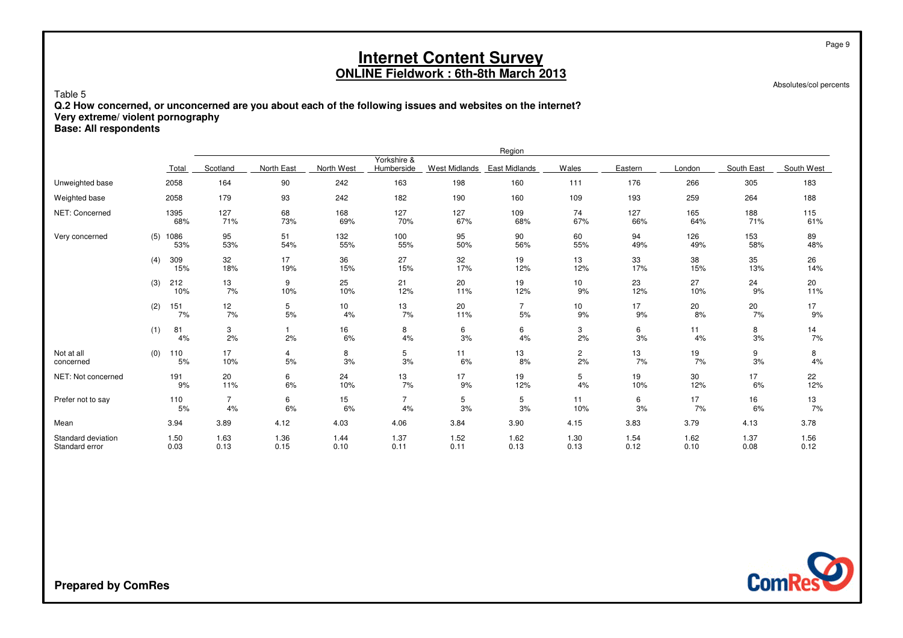Absolutes/col percents

Page 9

#### Table 5 **Q.2 How concerned, or unconcerned are you about each of the following issues and websites on the internet?Very extreme/ violent pornographyBase: All respondents**

|                                      |     |              |                      |              |              |                           |                      | Region               |                      |              |              |              |              |
|--------------------------------------|-----|--------------|----------------------|--------------|--------------|---------------------------|----------------------|----------------------|----------------------|--------------|--------------|--------------|--------------|
|                                      |     | Total        | Scotland             | North East   | North West   | Yorkshire &<br>Humberside | <b>West Midlands</b> | <b>East Midlands</b> | Wales                | Eastern      | London       | South East   | South West   |
| Unweighted base                      |     | 2058         | 164                  | 90           | 242          | 163                       | 198                  | 160                  | 111                  | 176          | 266          | 305          | 183          |
| Weighted base                        |     | 2058         | 179                  | 93           | 242          | 182                       | 190                  | 160                  | 109                  | 193          | 259          | 264          | 188          |
| NET: Concerned                       |     | 1395<br>68%  | 127<br>71%           | 68<br>73%    | 168<br>69%   | 127<br>70%                | 127<br>67%           | 109<br>68%           | 74<br>67%            | 127<br>66%   | 165<br>64%   | 188<br>71%   | 115<br>61%   |
| Very concerned                       | (5) | 1086<br>53%  | 95<br>53%            | 51<br>54%    | 132<br>55%   | 100<br>55%                | 95<br>50%            | 90<br>56%            | 60<br>55%            | 94<br>49%    | 126<br>49%   | 153<br>58%   | 89<br>48%    |
|                                      | (4) | 309<br>15%   | 32<br>18%            | 17<br>19%    | 36<br>15%    | 27<br>15%                 | 32<br>17%            | 19<br>12%            | 13<br>12%            | 33<br>17%    | 38<br>15%    | 35<br>13%    | 26<br>14%    |
|                                      | (3) | 212<br>10%   | 13<br>7%             | 9<br>10%     | 25<br>10%    | 21<br>12%                 | 20<br>11%            | 19<br>12%            | 10<br>9%             | 23<br>12%    | 27<br>10%    | 24<br>9%     | 20<br>11%    |
|                                      | (2) | 151<br>7%    | 12<br>7%             | 5<br>5%      | 10<br>4%     | 13<br>7%                  | 20<br>11%            | $\overline{7}$<br>5% | 10<br>9%             | 17<br>9%     | 20<br>8%     | 20<br>7%     | 17<br>9%     |
|                                      | (1) | 81<br>4%     | 3<br>2%              | 2%           | 16<br>6%     | 8<br>4%                   | 6<br>$3%$            | 6<br>4%              | 3<br>2%              | 6<br>3%      | 11<br>4%     | 8<br>$3%$    | 14<br>7%     |
| Not at all<br>concerned              | (0) | 110<br>5%    | 17<br>10%            | 4<br>5%      | 8<br>3%      | 5<br>$3%$                 | 11<br>6%             | 13<br>8%             | $\overline{c}$<br>2% | 13<br>7%     | 19<br>7%     | 9<br>$3%$    | 8<br>4%      |
| NET: Not concerned                   |     | 191<br>9%    | 20<br>11%            | 6<br>6%      | 24<br>10%    | 13<br>7%                  | 17<br>9%             | 19<br>12%            | 5<br>4%              | 19<br>10%    | 30<br>12%    | 17<br>6%     | 22<br>12%    |
| Prefer not to say                    |     | 110<br>5%    | $\overline{7}$<br>4% | 6<br>6%      | 15<br>6%     | $\overline{7}$<br>4%      | 5<br>3%              | 5<br>3%              | 11<br>10%            | 6<br>3%      | 17<br>7%     | 16<br>6%     | 13<br>7%     |
| Mean                                 |     | 3.94         | 3.89                 | 4.12         | 4.03         | 4.06                      | 3.84                 | 3.90                 | 4.15                 | 3.83         | 3.79         | 4.13         | 3.78         |
| Standard deviation<br>Standard error |     | 1.50<br>0.03 | 1.63<br>0.13         | 1.36<br>0.15 | 1.44<br>0.10 | 1.37<br>0.11              | 1.52<br>0.11         | 1.62<br>0.13         | 1.30<br>0.13         | 1.54<br>0.12 | 1.62<br>0.10 | 1.37<br>0.08 | 1.56<br>0.12 |

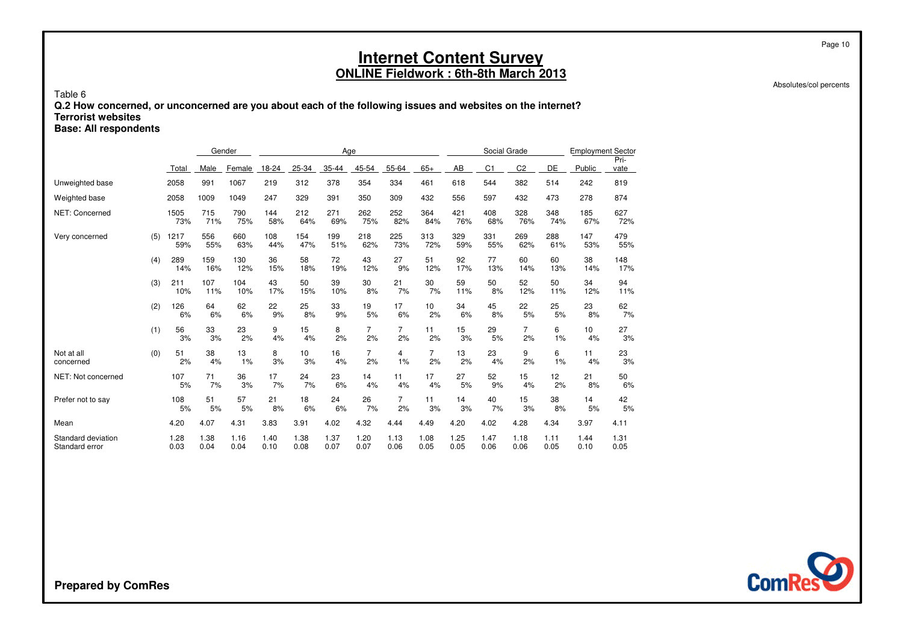Absolutes/col percents

Page 10

#### Table 6 **Q.2 How concerned, or unconcerned are you about each of the following issues and websites on the internet?Terrorist websitesBase: All respondents**

Gender AgeSocial Grade Employment Sector Pri-Total Male<u>e Female 18-24 25-34 35-44 45-54 55-64 65+</u>  $65+$  AB <u>B C1 C2 DE Public vate</u> Unweighted base <sup>2058</sup> <sup>991</sup> <sup>1067</sup> <sup>219</sup> <sup>312</sup> <sup>378</sup> <sup>354</sup> <sup>334</sup> <sup>461</sup> <sup>618</sup> <sup>544</sup> <sup>382</sup> <sup>514</sup> <sup>242</sup> <sup>819</sup> Weighted base <sup>2058</sup> <sup>1009</sup> <sup>1049</sup> <sup>247</sup> <sup>329</sup> <sup>391</sup> <sup>350</sup> <sup>309</sup> <sup>432</sup> <sup>556</sup> <sup>597</sup> <sup>432</sup> <sup>473</sup> <sup>278</sup> <sup>874</sup> NET: Concerned <sup>1505</sup> <sup>715</sup> <sup>790</sup> <sup>144</sup> <sup>212</sup> <sup>271</sup> <sup>262</sup> <sup>252</sup> <sup>364</sup> <sup>421</sup> <sup>408</sup> <sup>328</sup> <sup>348</sup> <sup>185</sup> <sup>627</sup> 73% 71% 75% 58% 64% 69% 75% 82% 84% 76% 68% 76% 74% 67% 72% Very concerned  $(5)$  1217 <sup>556</sup> <sup>660</sup> <sup>108</sup> <sup>154</sup> <sup>199</sup> <sup>218</sup> <sup>225</sup> <sup>313</sup> <sup>329</sup> <sup>331</sup> <sup>269</sup> <sup>288</sup> <sup>147</sup> <sup>479</sup> 59% 55% 63% 44% 47% 51% 62% 73% 72% 59% 55% 62% 61% 53% 55% (4) 289 <sup>159</sup> <sup>130</sup> <sup>36</sup> <sup>58</sup> <sup>72</sup> <sup>43</sup> <sup>27</sup> <sup>51</sup> <sup>92</sup> <sup>77</sup> <sup>60</sup> <sup>60</sup> <sup>38</sup> <sup>148</sup> 14% 16% 12% 15% 18% 19% 12% 9% 12% 17% 13% 14% 13% 14% 17% (3) <sup>211</sup> <sup>107</sup> <sup>104</sup> <sup>43</sup> <sup>50</sup> <sup>39</sup> <sup>30</sup> <sup>21</sup> <sup>30</sup> <sup>59</sup> <sup>50</sup> <sup>52</sup> <sup>50</sup> <sup>34</sup> <sup>94</sup> 10% 11% 10% 17% 15% 10% 8% 7% 7% 11% 8% 12% 11% 12% 11% (2) 126 <sup>64</sup> <sup>62</sup> <sup>22</sup> <sup>25</sup> <sup>33</sup> <sup>19</sup> <sup>17</sup> <sup>10</sup> <sup>34</sup> <sup>45</sup> <sup>22</sup> <sup>25</sup> <sup>23</sup> <sup>62</sup> 6% 6% 6% 9% 8% 9% 5% 6% 2% 6% 8% 5% 5% 8% 7% (1) 56 <sup>33</sup> <sup>23</sup> <sup>9</sup> <sup>15</sup> <sup>8</sup> <sup>7</sup> <sup>7</sup> <sup>11</sup> <sup>15</sup> <sup>29</sup> <sup>7</sup> <sup>6</sup> <sup>10</sup> <sup>27</sup> 3% 3% 2% 4% 4% 2% 2% 2% 2% 3% 5% 2% 1% 4% 3% Not at all (0) $\frac{51}{2\%}$  <sup>38</sup> <sup>13</sup> <sup>8</sup> <sup>10</sup> <sup>16</sup> <sup>7</sup> <sup>4</sup> <sup>7</sup> <sup>13</sup> <sup>23</sup> <sup>9</sup> <sup>6</sup> <sup>11</sup> <sup>23</sup> concerned 2% 4% 1% 3% 3% 4% 2% 1% 2% 2% 4% 2% 1% 4% 3% NET: Not concerned <sup>107</sup> <sup>71</sup> <sup>36</sup> <sup>17</sup> <sup>24</sup> <sup>23</sup> <sup>14</sup> <sup>11</sup> <sup>17</sup> <sup>27</sup> <sup>52</sup> <sup>15</sup> <sup>12</sup> <sup>21</sup> <sup>50</sup> 5% 7% 3% 7% 7% 6% 4% 4% 4% 5% 9% 4% 2% 8% 6% Prefer not to say <sup>108</sup> <sup>51</sup> <sup>57</sup> <sup>21</sup> <sup>18</sup> <sup>24</sup> <sup>26</sup> <sup>7</sup> <sup>11</sup> <sup>14</sup> <sup>40</sup> <sup>15</sup> <sup>38</sup> <sup>14</sup> <sup>42</sup> 5% 5% 5% 8% 6% 6% 7% 2% 3% 3% 7% 3% 8% 5% 5% Mean 4.20 4.07 4.31 3.83 3.91 4.02 4.32 4.44 4.49 4.20 4.02 4.28 4.34 3.97 4.11 Standard deviation 1.28 1.38 1.16 1.40 1.38 1.37 1.20 1.13 1.08 1.25 1.47 1.18 1.11 1.44 1.31 Standard error 0.030.04 0.04 0.10 0.08 0.07 0.07 0.06 0.05 0.05 0.06 0.06 0.05 0.10 0.05

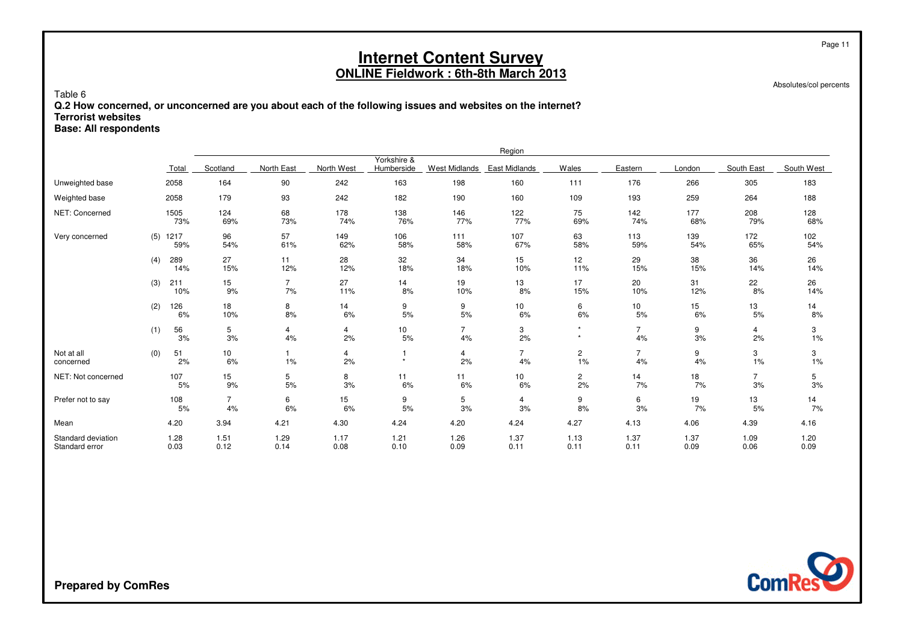Absolutes/col percents

Page 11

Table 6 **Q.2 How concerned, or unconcerned are you about each of the following issues and websites on the internet?Terrorist websitesBase: All respondents**

|                                      |     |                   |                      |                      |              |                           |                      | Region                |                      |                      |              |                      |              |
|--------------------------------------|-----|-------------------|----------------------|----------------------|--------------|---------------------------|----------------------|-----------------------|----------------------|----------------------|--------------|----------------------|--------------|
|                                      |     | Total             | Scotland             | North East           | North West   | Yorkshire &<br>Humberside | <b>West Midlands</b> | East Midlands         | Wales                | Eastern              | London       | South East           | South West   |
| Unweighted base                      |     | 2058              | 164                  | 90                   | 242          | 163                       | 198                  | 160                   | 111                  | 176                  | 266          | 305                  | 183          |
| Weighted base                        |     | 2058              | 179                  | 93                   | 242          | 182                       | 190                  | 160                   | 109                  | 193                  | 259          | 264                  | 188          |
| NET: Concerned                       |     | 1505<br>73%       | 124<br>69%           | 68<br>73%            | 178<br>74%   | 138<br>76%                | 146<br>77%           | 122<br>77%            | 75<br>69%            | 142<br>74%           | 177<br>68%   | 208<br>79%           | 128<br>68%   |
| Very concerned                       |     | $(5)$ 1217<br>59% | 96<br>54%            | 57<br>61%            | 149<br>62%   | 106<br>58%                | 111<br>58%           | 107<br>67%            | 63<br>58%            | 113<br>59%           | 139<br>54%   | 172<br>65%           | 102<br>54%   |
|                                      | (4) | 289<br>14%        | 27<br>15%            | 11<br>12%            | 28<br>12%    | 32<br>18%                 | 34<br>18%            | 15<br>10%             | 12<br>11%            | 29<br>15%            | 38<br>15%    | 36<br>14%            | 26<br>14%    |
|                                      | (3) | 211<br>10%        | 15<br>9%             | $\overline{7}$<br>7% | 27<br>11%    | 14<br>8%                  | 19<br>10%            | 13<br>8%              | 17<br>15%            | 20<br>10%            | 31<br>12%    | 22<br>8%             | 26<br>14%    |
|                                      | (2) | 126<br>6%         | 18<br>10%            | 8<br>8%              | 14<br>6%     | 9<br>5%                   | 9<br>5%              | 10 <sub>1</sub><br>6% | 6<br>6%              | 10<br>5%             | 15<br>6%     | 13<br>5%             | 14<br>8%     |
|                                      | (1) | 56<br>3%          | 5<br>3%              | 4<br>4%              | 4<br>2%      | 10<br>5%                  | $\overline{7}$<br>4% | 3<br>2%               | $\star$<br>$\star$   | $\overline{7}$<br>4% | 9<br>3%      | 4<br>2%              | 3<br>1%      |
| Not at all<br>concerned              | (0) | 51<br>2%          | 10<br>6%             | 1%                   | 4<br>2%      | $\star$                   | 4<br>2%              | $\overline{7}$<br>4%  | $\overline{c}$<br>1% | $\overline{7}$<br>4% | 9<br>4%      | 3<br>1%              | 3<br>1%      |
| NET: Not concerned                   |     | 107<br>5%         | 15<br>9%             | 5<br>5%              | 8<br>3%      | 11<br>6%                  | 11<br>6%             | 10<br>6%              | $\overline{c}$<br>2% | 14<br>7%             | 18<br>7%     | $\overline{7}$<br>3% | 5<br>3%      |
| Prefer not to say                    |     | 108<br>5%         | $\overline{7}$<br>4% | 6<br>6%              | 15<br>6%     | 9<br>5%                   | 5<br>3%              | 4<br>3%               | 9<br>8%              | 6<br>3%              | 19<br>7%     | 13<br>5%             | 14<br>7%     |
| Mean                                 |     | 4.20              | 3.94                 | 4.21                 | 4.30         | 4.24                      | 4.20                 | 4.24                  | 4.27                 | 4.13                 | 4.06         | 4.39                 | 4.16         |
| Standard deviation<br>Standard error |     | 1.28<br>0.03      | 1.51<br>0.12         | 1.29<br>0.14         | 1.17<br>0.08 | 1.21<br>0.10              | 1.26<br>0.09         | 1.37<br>0.11          | 1.13<br>0.11         | 1.37<br>0.11         | 1.37<br>0.09 | 1.09<br>0.06         | 1.20<br>0.09 |

**ComRes**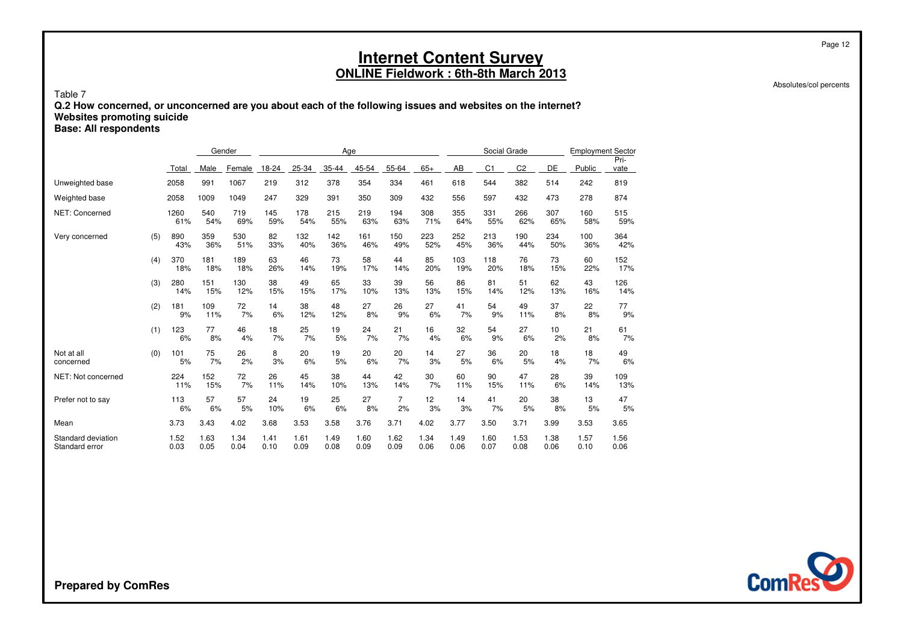Absolutes/col percents

Page 12

#### Table 7 **Q.2 How concerned, or unconcerned are you about each of the following issues and websites on the internet?Websites promoting suicideBase: All respondents**

|                                      |     |              | Gender       |              |              |              | Age          |              |                      |              |              | Social Grade   |                |              | <b>Employment Sector</b> |              |
|--------------------------------------|-----|--------------|--------------|--------------|--------------|--------------|--------------|--------------|----------------------|--------------|--------------|----------------|----------------|--------------|--------------------------|--------------|
|                                      |     | Total        | Male         | Female       | 18-24        | 25-34        | 35-44        | 45-54        | 55-64                | $65+$        | AB           | C <sub>1</sub> | C <sub>2</sub> | DE           | Public                   | Pri-<br>vate |
| Unweighted base                      |     | 2058         | 991          | 1067         | 219          | 312          | 378          | 354          | 334                  | 461          | 618          | 544            | 382            | 514          | 242                      | 819          |
| Weighted base                        |     | 2058         | 1009         | 1049         | 247          | 329          | 391          | 350          | 309                  | 432          | 556          | 597            | 432            | 473          | 278                      | 874          |
| NET: Concerned                       |     | 1260<br>61%  | 540<br>54%   | 719<br>69%   | 145<br>59%   | 178<br>54%   | 215<br>55%   | 219<br>63%   | 194<br>63%           | 308<br>71%   | 355<br>64%   | 331<br>55%     | 266<br>62%     | 307<br>65%   | 160<br>58%               | 515<br>59%   |
| Very concerned                       | (5) | 890<br>43%   | 359<br>36%   | 530<br>51%   | 82<br>33%    | 132<br>40%   | 142<br>36%   | 161<br>46%   | 150<br>49%           | 223<br>52%   | 252<br>45%   | 213<br>36%     | 190<br>44%     | 234<br>50%   | 100<br>36%               | 364<br>42%   |
|                                      | (4) | 370<br>18%   | 181<br>18%   | 189<br>18%   | 63<br>26%    | 46<br>14%    | 73<br>19%    | 58<br>17%    | 44<br>14%            | 85<br>20%    | 103<br>19%   | 118<br>20%     | 76<br>18%      | 73<br>15%    | 60<br>22%                | 152<br>17%   |
|                                      | (3) | 280<br>14%   | 151<br>15%   | 130<br>12%   | 38<br>15%    | 49<br>15%    | 65<br>17%    | 33<br>10%    | 39<br>13%            | 56<br>13%    | 86<br>15%    | 81<br>14%      | 51<br>12%      | 62<br>13%    | 43<br>16%                | 126<br>14%   |
|                                      | (2) | 181<br>9%    | 109<br>11%   | 72<br>7%     | 14<br>6%     | 38<br>12%    | 48<br>12%    | 27<br>8%     | 26<br>9%             | 27<br>6%     | 41<br>7%     | 54<br>9%       | 49<br>11%      | 37<br>8%     | 22<br>8%                 | 77<br>9%     |
|                                      | (1) | 123<br>6%    | 77<br>8%     | 46<br>4%     | 18<br>7%     | 25<br>7%     | 19<br>5%     | 24<br>7%     | 21<br>7%             | 16<br>4%     | 32<br>6%     | 54<br>9%       | 27<br>6%       | 10<br>2%     | 21<br>8%                 | 61<br>7%     |
| Not at all<br>concerned              | (0) | 101<br>5%    | 75<br>7%     | 26<br>2%     | 8<br>3%      | 20<br>6%     | 19<br>5%     | 20<br>6%     | 20<br>7%             | 14<br>3%     | 27<br>5%     | 36<br>6%       | 20<br>5%       | 18<br>4%     | 18<br>7%                 | 49<br>6%     |
| NET: Not concerned                   |     | 224<br>11%   | 152<br>15%   | 72<br>7%     | 26<br>11%    | 45<br>14%    | 38<br>10%    | 44<br>13%    | 42<br>14%            | 30<br>7%     | 60<br>11%    | 90<br>15%      | 47<br>11%      | 28<br>6%     | 39<br>14%                | 109<br>13%   |
| Prefer not to say                    |     | 113<br>6%    | 57<br>6%     | 57<br>5%     | 24<br>10%    | 19<br>6%     | 25<br>6%     | 27<br>8%     | $\overline{7}$<br>2% | 12<br>3%     | 14<br>3%     | 41<br>7%       | 20<br>5%       | 38<br>8%     | 13<br>5%                 | 47<br>5%     |
| Mean                                 |     | 3.73         | 3.43         | 4.02         | 3.68         | 3.53         | 3.58         | 3.76         | 3.71                 | 4.02         | 3.77         | 3.50           | 3.71           | 3.99         | 3.53                     | 3.65         |
| Standard deviation<br>Standard error |     | 1.52<br>0.03 | 1.63<br>0.05 | 1.34<br>0.04 | 1.41<br>0.10 | 1.61<br>0.09 | 1.49<br>0.08 | 1.60<br>0.09 | 1.62<br>0.09         | 1.34<br>0.06 | 1.49<br>0.06 | 1.60<br>0.07   | 1.53<br>0.08   | 1.38<br>0.06 | 1.57<br>0.10             | 1.56<br>0.06 |

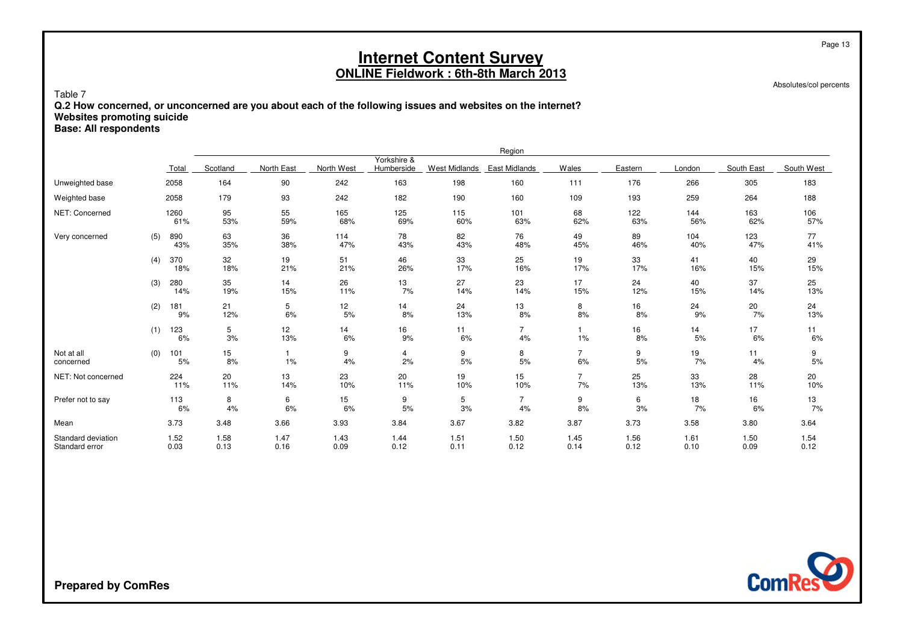Absolutes/col percents

Page 13

Table 7 **Q.2 How concerned, or unconcerned are you about each of the following issues and websites on the internet?Websites promoting suicideBase: All respondents**

|                                      |     |              |                        |              |              |                           |                      | Region               |                      |              |              |              |              |
|--------------------------------------|-----|--------------|------------------------|--------------|--------------|---------------------------|----------------------|----------------------|----------------------|--------------|--------------|--------------|--------------|
|                                      |     | Total        | Scotland               | North East   | North West   | Yorkshire &<br>Humberside | <b>West Midlands</b> | East Midlands        | Wales                | Eastern      | London       | South East   | South West   |
| Unweighted base                      |     | 2058         | 164                    | 90           | 242          | 163                       | 198                  | 160                  | 111                  | 176          | 266          | 305          | 183          |
| Weighted base                        |     | 2058         | 179                    | 93           | 242          | 182                       | 190                  | 160                  | 109                  | 193          | 259          | 264          | 188          |
| NET: Concerned                       |     | 1260<br>61%  | 95<br>53%              | 55<br>59%    | 165<br>68%   | 125<br>69%                | 115<br>60%           | 101<br>63%           | 68<br>62%            | 122<br>63%   | 144<br>56%   | 163<br>62%   | 106<br>57%   |
| Very concerned                       | (5) | 890<br>43%   | 63<br>35%              | 36<br>38%    | 114<br>47%   | 78<br>43%                 | 82<br>43%            | 76<br>48%            | 49<br>45%            | 89<br>46%    | 104<br>40%   | 123<br>47%   | 77<br>41%    |
|                                      | (4) | 370<br>18%   | 32<br>18%              | 19<br>21%    | 51<br>21%    | 46<br>26%                 | 33<br>17%            | 25<br>16%            | 19<br>17%            | 33<br>17%    | 41<br>16%    | 40<br>15%    | 29<br>15%    |
|                                      | (3) | 280<br>14%   | 35<br>19%              | 14<br>15%    | 26<br>11%    | 13<br>7%                  | 27<br>14%            | 23<br>14%            | 17<br>15%            | 24<br>12%    | 40<br>15%    | 37<br>14%    | 25<br>13%    |
|                                      | (2) | 181<br>9%    | 21<br>12%              | 5<br>6%      | 12<br>5%     | 14<br>8%                  | 24<br>13%            | 13<br>8%             | 8<br>8%              | 16<br>8%     | 24<br>9%     | 20<br>7%     | 24<br>13%    |
|                                      | (1) | 123<br>6%    | 5<br>3%                | 12<br>13%    | 14<br>6%     | 16<br>9%                  | 11<br>6%             | $\overline{7}$<br>4% | 1%                   | 16<br>8%     | 14<br>5%     | 17<br>6%     | 11<br>6%     |
| Not at all<br>concerned              | (0) | 101<br>5%    | 15 <sub>15</sub><br>8% | -1<br>1%     | 9<br>4%      | 4<br>2%                   | 9<br>$5%$            | 8<br>$5%$            | $\overline{7}$<br>6% | 9<br>5%      | 19<br>7%     | 11<br>4%     | 9<br>$5%$    |
| NET: Not concerned                   |     | 224<br>11%   | 20<br>11%              | 13<br>14%    | 23<br>10%    | 20<br>11%                 | 19<br>10%            | 15<br>10%            | $\overline{7}$<br>7% | 25<br>13%    | 33<br>13%    | 28<br>11%    | 20<br>10%    |
| Prefer not to say                    |     | 113<br>6%    | 8<br>4%                | 6<br>6%      | 15<br>6%     | 9<br>5%                   | 5<br>3%              | $\overline{7}$<br>4% | 9<br>8%              | 6<br>3%      | 18<br>7%     | 16<br>6%     | 13<br>7%     |
| Mean                                 |     | 3.73         | 3.48                   | 3.66         | 3.93         | 3.84                      | 3.67                 | 3.82                 | 3.87                 | 3.73         | 3.58         | 3.80         | 3.64         |
| Standard deviation<br>Standard error |     | 1.52<br>0.03 | 1.58<br>0.13           | 1.47<br>0.16 | 1.43<br>0.09 | 1.44<br>0.12              | 1.51<br>0.11         | 1.50<br>0.12         | 1.45<br>0.14         | 1.56<br>0.12 | 1.61<br>0.10 | 1.50<br>0.09 | 1.54<br>0.12 |

**ComRes**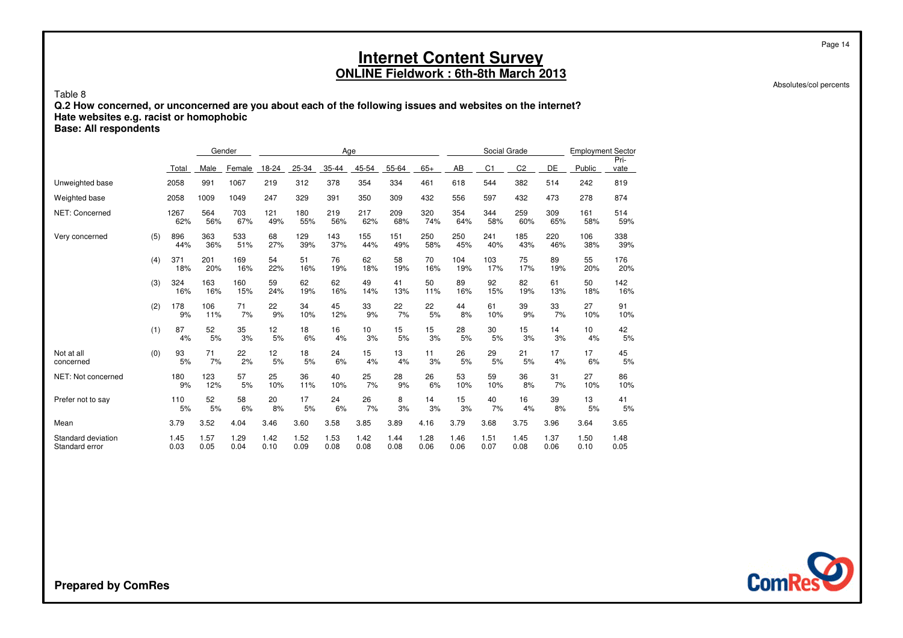Absolutes/col percents

Page 14

### Table 8 **Q.2 How concerned, or unconcerned are you about each of the following issues and websites on the internet?Hate websites e.g. racist or homophobic**

**Base: All respondents**

|                                      |     |              | Gender       |              |              |              | Age          |                       |              |              |              | Social Grade |                |              | <b>Employment Sector</b> |              |
|--------------------------------------|-----|--------------|--------------|--------------|--------------|--------------|--------------|-----------------------|--------------|--------------|--------------|--------------|----------------|--------------|--------------------------|--------------|
|                                      |     | Total        | Male         | Female       | 18-24        | 25-34        | 35-44        | 45-54                 | 55-64        | $65+$        | AB           | C1           | C <sub>2</sub> | DE           | Public                   | Pri-<br>vate |
| Unweighted base                      |     | 2058         | 991          | 1067         | 219          | 312          | 378          | 354                   | 334          | 461          | 618          | 544          | 382            | 514          | 242                      | 819          |
| Weighted base                        |     | 2058         | 1009         | 1049         | 247          | 329          | 391          | 350                   | 309          | 432          | 556          | 597          | 432            | 473          | 278                      | 874          |
| NET: Concerned                       |     | 1267<br>62%  | 564<br>56%   | 703<br>67%   | 121<br>49%   | 180<br>55%   | 219<br>56%   | 217<br>62%            | 209<br>68%   | 320<br>74%   | 354<br>64%   | 344<br>58%   | 259<br>60%     | 309<br>65%   | 161<br>58%               | 514<br>59%   |
| Very concerned                       | (5) | 896<br>44%   | 363<br>36%   | 533<br>51%   | 68<br>27%    | 129<br>39%   | 143<br>37%   | 155<br>44%            | 151<br>49%   | 250<br>58%   | 250<br>45%   | 241<br>40%   | 185<br>43%     | 220<br>46%   | 106<br>38%               | 338<br>39%   |
|                                      | (4) | 371<br>18%   | 201<br>20%   | 169<br>16%   | 54<br>22%    | 51<br>16%    | 76<br>19%    | 62<br>18%             | 58<br>19%    | 70<br>16%    | 104<br>19%   | 103<br>17%   | 75<br>17%      | 89<br>19%    | 55<br>20%                | 176<br>20%   |
|                                      | (3) | 324<br>16%   | 163<br>16%   | 160<br>15%   | 59<br>24%    | 62<br>19%    | 62<br>16%    | 49<br>14%             | 41<br>13%    | 50<br>11%    | 89<br>16%    | 92<br>15%    | 82<br>19%      | 61<br>13%    | 50<br>18%                | 142<br>16%   |
|                                      | (2) | 178<br>9%    | 106<br>11%   | 71<br>7%     | 22<br>9%     | 34<br>10%    | 45<br>12%    | 33<br>9%              | 22<br>7%     | 22<br>5%     | 44<br>8%     | 61<br>10%    | 39<br>9%       | 33<br>7%     | 27<br>10%                | 91<br>10%    |
|                                      | (1) | 87<br>4%     | 52<br>5%     | 35<br>3%     | 12<br>5%     | 18<br>6%     | 16<br>4%     | 10 <sup>1</sup><br>3% | 15<br>5%     | 15<br>3%     | 28<br>5%     | 30<br>5%     | 15<br>3%       | 14<br>3%     | 10 <sup>10</sup><br>4%   | 42<br>5%     |
| Not at all<br>concerned              | (0) | 93<br>5%     | 71<br>7%     | 22<br>2%     | 12<br>5%     | 18<br>5%     | 24<br>6%     | 15<br>4%              | 13<br>4%     | 11<br>3%     | 26<br>5%     | 29<br>5%     | 21<br>5%       | 17<br>4%     | 17<br>6%                 | 45<br>5%     |
| NET: Not concerned                   |     | 180<br>9%    | 123<br>12%   | 57<br>5%     | 25<br>10%    | 36<br>11%    | 40<br>10%    | 25<br>7%              | 28<br>9%     | 26<br>6%     | 53<br>10%    | 59<br>10%    | 36<br>8%       | 31<br>7%     | 27<br>10%                | 86<br>10%    |
| Prefer not to say                    |     | 110<br>5%    | 52<br>5%     | 58<br>6%     | 20<br>8%     | 17<br>5%     | 24<br>6%     | 26<br>7%              | 8<br>3%      | 14<br>3%     | 15<br>3%     | 40<br>7%     | 16<br>4%       | 39<br>8%     | 13<br>5%                 | 41<br>5%     |
| Mean                                 |     | 3.79         | 3.52         | 4.04         | 3.46         | 3.60         | 3.58         | 3.85                  | 3.89         | 4.16         | 3.79         | 3.68         | 3.75           | 3.96         | 3.64                     | 3.65         |
| Standard deviation<br>Standard error |     | 1.45<br>0.03 | 1.57<br>0.05 | 1.29<br>0.04 | 1.42<br>0.10 | 1.52<br>0.09 | 1.53<br>0.08 | 1.42<br>0.08          | 1.44<br>0.08 | 1.28<br>0.06 | 1.46<br>0.06 | 1.51<br>0.07 | 1.45<br>0.08   | 1.37<br>0.06 | 1.50<br>0.10             | 1.48<br>0.05 |

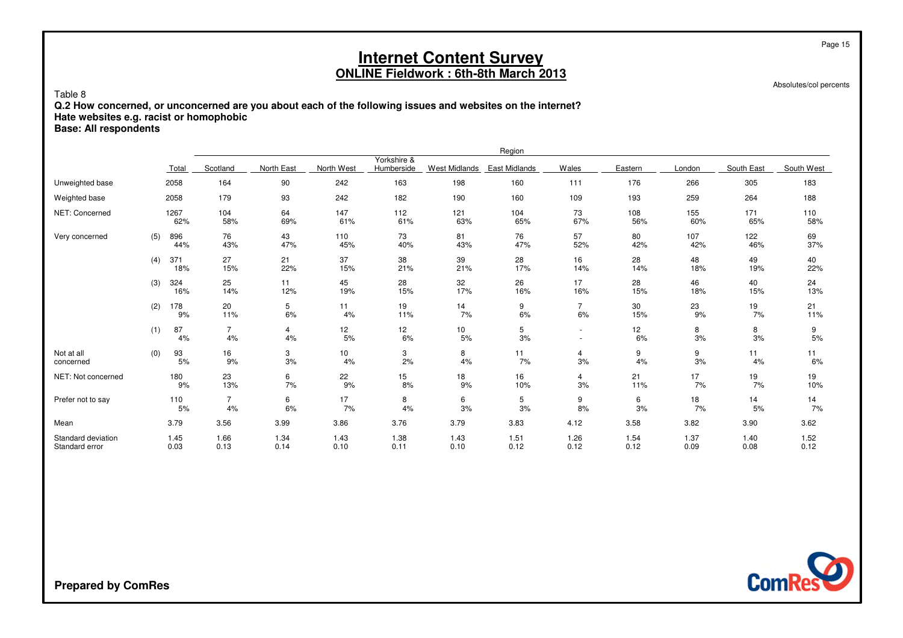Absolutes/col percents

Page 15

### Table 8 **Q.2 How concerned, or unconcerned are you about each of the following issues and websites on the internet?Hate websites e.g. racist or homophobic**

**Base: All respondents**

|                                      |     |              |                      |              |              |                           |                      | Region               |                                                      |              |              |              |              |
|--------------------------------------|-----|--------------|----------------------|--------------|--------------|---------------------------|----------------------|----------------------|------------------------------------------------------|--------------|--------------|--------------|--------------|
|                                      |     | Total        | Scotland             | North East   | North West   | Yorkshire &<br>Humberside | <b>West Midlands</b> | <b>East Midlands</b> | Wales                                                | Eastern      | London       | South East   | South West   |
| Unweighted base                      |     | 2058         | 164                  | 90           | 242          | 163                       | 198                  | 160                  | 111                                                  | 176          | 266          | 305          | 183          |
| Weighted base                        |     | 2058         | 179                  | 93           | 242          | 182                       | 190                  | 160                  | 109                                                  | 193          | 259          | 264          | 188          |
| NET: Concerned                       |     | 1267<br>62%  | 104<br>58%           | 64<br>69%    | 147<br>61%   | 112<br>61%                | 121<br>63%           | 104<br>65%           | 73<br>67%                                            | 108<br>56%   | 155<br>60%   | 171<br>65%   | 110<br>58%   |
| Very concerned                       | (5) | 896<br>44%   | 76<br>43%            | 43<br>47%    | 110<br>45%   | 73<br>40%                 | 81<br>43%            | 76<br>47%            | 57<br>52%                                            | 80<br>42%    | 107<br>42%   | 122<br>46%   | 69<br>37%    |
|                                      | (4) | 371<br>18%   | 27<br>15%            | 21<br>22%    | 37<br>15%    | 38<br>21%                 | 39<br>21%            | 28<br>17%            | 16<br>14%                                            | 28<br>14%    | 48<br>18%    | 49<br>19%    | 40<br>22%    |
|                                      | (3) | 324<br>16%   | 25<br>14%            | 11<br>12%    | 45<br>19%    | 28<br>15%                 | 32<br>17%            | 26<br>16%            | 17<br>16%                                            | 28<br>15%    | 46<br>18%    | 40<br>15%    | 24<br>13%    |
|                                      | (2) | 178<br>9%    | 20<br>11%            | 5<br>6%      | 11<br>4%     | 19<br>11%                 | 14<br>7%             | 9<br>6%              | $\overline{7}$<br>6%                                 | 30<br>15%    | 23<br>9%     | 19<br>7%     | 21<br>11%    |
|                                      | (1) | 87<br>4%     | $\overline{7}$<br>4% | 4<br>4%      | 12<br>5%     | 12 <sub>2</sub><br>6%     | 10<br>5%             | 5<br>3%              | $\overline{\phantom{a}}$<br>$\overline{\phantom{a}}$ | 12<br>6%     | 8<br>3%      | 8<br>3%      | 9<br>5%      |
| Not at all<br>concerned              | (0) | 93<br>5%     | 16<br>9%             | 3<br>3%      | 10<br>4%     | 3<br>2%                   | 8<br>4%              | 11<br>7%             | 4<br>3%                                              | 9<br>4%      | 9<br>3%      | 11<br>4%     | 11<br>6%     |
| NET: Not concerned                   |     | 180<br>9%    | 23<br>13%            | 6<br>7%      | 22<br>9%     | 15 <sub>15</sub><br>8%    | 18<br>9%             | 16<br>10%            | 4<br>3%                                              | 21<br>11%    | 17<br>7%     | 19<br>7%     | 19<br>10%    |
| Prefer not to say                    |     | 110<br>5%    | $\overline{7}$<br>4% | 6<br>6%      | 17<br>7%     | 8<br>4%                   | 6<br>3%              | 5<br>3%              | 9<br>8%                                              | 6<br>3%      | 18<br>7%     | 14<br>5%     | 14<br>7%     |
| Mean                                 |     | 3.79         | 3.56                 | 3.99         | 3.86         | 3.76                      | 3.79                 | 3.83                 | 4.12                                                 | 3.58         | 3.82         | 3.90         | 3.62         |
| Standard deviation<br>Standard error |     | 1.45<br>0.03 | 1.66<br>0.13         | 1.34<br>0.14 | 1.43<br>0.10 | 1.38<br>0.11              | 1.43<br>0.10         | 1.51<br>0.12         | 1.26<br>0.12                                         | 1.54<br>0.12 | 1.37<br>0.09 | 1.40<br>0.08 | 1.52<br>0.12 |

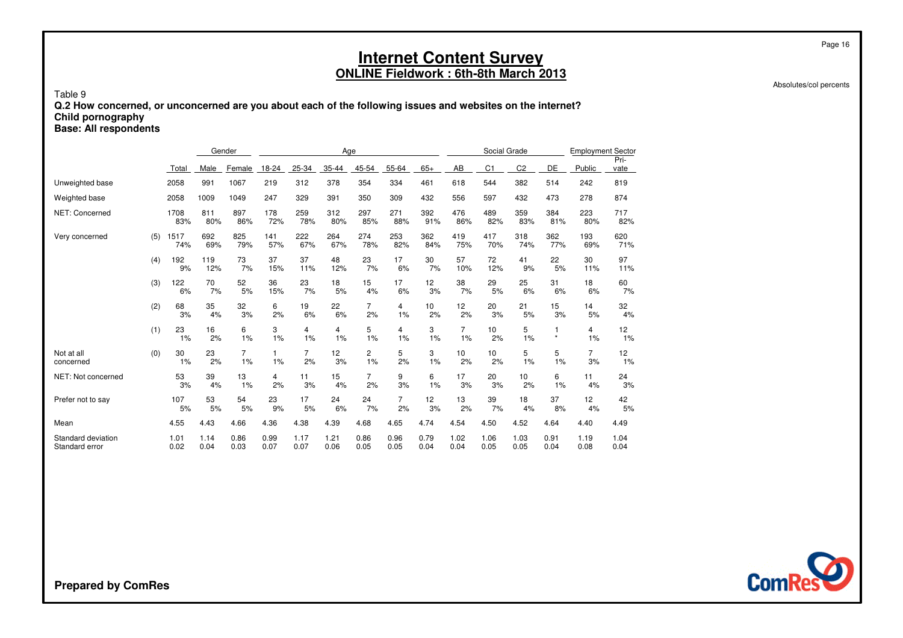Absolutes/col percents

Page 16

Table 9 **Q.2 How concerned, or unconcerned are you about each of the following issues and websites on the internet?Child pornographyBase: All respondents**

|                                      |     |              | Gender       |                      |                    |                      | Age          |                      |                      |              |                      | Social Grade   |                |              | <b>Employment Sector</b> |              |
|--------------------------------------|-----|--------------|--------------|----------------------|--------------------|----------------------|--------------|----------------------|----------------------|--------------|----------------------|----------------|----------------|--------------|--------------------------|--------------|
|                                      |     | Total        | Male         | Female               | 18-24              | 25-34                | 35-44        | 45-54                | 55-64                | $65+$        | AB                   | C <sub>1</sub> | C <sub>2</sub> | DE           | Public                   | Pri-<br>vate |
| Unweighted base                      |     | 2058         | 991          | 1067                 | 219                | 312                  | 378          | 354                  | 334                  | 461          | 618                  | 544            | 382            | 514          | 242                      | 819          |
| Weighted base                        |     | 2058         | 1009         | 1049                 | 247                | 329                  | 391          | 350                  | 309                  | 432          | 556                  | 597            | 432            | 473          | 278                      | 874          |
| NET: Concerned                       |     | 1708<br>83%  | 811<br>80%   | 897<br>86%           | 178<br>72%         | 259<br>78%           | 312<br>80%   | 297<br>85%           | 271<br>88%           | 392<br>91%   | 476<br>86%           | 489<br>82%     | 359<br>83%     | 384<br>81%   | 223<br>80%               | 717<br>82%   |
| Very concerned                       | (5) | 1517<br>74%  | 692<br>69%   | 825<br>79%           | 141<br>57%         | 222<br>67%           | 264<br>67%   | 274<br>78%           | 253<br>82%           | 362<br>84%   | 419<br>75%           | 417<br>70%     | 318<br>74%     | 362<br>77%   | 193<br>69%               | 620<br>71%   |
|                                      | (4) | 192<br>9%    | 119<br>12%   | 73<br>7%             | 37<br>15%          | 37<br>11%            | 48<br>12%    | 23<br>7%             | 17<br>6%             | 30<br>7%     | 57<br>10%            | 72<br>12%      | 41<br>9%       | 22<br>5%     | 30<br>11%                | 97<br>11%    |
|                                      | (3) | 122<br>6%    | 70<br>7%     | 52<br>5%             | 36<br>15%          | 23<br>7%             | 18<br>5%     | 15<br>4%             | 17<br>6%             | 12<br>3%     | 38<br>7%             | 29<br>5%       | 25<br>6%       | 31<br>6%     | 18<br>6%                 | 60<br>7%     |
|                                      | (2) | 68<br>3%     | 35<br>4%     | 32<br>3%             | 6<br>2%            | 19<br>6%             | 22<br>6%     | $\overline{7}$<br>2% | 4<br>1%              | 10<br>2%     | 12<br>2%             | 20<br>3%       | 21<br>5%       | 15<br>3%     | 14<br>5%                 | 32<br>4%     |
|                                      | (1) | 23<br>1%     | 16<br>2%     | 6<br>1%              | 3<br>1%            | 4<br>1%              | 4<br>1%      | 5<br>1%              | 4<br>1%              | 3<br>1%      | $\overline{7}$<br>1% | 10<br>2%       | 5<br>1%        | $\star$      | 4<br>1%                  | 12<br>1%     |
| Not at all<br>concerned              | (0) | 30<br>1%     | 23<br>2%     | $\overline{7}$<br>1% | $\mathbf{1}$<br>1% | $\overline{7}$<br>2% | 12<br>3%     | 2<br>1%              | 5<br>2%              | 3<br>1%      | 10<br>2%             | 10<br>2%       | 5<br>1%        | 5<br>1%      | $\overline{7}$<br>3%     | 12<br>1%     |
| NET: Not concerned                   |     | 53<br>3%     | 39<br>4%     | 13<br>1%             | 4<br>2%            | 11<br>3%             | 15<br>4%     | $\overline{7}$<br>2% | 9<br>3%              | 6<br>1%      | 17<br>3%             | 20<br>3%       | 10<br>2%       | 6<br>1%      | 11<br>4%                 | 24<br>3%     |
| Prefer not to say                    |     | 107<br>5%    | 53<br>5%     | 54<br>5%             | 23<br>9%           | 17<br>5%             | 24<br>6%     | 24<br>7%             | $\overline{7}$<br>2% | 12<br>3%     | 13<br>2%             | 39<br>7%       | 18<br>4%       | 37<br>8%     | 12<br>4%                 | 42<br>5%     |
| Mean                                 |     | 4.55         | 4.43         | 4.66                 | 4.36               | 4.38                 | 4.39         | 4.68                 | 4.65                 | 4.74         | 4.54                 | 4.50           | 4.52           | 4.64         | 4.40                     | 4.49         |
| Standard deviation<br>Standard error |     | 1.01<br>0.02 | 1.14<br>0.04 | 0.86<br>0.03         | 0.99<br>0.07       | 1.17<br>0.07         | 1.21<br>0.06 | 0.86<br>0.05         | 0.96<br>0.05         | 0.79<br>0.04 | 1.02<br>0.04         | 1.06<br>0.05   | 1.03<br>0.05   | 0.91<br>0.04 | 1.19<br>0.08             | 1.04<br>0.04 |

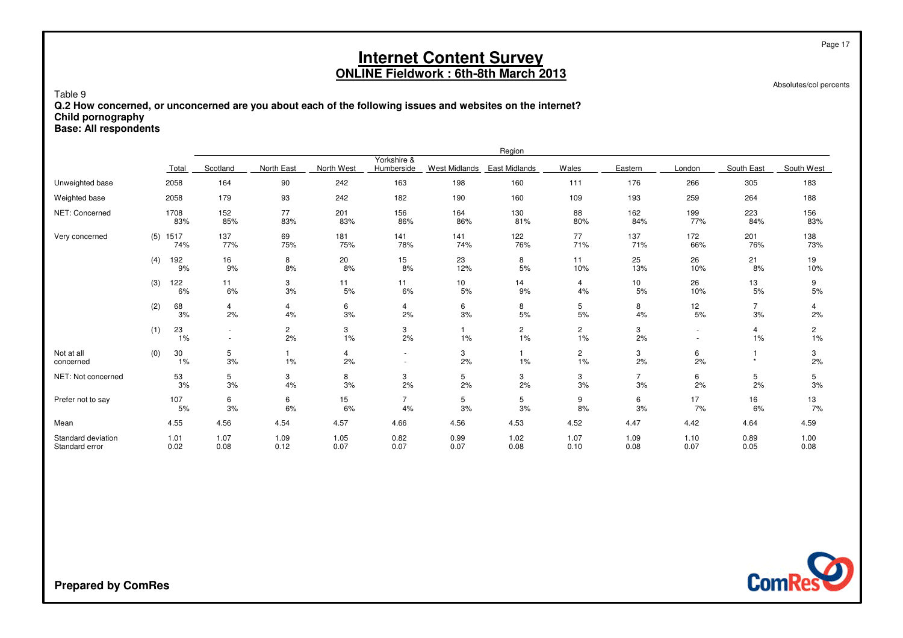Absolutes/col percents

Page 17

Table 9 **Q.2 How concerned, or unconcerned are you about each of the following issues and websites on the internet?Child pornographyBase: All respondents**

|                                      |            |              |                  |              |              |                           |                      | Region               |                      |                      |              |                      |                      |
|--------------------------------------|------------|--------------|------------------|--------------|--------------|---------------------------|----------------------|----------------------|----------------------|----------------------|--------------|----------------------|----------------------|
|                                      |            | Total        | Scotland         | North East   | North West   | Yorkshire &<br>Humberside | <b>West Midlands</b> | East Midlands        | Wales                | Eastern              | London       | South East           | South West           |
| Unweighted base                      |            | 2058         | 164              | 90           | 242          | 163                       | 198                  | 160                  | 111                  | 176                  | 266          | 305                  | 183                  |
| Weighted base                        |            | 2058         | 179              | 93           | 242          | 182                       | 190                  | 160                  | 109                  | 193                  | 259          | 264                  | 188                  |
| NET: Concerned                       |            | 1708<br>83%  | 152<br>85%       | 77<br>83%    | 201<br>83%   | 156<br>86%                | 164<br>86%           | 130<br>81%           | 88<br>80%            | 162<br>84%           | 199<br>77%   | 223<br>84%           | 156<br>83%           |
| Very concerned                       | $(5)$ 1517 | 74%          | 137<br>77%       | 69<br>75%    | 181<br>75%   | 141<br>78%                | 141<br>74%           | 122<br>76%           | 77<br>71%            | 137<br>71%           | 172<br>66%   | 201<br>76%           | 138<br>73%           |
|                                      | (4)        | 192<br>9%    | 16<br>9%         | 8<br>8%      | 20<br>8%     | 15<br>8%                  | 23<br>12%            | 8<br>5%              | 11<br>10%            | 25<br>13%            | 26<br>10%    | 21<br>8%             | 19<br>10%            |
|                                      | (3)        | 122<br>6%    | 11<br>6%         | 3<br>3%      | 11<br>5%     | 11<br>6%                  | 10<br>5%             | 14<br>9%             | 4<br>4%              | 10<br>5%             | 26<br>10%    | 13<br>5%             | 9<br>5%              |
|                                      | (2)        | 68<br>3%     | 4<br>2%          | 4<br>4%      | 6<br>3%      | 4<br>2%                   | 6<br>3%              | 8<br>5%              | 5<br>5%              | 8<br>4%              | 12<br>5%     | $\overline{7}$<br>3% | 4<br>2%              |
|                                      | (1)        | 23<br>1%     | $\sim$<br>$\sim$ | $2\over 2\%$ | 3<br>1%      | 3<br>2%                   | 1%                   | $\overline{c}$<br>1% | $\overline{c}$<br>1% | 3<br>2%              |              | 4<br>1%              | $\overline{c}$<br>1% |
| Not at all<br>concerned              | (0)        | 30<br>1%     | 5<br>3%          | 1%           | 4<br>2%      | ٠<br>٠                    | 3<br>2%              | 1%                   | $\overline{c}$<br>1% | 3<br>2%              | 6<br>2%      | $\star$              | 3<br>2%              |
| NET: Not concerned                   |            | 53<br>3%     | 5<br>3%          | 3<br>4%      | 8<br>3%      | 3<br>2%                   | 5<br>2%              | 3<br>2%              | 3<br>3%              | $\overline{7}$<br>3% | 6<br>2%      | 5<br>2%              | 5<br>3%              |
| Prefer not to say                    |            | 107<br>5%    | 6<br>3%          | 6<br>6%      | 15<br>6%     | $\overline{7}$<br>4%      | 5<br>3%              | 5<br>3%              | 9<br>8%              | 6<br>3%              | 17<br>7%     | 16<br>6%             | 13<br>7%             |
| Mean                                 |            | 4.55         | 4.56             | 4.54         | 4.57         | 4.66                      | 4.56                 | 4.53                 | 4.52                 | 4.47                 | 4.42         | 4.64                 | 4.59                 |
| Standard deviation<br>Standard error |            | 1.01<br>0.02 | 1.07<br>0.08     | 1.09<br>0.12 | 1.05<br>0.07 | 0.82<br>0.07              | 0.99<br>0.07         | 1.02<br>0.08         | 1.07<br>0.10         | 1.09<br>0.08         | 1.10<br>0.07 | 0.89<br>0.05         | 1.00<br>0.08         |

**ComRes**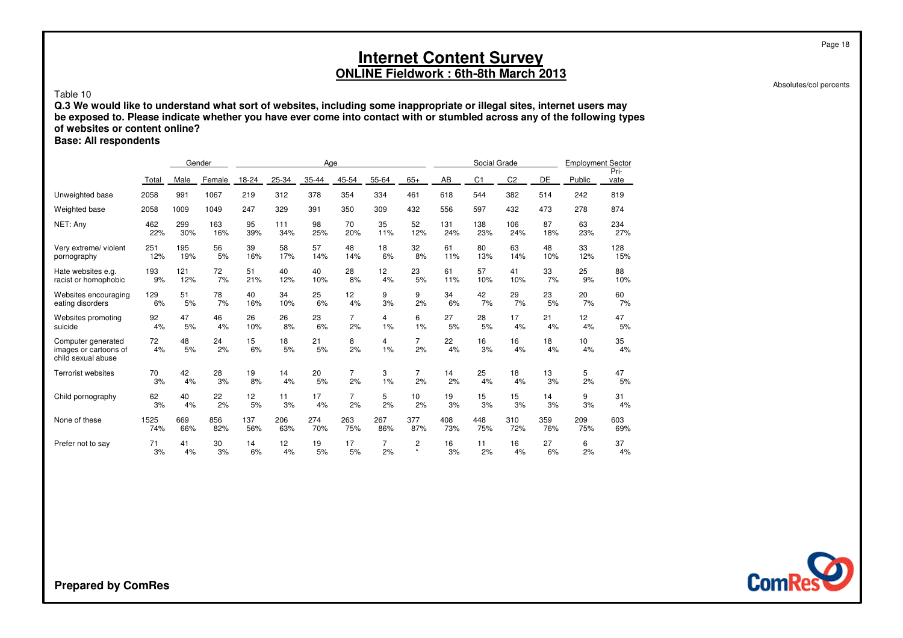Absolutes/col percents

Page 18

#### Table 10

 **Q.3 We would like to understand what sort of websites, including some inappropriate or illegal sites, internet users may be exposed to. Please indicate whether you have ever come into contact with or stumbled across any of the following typesof websites or content online?**

**Base: All respondents**

|                                                                   |          |          | Gender   |          |          | Age      |                |                |                      |          | Social Grade   |                |          | <b>Employment Sector</b> |              |
|-------------------------------------------------------------------|----------|----------|----------|----------|----------|----------|----------------|----------------|----------------------|----------|----------------|----------------|----------|--------------------------|--------------|
|                                                                   | Total    | Male     | Female   | 18-24    | 25-34    | 35-44    | 45-54          | 55-64          | $65+$                | AB       | C <sub>1</sub> | C <sub>2</sub> | DE       | Public                   | Pri-<br>vate |
| Unweighted base                                                   | 2058     | 991      | 1067     | 219      | 312      | 378      | 354            | 334            | 461                  | 618      | 544            | 382            | 514      | 242                      | 819          |
| Weighted base                                                     | 2058     | 1009     | 1049     | 247      | 329      | 391      | 350            | 309            | 432                  | 556      | 597            | 432            | 473      | 278                      | 874          |
| NET: Any                                                          | 462      | 299      | 163      | 95       | 111      | 98       | 70             | 35             | 52                   | 131      | 138            | 106            | 87       | 63                       | 234          |
|                                                                   | 22%      | 30%      | 16%      | 39%      | 34%      | 25%      | 20%            | 11%            | 12%                  | 24%      | 23%            | 24%            | 18%      | 23%                      | 27%          |
| Very extreme/ violent                                             | 251      | 195      | 56       | 39       | 58       | 57       | 48             | 18             | 32                   | 61       | 80             | 63             | 48       | 33                       | 128          |
| pornography                                                       | 12%      | 19%      | 5%       | 16%      | 17%      | 14%      | 14%            | 6%             | 8%                   | 11%      | 13%            | 14%            | 10%      | 12%                      | 15%          |
| Hate websites e.g.                                                | 193      | 121      | 72       | 51       | 40       | 40       | 28             | 12             | 23                   | 61       | 57             | 41             | 33       | 25                       | 88           |
| racist or homophobic                                              | 9%       | 12%      | 7%       | 21%      | 12%      | 10%      | 8%             | 4%             | 5%                   | 11%      | 10%            | 10%            | 7%       | 9%                       | 10%          |
| Websites encouraging                                              | 129      | 51       | 78       | 40       | 34       | 25       | 12             | 9              | 9                    | 34       | 42             | 29             | 23       | 20                       | 60           |
| eating disorders                                                  | 6%       | 5%       | 7%       | 16%      | 10%      | 6%       | 4%             | 3%             | 2%                   | 6%       | 7%             | 7%             | 5%       | 7%                       | 7%           |
| Websites promoting                                                | 92       | 47       | 46       | 26       | 26       | 23       | 7              | $\overline{4}$ | 6                    | 27       | 28             | 17             | 21       | 12 <sup>2</sup>          | 47           |
| suicide                                                           | 4%       | 5%       | 4%       | 10%      | 8%       | 6%       | 2%             | 1%             | 1%                   | 5%       | 5%             | 4%             | 4%       | 4%                       | 5%           |
| Computer generated<br>images or cartoons of<br>child sexual abuse | 72<br>4% | 48<br>5% | 24<br>2% | 15<br>6% | 18<br>5% | 21<br>5% | 8<br>2%        | 4<br>1%        | $\overline{7}$<br>2% | 22<br>4% | 16<br>3%       | 16<br>4%       | 18<br>4% | 10 <sup>1</sup><br>4%    | 35<br>4%     |
| <b>Terrorist websites</b>                                         | 70       | 42       | 28       | 19       | 14       | 20       | $\overline{7}$ | 3              | $\overline{7}$       | 14       | 25             | 18             | 13       | 5                        | 47           |
|                                                                   | 3%       | 4%       | 3%       | 8%       | 4%       | 5%       | 2%             | 1%             | 2%                   | 2%       | 4%             | 4%             | 3%       | 2%                       | 5%           |
| Child pornography                                                 | 62       | 40       | 22       | 12       | 11       | 17       | $\overline{7}$ | 5              | 10                   | 19       | 15             | 15             | 14       | 9                        | 31           |
|                                                                   | 3%       | 4%       | 2%       | 5%       | 3%       | 4%       | 2%             | 2%             | 2%                   | 3%       | 3%             | 3%             | 3%       | 3%                       | 4%           |
| None of these                                                     | 1525     | 669      | 856      | 137      | 206      | 274      | 263            | 267            | 377                  | 408      | 448            | 310            | 359      | 209                      | 603          |
|                                                                   | 74%      | 66%      | 82%      | 56%      | 63%      | 70%      | 75%            | 86%            | 87%                  | 73%      | 75%            | 72%            | 76%      | 75%                      | 69%          |
| Prefer not to say                                                 | 71       | 41       | 30       | 14       | 12       | 19       | 17             | $\overline{7}$ | 2                    | 16       | 11             | 16             | 27       | 6                        | 37           |
|                                                                   | 3%       | 4%       | 3%       | 6%       | 4%       | 5%       | 5%             | 2%             | $\star$              | 3%       | 2%             | 4%             | 6%       | 2%                       | 4%           |

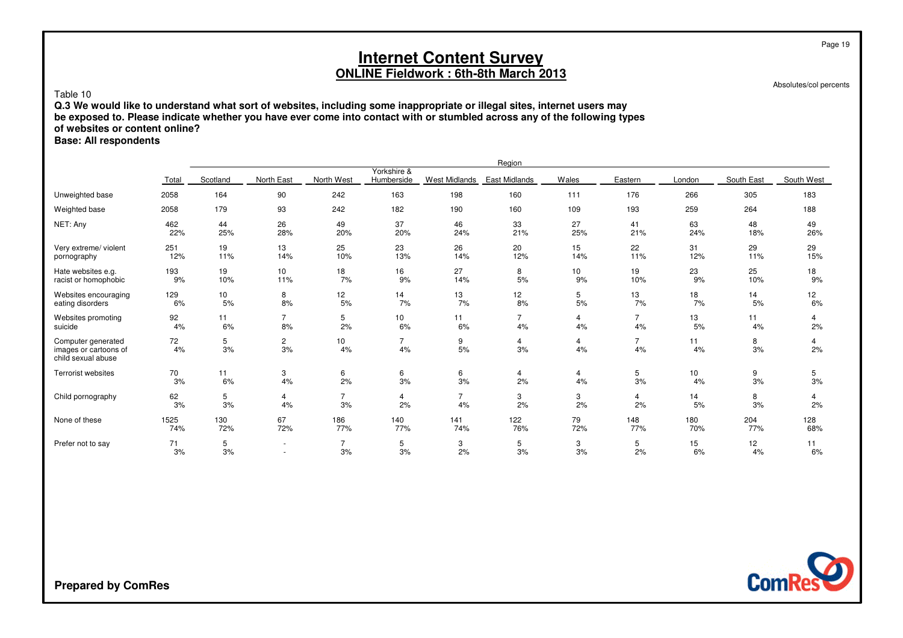Absolutes/col percents

### Table 10

 **Q.3 We would like to understand what sort of websites, including some inappropriate or illegal sites, internet users may be exposed to. Please indicate whether you have ever come into contact with or stumbled across any of the following typesof websites or content online?**

**Base: All respondents**

|                                                                   |          |          |                          |                |                           |                      | Region               |                 |                      |          |            |                      |
|-------------------------------------------------------------------|----------|----------|--------------------------|----------------|---------------------------|----------------------|----------------------|-----------------|----------------------|----------|------------|----------------------|
|                                                                   | Total    | Scotland | North East               | North West     | Yorkshire &<br>Humberside | <b>West Midlands</b> | <b>East Midlands</b> | Wales           | Eastern              | London   | South East | South West           |
| Unweighted base                                                   | 2058     | 164      | 90                       | 242            | 163                       | 198                  | 160                  | 111             | 176                  | 266      | 305        | 183                  |
| Weighted base                                                     | 2058     | 179      | 93                       | 242            | 182                       | 190                  | 160                  | 109             | 193                  | 259      | 264        | 188                  |
| NET: Any                                                          | 462      | 44       | 26                       | 49             | 37                        | 46                   | 33                   | 27              | 41                   | 63       | 48         | 49                   |
|                                                                   | 22%      | 25%      | 28%                      | 20%            | 20%                       | 24%                  | 21%                  | 25%             | 21%                  | 24%      | 18%        | 26%                  |
| Very extreme/ violent                                             | 251      | 19       | 13                       | 25             | 23                        | 26                   | 20                   | 15              | 22                   | 31       | 29         | 29                   |
| pornography                                                       | 12%      | 11%      | 14%                      | 10%            | 13%                       | 14%                  | 12%                  | 14%             | 11%                  | 12%      | 11%        | 15%                  |
| Hate websites e.g.                                                | 193      | 19       | 10                       | 18             | 16                        | 27                   | 8                    | 10 <sub>1</sub> | 19                   | 23       | 25         | 18                   |
| racist or homophobic                                              | 9%       | 10%      | 11%                      | 7%             | 9%                        | 14%                  | 5%                   | 9%              | 10%                  | 9%       | 10%        | 9%                   |
| Websites encouraging                                              | 129      | 10       | 8                        | 12             | 14                        | 13                   | 12                   | 5               | 13                   | 18       | 14         | 12 <sup>2</sup>      |
| eating disorders                                                  | 6%       | 5%       | 8%                       | 5%             | 7%                        | 7%                   | 8%                   | 5%              | 7%                   | 7%       | 5%         | 6%                   |
| Websites promoting                                                | 92       | 11       | $\overline{7}$           | 5              | 10                        | 11                   | 7                    | $\overline{4}$  | $\overline{7}$       | 13       | 11         | 4                    |
| suicide                                                           | 4%       | 6%       | 8%                       | 2%             | 6%                        | 6%                   | 4%                   | 4%              | 4%                   | 5%       | 4%         | 2%                   |
| Computer generated<br>images or cartoons of<br>child sexual abuse | 72<br>4% | 5<br>3%  | $\overline{c}$<br>3%     | 10<br>4%       | $\overline{7}$<br>4%      | 9<br>5%              | 4<br>3%              | 4<br>4%         | $\overline{7}$<br>4% | 11<br>4% | 8<br>3%    | $\overline{4}$<br>2% |
| Terrorist websites                                                | 70       | 11       | 3                        | 6              | 6                         | 6                    | 4                    | 4               | 5                    | 10       | 9          | 5                    |
|                                                                   | 3%       | 6%       | 4%                       | 2%             | 3%                        | 3%                   | 2%                   | 4%              | 3%                   | 4%       | 3%         | 3%                   |
| Child pornography                                                 | 62       | 5        | 4                        | $\overline{7}$ | 4                         | $\overline{7}$       | 3                    | 3               | 4                    | 14       | 8          | 4                    |
|                                                                   | 3%       | 3%       | 4%                       | 3%             | 2%                        | 4%                   | 2%                   | 2%              | 2%                   | 5%       | 3%         | 2%                   |
| None of these                                                     | 1525     | 130      | 67                       | 186            | 140                       | 141                  | 122                  | 79              | 148                  | 180      | 204        | 128                  |
|                                                                   | 74%      | 72%      | 72%                      | 77%            | 77%                       | 74%                  | 76%                  | 72%             | 77%                  | 70%      | 77%        | 68%                  |
| Prefer not to say                                                 | 71       | 5        | $\overline{\phantom{a}}$ | $\overline{7}$ | 5                         | 3                    | 5                    | 3               | 5                    | 15       | 12         | 11                   |
|                                                                   | 3%       | 3%       | ٠                        | 3%             | 3%                        | 2%                   | 3%                   | 3%              | 2%                   | 6%       | 4%         | 6%                   |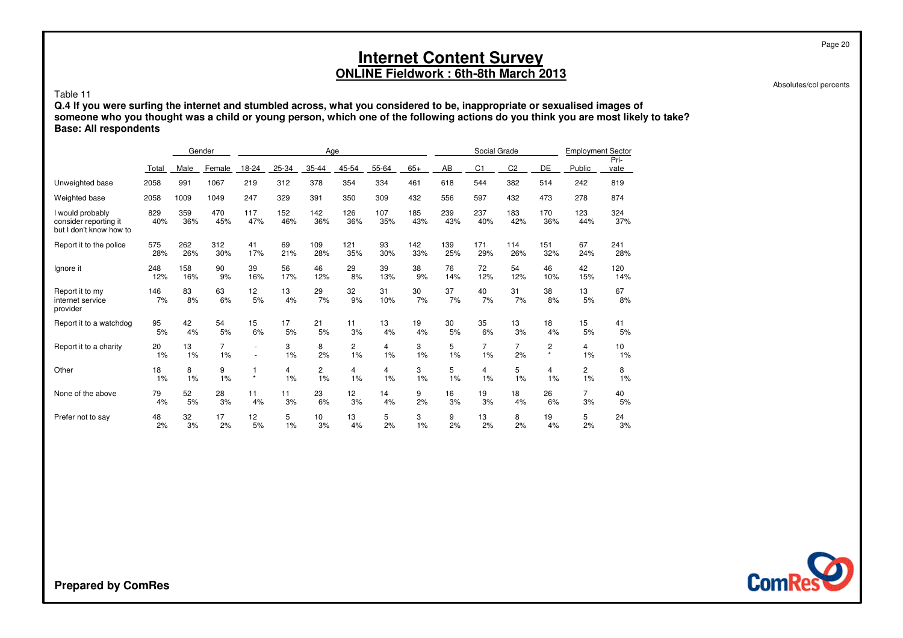Absolutes/col percents

Page 20

#### Table 11

Q.4 If you were surfing the internet and stumbled across, what you considered to be, inappropriate or sexualised images of<br>someone who you thought was a child or young person, which one of the following actions do you thin **Base: All respondents**

|                                                                      |            |            | Gender         |                |            | Age             |                       |                |            |            | Social Grade   |                |                         | <b>Employment Sector</b> |              |
|----------------------------------------------------------------------|------------|------------|----------------|----------------|------------|-----------------|-----------------------|----------------|------------|------------|----------------|----------------|-------------------------|--------------------------|--------------|
|                                                                      | Total      | Male       | Female         | 18-24          | $25 - 34$  | 35-44           | 45-54                 | 55-64          | $65+$      | AB         | C <sub>1</sub> | C <sub>2</sub> | DE                      | Public                   | Pri-<br>vate |
| Unweighted base                                                      | 2058       | 991        | 1067           | 219            | 312        | 378             | 354                   | 334            | 461        | 618        | 544            | 382            | 514                     | 242                      | 819          |
| Weighted base                                                        | 2058       | 1009       | 1049           | 247            | 329        | 391             | 350                   | 309            | 432        | 556        | 597            | 432            | 473                     | 278                      | 874          |
| I would probably<br>consider reporting it<br>but I don't know how to | 829<br>40% | 359<br>36% | 470<br>45%     | 117<br>47%     | 152<br>46% | 142<br>36%      | 126<br>36%            | 107<br>35%     | 185<br>43% | 239<br>43% | 237<br>40%     | 183<br>42%     | 170<br>36%              | 123<br>44%               | 324<br>37%   |
| Report it to the police                                              | 575        | 262        | 312            | 41             | 69         | 109             | 121                   | 93             | 142        | 139        | 171            | 114            | 151                     | 67                       | 241          |
|                                                                      | 28%        | 26%        | 30%            | 17%            | 21%        | 28%             | 35%                   | 30%            | 33%        | 25%        | 29%            | 26%            | 32%                     | 24%                      | 28%          |
| Ignore it                                                            | 248        | 158        | 90             | 39             | 56         | 46              | 29                    | 39             | 38         | 76         | 72             | 54             | 46                      | 42                       | 120          |
|                                                                      | 12%        | 16%        | 9%             | 16%            | 17%        | 12%             | 8%                    | 13%            | 9%         | 14%        | 12%            | 12%            | 10%                     | 15%                      | 14%          |
| Report it to my<br>internet service<br>provider                      | 146<br>7%  | 83<br>8%   | 63<br>6%       | 12<br>5%       | 13<br>4%   | 29<br>7%        | 32<br>9%              | 31<br>10%      | 30<br>7%   | 37<br>7%   | 40<br>7%       | 31<br>7%       | 38<br>8%                | 13<br>5%                 | 67<br>8%     |
| Report it to a watchdog                                              | 95         | 42         | 54             | 15             | 17         | 21              | 11                    | 13             | 19         | 30         | 35             | 13             | 18                      | 15                       | 41           |
|                                                                      | 5%         | 4%         | 5%             | 6%             | 5%         | 5%              | 3%                    | 4%             | 4%         | 5%         | 6%             | 3%             | 4%                      | 5%                       | 5%           |
| Report it to a charity                                               | 20         | 13         | $\overline{7}$ | ٠              | 3          | 8               | $\mathbf{2}^{\prime}$ | 4              | 3          | 5          | $\overline{7}$ | $\overline{7}$ | $\overline{\mathbf{c}}$ | 4                        | 10           |
|                                                                      | 1%         | 1%         | 1%             | $\overline{a}$ | 1%         | 2%              | 1%                    | 1%             | 1%         | 1%         | 1%             | 2%             | $\star$                 | 1%                       | 1%           |
| Other                                                                | 18         | 8          | 9              | 1              | 4          | $\overline{c}$  | 4                     | $\overline{4}$ | 3          | 5          | $\overline{4}$ | 5              | $\overline{4}$          | 2                        | 8            |
|                                                                      | 1%         | 1%         | 1%             | $\star$        | 1%         | 1%              | 1%                    | 1%             | 1%         | 1%         | 1%             | 1%             | 1%                      | 1%                       | 1%           |
| None of the above                                                    | 79         | 52         | 28             | 11             | 11         | 23              | 12                    | 14             | 9          | 16         | 19             | 18             | 26                      | $\overline{7}$           | 40           |
|                                                                      | 4%         | 5%         | 3%             | 4%             | 3%         | 6%              | 3%                    | 4%             | 2%         | 3%         | 3%             | 4%             | 6%                      | 3%                       | 5%           |
| Prefer not to say                                                    | 48         | 32         | 17             | 12             | 5          | 10 <sup>1</sup> | 13                    | 5              | 3          | 9          | 13             | 8              | 19                      | 5                        | 24           |
|                                                                      | 2%         | 3%         | 2%             | 5%             | 1%         | 3%              | 4%                    | 2%             | 1%         | 2%         | 2%             | 2%             | 4%                      | 2%                       | 3%           |

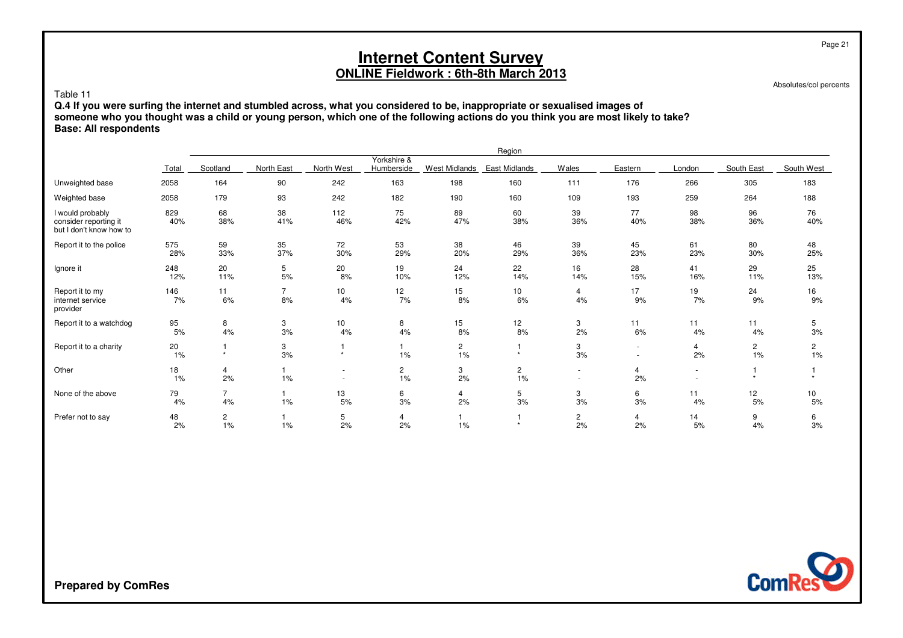Absolutes/col percents

Page 21

#### Table 11

Q.4 If you were surfing the internet and stumbled across, what you considered to be, inappropriate or sexualised images of<br>someone who you thought was a child or young person, which one of the following actions do you thin **Base: All respondents**

|                                                                      |            |                      |                      |                                            |                           |                      | Region               |                  |                                                      |           |                      |                       |
|----------------------------------------------------------------------|------------|----------------------|----------------------|--------------------------------------------|---------------------------|----------------------|----------------------|------------------|------------------------------------------------------|-----------|----------------------|-----------------------|
|                                                                      | Total      | Scotland             | North East           | North West                                 | Yorkshire &<br>Humberside | <b>West Midlands</b> | East Midlands        | Wales            | Eastern                                              | London    | South East           | South West            |
| Unweighted base                                                      | 2058       | 164                  | 90                   | 242                                        | 163                       | 198                  | 160                  | 111              | 176                                                  | 266       | 305                  | 183                   |
| Weighted base                                                        | 2058       | 179                  | 93                   | 242                                        | 182                       | 190                  | 160                  | 109              | 193                                                  | 259       | 264                  | 188                   |
| I would probably<br>consider reporting it<br>but I don't know how to | 829<br>40% | 68<br>38%            | 38<br>41%            | 112<br>46%                                 | 75<br>42%                 | 89<br>47%            | 60<br>38%            | 39<br>36%        | 77<br>40%                                            | 98<br>38% | 96<br>36%            | 76<br>40%             |
| Report it to the police                                              | 575<br>28% | 59<br>33%            | 35<br>37%            | 72<br>30%                                  | 53<br>29%                 | 38<br>20%            | 46<br>29%            | 39<br>36%        | 45<br>23%                                            | 61<br>23% | 80<br>30%            | 48<br>25%             |
| Ignore it                                                            | 248<br>12% | 20<br>11%            | 5<br>5%              | 20<br>8%                                   | 19<br>10%                 | 24<br>12%            | 22<br>14%            | 16<br>14%        | 28<br>15%                                            | 41<br>16% | 29<br>11%            | 25<br>13%             |
| Report it to my<br>internet service<br>provider                      | 146<br>7%  | 11<br>6%             | $\overline{7}$<br>8% | 10<br>4%                                   | 12<br>7%                  | 15<br>8%             | 10<br>6%             | 4<br>4%          | 17<br>9%                                             | 19<br>7%  | 24<br>9%             | 16<br>9%              |
| Report it to a watchdog                                              | 95<br>5%   | 8<br>4%              | 3<br>3%              | 10<br>4%                                   | 8<br>4%                   | 15<br>8%             | 12<br>8%             | 3<br>2%          | 11<br>6%                                             | 11<br>4%  | 11<br>4%             | 5<br>3%               |
| Report it to a charity                                               | 20<br>1%   | $\star$              | 3<br>3%              | $\star$                                    | 1%                        | $\overline{c}$<br>1% | $\star$              | 3<br>3%          | $\overline{\phantom{a}}$<br>$\overline{\phantom{a}}$ | 4<br>2%   | $\overline{c}$<br>1% | $\overline{c}$<br>1%  |
| Other                                                                | 18<br>1%   | 4<br>2%              | 1<br>$1\%$           | $\overline{\phantom{a}}$<br>$\overline{a}$ | 2<br>1%                   | 3<br>2%              | $\overline{c}$<br>1% | $\sim$<br>$\sim$ | 4<br>2%                                              |           | $\ddot{\phantom{1}}$ |                       |
| None of the above                                                    | 79<br>4%   | $\overline{7}$<br>4% | 1<br>$1\%$           | 13<br>$5%$                                 | 6<br>3%                   | 4<br>2%              | 5<br>3%              | 3<br>3%          | 6<br>3%                                              | 11<br>4%  | 12<br>5%             | 10 <sub>1</sub><br>5% |
| Prefer not to say                                                    | 48<br>2%   | $\overline{c}$<br>1% | 1<br>$1\%$           | 5<br>2%                                    | 4<br>2%                   | 1%                   | $\star$              | 2<br>2%          | 4<br>2%                                              | 14<br>5%  | 9<br>4%              | 6<br>3%               |

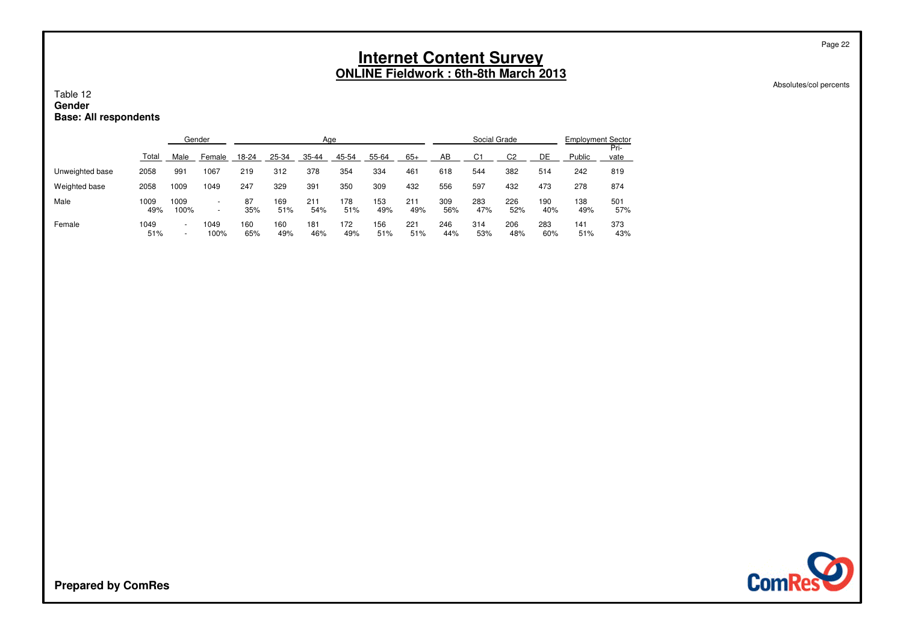#### Absolutes/col percents

Page 22

#### Table 12 **GenderBase: All respondents**

|                 |             |                                  | Gender                   |            |            | Age        |            |            |            |            | Social Grade   |                |            | <b>Employment Sector</b> |              |
|-----------------|-------------|----------------------------------|--------------------------|------------|------------|------------|------------|------------|------------|------------|----------------|----------------|------------|--------------------------|--------------|
|                 | Total       | Male                             | Female                   | 18-24      | 25-34      | 35-44      | 45-54      | 55-64      | $65+$      | AB         | C <sub>1</sub> | C <sub>2</sub> | DE         | Public                   | Pri-<br>vate |
| Unweighted base | 2058        | 991                              | 1067                     | 219        | 312        | 378        | 354        | 334        | 461        | 618        | 544            | 382            | 514        | 242                      | 819          |
| Weighted base   | 2058        | 1009                             | 1049                     | 247        | 329        | 391        | 350        | 309        | 432        | 556        | 597            | 432            | 473        | 278                      | 874          |
| Male            | 1009<br>49% | 1009<br>100%                     | $\overline{\phantom{a}}$ | 87<br>35%  | 169<br>51% | 211<br>54% | 178<br>51% | 153<br>49% | 211<br>49% | 309<br>56% | 283<br>47%     | 226<br>52%     | 190<br>40% | 138<br>49%               | 501<br>57%   |
| Female          | 1049<br>51% | $\overline{a}$<br>$\overline{a}$ | 1049<br>100%             | 160<br>65% | 160<br>49% | 181<br>46% | 172<br>49% | 156<br>51% | 221<br>51% | 246<br>44% | 314<br>53%     | 206<br>48%     | 283<br>60% | 141<br>51%               | 373<br>43%   |

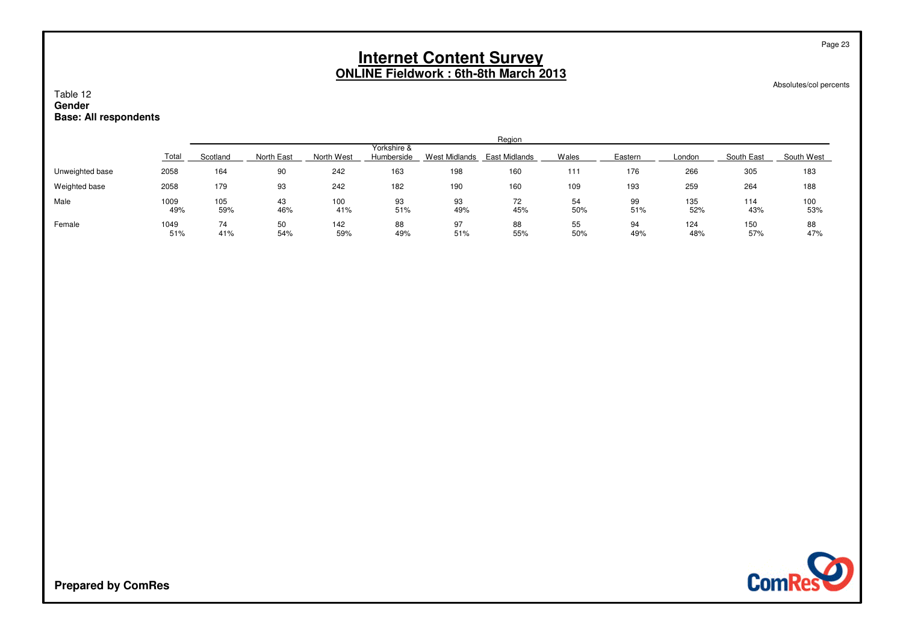Absolutes/col percents

Page 23

### Table 12 **GenderBase: All respondents**

|                 |             |            |            |            |                           |                      | Region        |           |           |            |            |            |
|-----------------|-------------|------------|------------|------------|---------------------------|----------------------|---------------|-----------|-----------|------------|------------|------------|
|                 | Total       | Scotland   | North East | North West | Yorkshire &<br>Humberside | <b>West Midlands</b> | East Midlands | Wales     | Eastern   | London     | South East | South West |
| Unweighted base | 2058        | 164        | 90         | 242        | 163                       | 198                  | 160           | 111       | 176       | 266        | 305        | 183        |
| Weighted base   | 2058        | 179        | 93         | 242        | 182                       | 190                  | 160           | 109       | 193       | 259        | 264        | 188        |
| Male            | 1009<br>49% | 105<br>59% | 43<br>46%  | 100<br>41% | 93<br>51%                 | 93<br>49%            | 72<br>45%     | 54<br>50% | 99<br>51% | 135<br>52% | 114<br>43% | 100<br>53% |
| Female          | 1049<br>51% | 74<br>41%  | 50<br>54%  | 142<br>59% | 88<br>49%                 | 97<br>51%            | 88<br>55%     | 55<br>50% | 94<br>49% | 124<br>48% | 150<br>57% | 88<br>47%  |

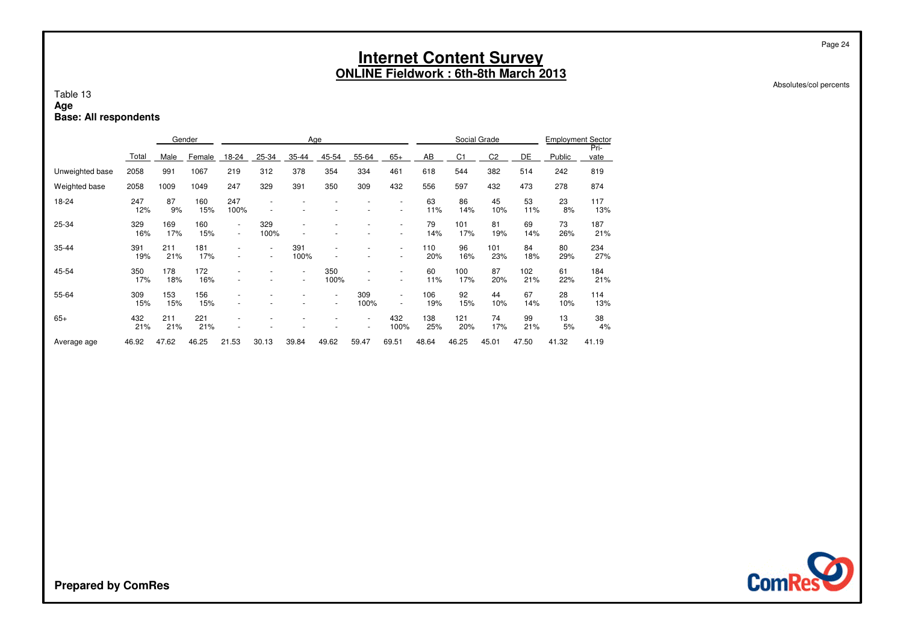Absolutes/col percents

#### Table 13**AgeBase: All respondents**

|                 |            |            | Gender     |             |                                            | Age              |                                                      |                                    |                          |            |            | Social Grade   |            | <b>Employment Sector</b> |              |
|-----------------|------------|------------|------------|-------------|--------------------------------------------|------------------|------------------------------------------------------|------------------------------------|--------------------------|------------|------------|----------------|------------|--------------------------|--------------|
|                 | Total      | Male       | Female     | 18-24       | 25-34                                      | 35-44            | 45-54                                                | 55-64                              | $65+$                    | AB         | C1         | C <sub>2</sub> | DE         | Public                   | Pri-<br>vate |
| Unweighted base | 2058       | 991        | 1067       | 219         | 312                                        | 378              | 354                                                  | 334                                | 461                      | 618        | 544        | 382            | 514        | 242                      | 819          |
| Weighted base   | 2058       | 1009       | 1049       | 247         | 329                                        | 391              | 350                                                  | 309                                | 432                      | 556        | 597        | 432            | 473        | 278                      | 874          |
| 18-24           | 247<br>12% | 87<br>9%   | 160<br>15% | 247<br>100% |                                            |                  |                                                      |                                    |                          | 63<br>11%  | 86<br>14%  | 45<br>10%      | 53<br>11%  | 23<br>8%                 | 117<br>13%   |
| 25-34           | 329<br>16% | 169<br>17% | 160<br>15% | ٠<br>$\sim$ | 329<br>100%                                |                  |                                                      |                                    |                          | 79<br>14%  | 101<br>17% | 81<br>19%      | 69<br>14%  | 73<br>26%                | 187<br>21%   |
| $35 - 44$       | 391<br>19% | 211<br>21% | 181<br>17% |             | $\overline{\phantom{a}}$<br>$\blacksquare$ | 391<br>100%      |                                                      |                                    | ٠                        | 110<br>20% | 96<br>16%  | 101<br>23%     | 84<br>18%  | 80<br>29%                | 234<br>27%   |
| 45-54           | 350<br>17% | 178<br>18% | 172<br>16% |             |                                            | $\sim$<br>$\sim$ | 350<br>100%                                          | $\overline{\phantom{a}}$           | $\overline{\phantom{a}}$ | 60<br>11%  | 100<br>17% | 87<br>20%      | 102<br>21% | 61<br>22%                | 184<br>21%   |
| 55-64           | 309<br>15% | 153<br>15% | 156<br>15% |             |                                            |                  | $\overline{\phantom{a}}$<br>$\overline{\phantom{a}}$ | 309<br>100%                        | ٠                        | 106<br>19% | 92<br>15%  | 44<br>10%      | 67<br>14%  | 28<br>10%                | 114<br>13%   |
| $65+$           | 432<br>21% | 211<br>21% | 221<br>21% |             |                                            |                  |                                                      | $\sim$<br>$\overline{\phantom{a}}$ | 432<br>100%              | 138<br>25% | 121<br>20% | 74<br>17%      | 99<br>21%  | 13<br>5%                 | 38<br>4%     |
| Average age     | 46.92      | 47.62      | 46.25      | 21.53       | 30.13                                      | 39.84            | 49.62                                                | 59.47                              | 69.51                    | 48.64      | 46.25      | 45.01          | 47.50      | 41.32                    | 41.19        |

**ComRese**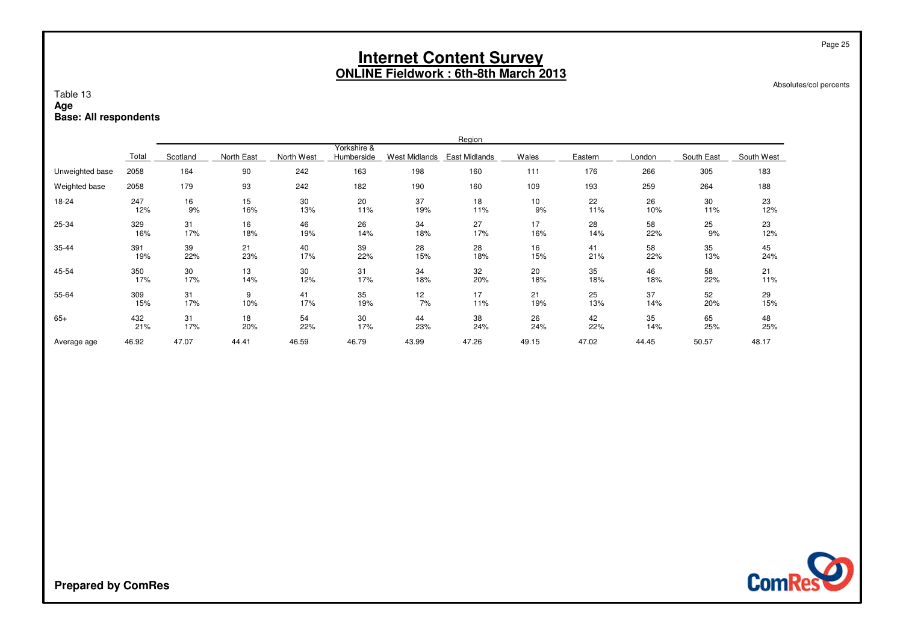Absolutes/col percents

### Table 13**AgeBase: All respondents**

|                 |       |          |            |            |                           |               | Region        |       |         |        |            |            |
|-----------------|-------|----------|------------|------------|---------------------------|---------------|---------------|-------|---------|--------|------------|------------|
|                 | Total | Scotland | North East | North West | Yorkshire &<br>Humberside | West Midlands | East Midlands | Wales | Eastern | London | South East | South West |
| Unweighted base | 2058  | 164      | 90         | 242        | 163                       | 198           | 160           | 111   | 176     | 266    | 305        | 183        |
| Weighted base   | 2058  | 179      | 93         | 242        | 182                       | 190           | 160           | 109   | 193     | 259    | 264        | 188        |
| 18-24           | 247   | 16       | 15         | 30         | 20                        | 37            | 18            | 10    | 22      | 26     | 30         | 23         |
|                 | 12%   | 9%       | 16%        | 13%        | 11%                       | 19%           | 11%           | 9%    | 11%     | 10%    | 11%        | 12%        |
| 25-34           | 329   | 31       | 16         | 46         | 26                        | 34            | 27            | 17    | 28      | 58     | 25         | 23         |
|                 | 16%   | 17%      | 18%        | 19%        | 14%                       | 18%           | 17%           | 16%   | 14%     | 22%    | 9%         | 12%        |
| 35-44           | 391   | 39       | 21         | 40         | 39                        | 28            | 28            | 16    | 41      | 58     | 35         | 45         |
|                 | 19%   | 22%      | 23%        | 17%        | 22%                       | 15%           | 18%           | 15%   | 21%     | 22%    | 13%        | 24%        |
| 45-54           | 350   | 30       | 13         | 30         | 31                        | 34            | 32            | 20    | 35      | 46     | 58         | 21         |
|                 | 17%   | 17%      | 14%        | 12%        | 17%                       | 18%           | 20%           | 18%   | 18%     | 18%    | 22%        | 11%        |
| 55-64           | 309   | 31       | 9          | 41         | 35                        | 12            | 17            | 21    | 25      | 37     | 52         | 29         |
|                 | 15%   | 17%      | 10%        | 17%        | 19%                       | 7%            | 11%           | 19%   | 13%     | 14%    | 20%        | 15%        |
| $65+$           | 432   | 31       | 18         | 54         | 30                        | 44            | 38            | 26    | 42      | 35     | 65         | 48         |
|                 | 21%   | 17%      | 20%        | 22%        | 17%                       | 23%           | 24%           | 24%   | 22%     | 14%    | 25%        | 25%        |
| Average age     | 46.92 | 47.07    | 44.41      | 46.59      | 46.79                     | 43.99         | 47.26         | 49.15 | 47.02   | 44.45  | 50.57      | 48.17      |

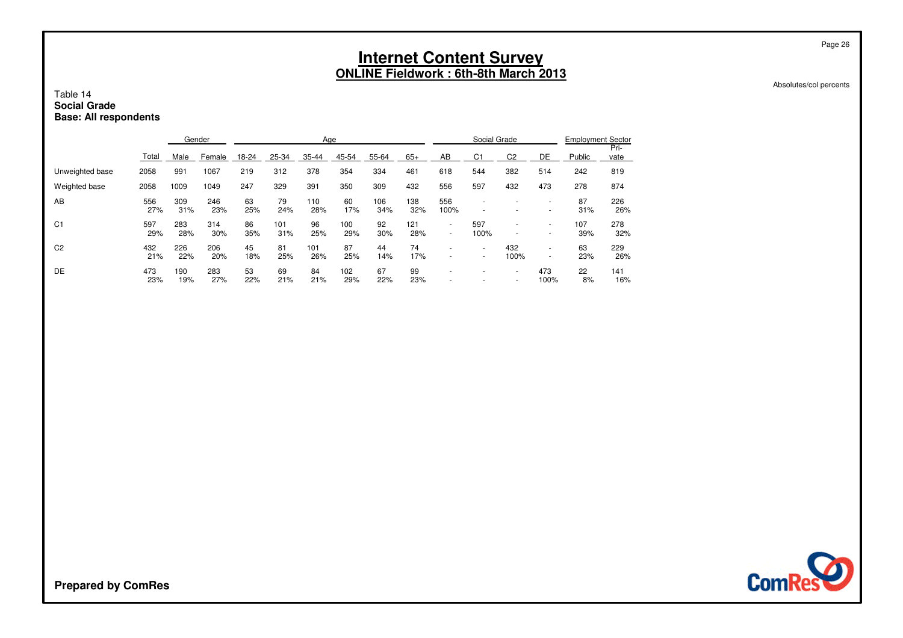#### Absolutes/col percents

Page 26

### Table 14 **Social GradeBase: All respondents**

|                 |            |            | Gender     |           |            | Age        |            |            |            |                                                      | Social Grade                                         |                |                                            | <b>Employment Sector</b> |              |
|-----------------|------------|------------|------------|-----------|------------|------------|------------|------------|------------|------------------------------------------------------|------------------------------------------------------|----------------|--------------------------------------------|--------------------------|--------------|
|                 | Total      | Male       | Female     | $18 - 24$ | 25-34      | 35-44      | 45-54      | 55-64      | $65+$      | AB                                                   | C <sub>1</sub>                                       | C <sub>2</sub> | DE                                         | Public                   | Pri-<br>vate |
| Unweighted base | 2058       | 991        | 1067       | 219       | 312        | 378        | 354        | 334        | 461        | 618                                                  | 544                                                  | 382            | 514                                        | 242                      | 819          |
| Weighted base   | 2058       | 1009       | 1049       | 247       | 329        | 391        | 350        | 309        | 432        | 556                                                  | 597                                                  | 432            | 473                                        | 278                      | 874          |
| AB              | 556<br>27% | 309<br>31% | 246<br>23% | 63<br>25% | 79<br>24%  | 110<br>28% | 60<br>17%  | 106<br>34% | 138<br>32% | 556<br>100%                                          |                                                      |                | $\overline{a}$<br>$\overline{\phantom{a}}$ | 87<br>31%                | 226<br>26%   |
| C <sub>1</sub>  | 597<br>29% | 283<br>28% | 314<br>30% | 86<br>35% | 101<br>31% | 96<br>25%  | 100<br>29% | 92<br>30%  | 121<br>28% | ٠<br>$\overline{a}$                                  | 597<br>100%                                          |                | $\overline{a}$                             | 107<br>39%               | 278<br>32%   |
| C <sub>2</sub>  | 432<br>21% | 226<br>22% | 206<br>20% | 45<br>18% | 81<br>25%  | 101<br>26% | 87<br>25%  | 44<br>14%  | 74<br>17%  | $\overline{\phantom{a}}$                             | $\overline{\phantom{0}}$<br>$\overline{\phantom{0}}$ | 432<br>100%    | -<br>$\overline{\phantom{a}}$              | 63<br>23%                | 229<br>26%   |
| DE              | 473<br>23% | 190<br>19% | 283<br>27% | 53<br>22% | 69<br>21%  | 84<br>21%  | 102<br>29% | 67<br>22%  | 99<br>23%  | $\overline{\phantom{a}}$<br>$\overline{\phantom{a}}$ |                                                      | -<br>-         | 473<br>100%                                | 22<br>8%                 | 141<br>16%   |

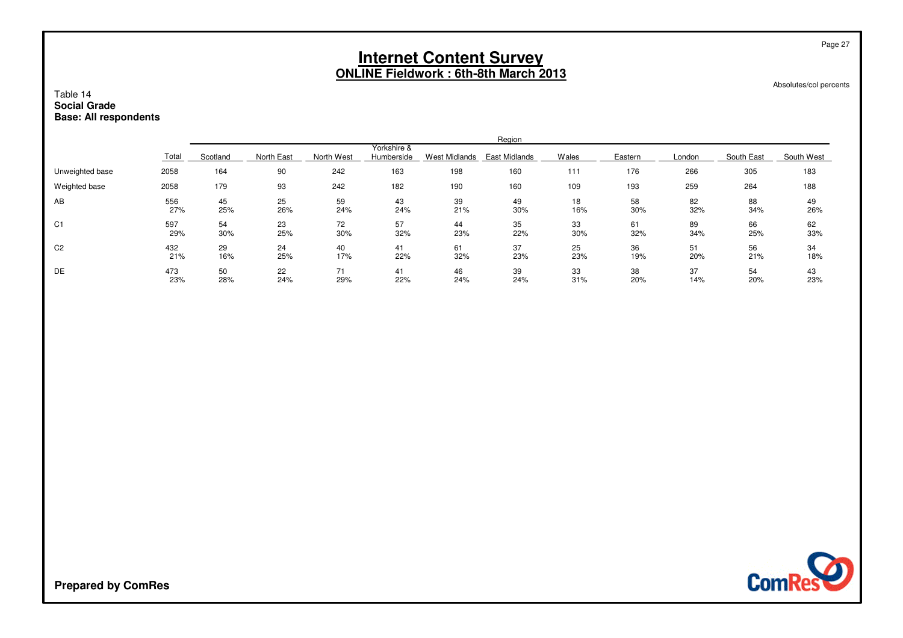Absolutes/col percents

Page 27

### Table 14 **Social GradeBase: All respondents**

|                 |       |          |            |            |                           |               | Region        |       |         |        |            |            |
|-----------------|-------|----------|------------|------------|---------------------------|---------------|---------------|-------|---------|--------|------------|------------|
|                 | Total | Scotland | North East | North West | Yorkshire &<br>Humberside | West Midlands | East Midlands | Wales | Eastern | London | South East | South West |
| Unweighted base | 2058  | 164      | 90         | 242        | 163                       | 198           | 160           | 111   | 176     | 266    | 305        | 183        |
| Weighted base   | 2058  | 179      | 93         | 242        | 182                       | 190           | 160           | 109   | 193     | 259    | 264        | 188        |
| AB              | 556   | 45       | 25         | 59         | 43                        | 39            | 49            | 18    | 58      | 82     | 88         | 49         |
|                 | 27%   | 25%      | 26%        | 24%        | 24%                       | 21%           | 30%           | 16%   | 30%     | 32%    | 34%        | 26%        |
| C <sub>1</sub>  | 597   | 54       | 23         | 72         | 57                        | 44            | 35            | 33    | 61      | 89     | 66         | 62         |
|                 | 29%   | 30%      | 25%        | 30%        | 32%                       | 23%           | 22%           | 30%   | 32%     | 34%    | 25%        | 33%        |
| C <sub>2</sub>  | 432   | 29       | 24         | 40         | 41                        | 61            | 37            | 25    | 36      | 51     | 56         | 34         |
|                 | 21%   | 16%      | 25%        | 17%        | 22%                       | 32%           | 23%           | 23%   | 19%     | 20%    | 21%        | 18%        |
| DE              | 473   | 50       | 22         | 71         | 41                        | 46            | 39            | 33    | 38      | 37     | 54         | 43         |
|                 | 23%   | 28%      | 24%        | 29%        | 22%                       | 24%           | 24%           | 31%   | 20%     | 14%    | 20%        | 23%        |

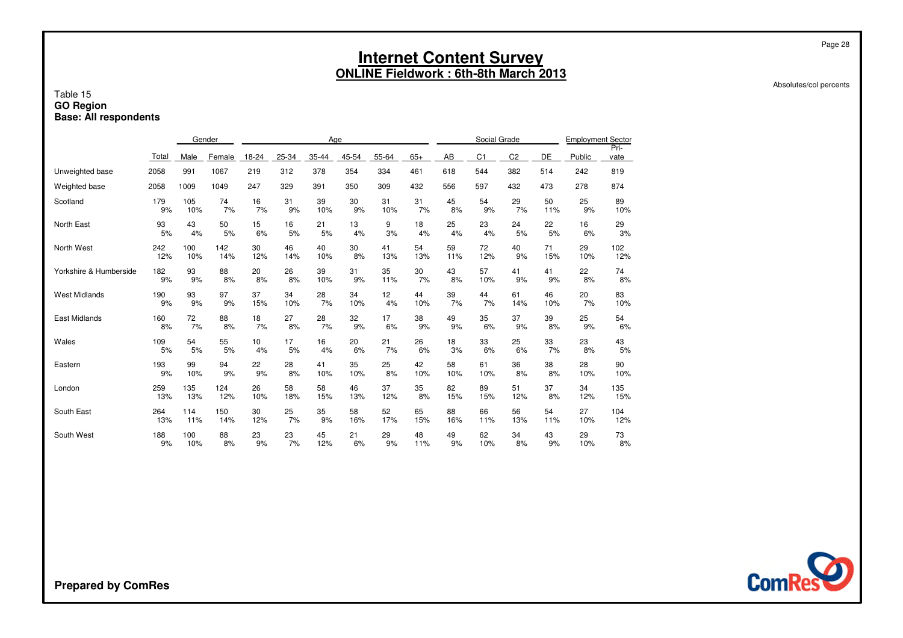#### Absolutes/col percents

Page 28

### Table 15 **GO RegionBase: All respondents**

|       | Gender |        |       |       |       |       |       |       |     |                |                |              | <b>Employment Sector</b> |              |
|-------|--------|--------|-------|-------|-------|-------|-------|-------|-----|----------------|----------------|--------------|--------------------------|--------------|
| Total | Male   | Female | 18-24 | 25-34 | 35-44 | 45-54 | 55-64 | $65+$ | AB  | C <sub>1</sub> | C <sub>2</sub> | DE           | Public                   | Pri-<br>vate |
| 2058  | 991    | 1067   | 219   | 312   | 378   | 354   | 334   | 461   | 618 | 544            | 382            | 514          | 242                      | 819          |
| 2058  | 1009   | 1049   | 247   | 329   | 391   | 350   | 309   | 432   | 556 | 597            | 432            | 473          | 278                      | 874          |
| 179   | 105    | 74     | 16    | 31    | 39    | 30    | 31    | 31    | 45  | 54             | 29             | 50           | 25                       | 89           |
| 9%    | 10%    | 7%     | 7%    | 9%    | 10%   | 9%    | 10%   | 7%    | 8%  | 9%             | 7%             | 11%          | 9%                       | 10%          |
| 93    | 43     | 50     | 15    | 16    | 21    | 13    | 9     | 18    | 25  | 23             | 24             | 22           | 16                       | 29           |
| 5%    | 4%     | 5%     | 6%    | 5%    | 5%    | 4%    | 3%    | 4%    | 4%  | 4%             | 5%             | 5%           | 6%                       | 3%           |
| 242   | 100    | 142    | 30    | 46    | 40    | 30    | 41    | 54    | 59  | 72             | 40             | 71           | 29                       | 102          |
| 12%   | 10%    | 14%    | 12%   | 14%   | 10%   | 8%    | 13%   | 13%   | 11% | 12%            | 9%             | 15%          | 10%                      | 12%          |
| 182   | 93     | 88     | 20    | 26    | 39    | 31    | 35    | 30    | 43  | 57             | 41             | 41           | 22                       | 74           |
| 9%    | 9%     | 8%     | 8%    | 8%    | 10%   | 9%    | 11%   | 7%    | 8%  | 10%            | 9%             | 9%           | 8%                       | 8%           |
| 190   | 93     | 97     | 37    | 34    | 28    | 34    | 12    | 44    | 39  | 44             | 61             | 46           | 20                       | 83           |
| 9%    | 9%     | 9%     | 15%   | 10%   | 7%    | 10%   | 4%    | 10%   | 7%  | 7%             | 14%            | 10%          | 7%                       | 10%          |
| 160   | 72     | 88     | 18    | 27    | 28    | 32    | 17    | 38    | 49  | 35             | 37             | 39           | 25                       | 54           |
| 8%    | 7%     | 8%     | 7%    | 8%    | 7%    | 9%    | 6%    | 9%    | 9%  | 6%             | 9%             | 8%           | 9%                       | 6%           |
| 109   | 54     | 55     | 10    | 17    | 16    | 20    | 21    | 26    | 18  | 33             | 25             | 33           | 23                       | 43           |
| 5%    | 5%     | 5%     | 4%    | 5%    | 4%    | 6%    | 7%    | 6%    | 3%  | 6%             | 6%             | 7%           | 8%                       | 5%           |
| 193   | 99     | 94     | 22    | 28    | 41    | 35    | 25    | 42    | 58  | 61             | 36             | 38           | 28                       | 90           |
| 9%    | 10%    | 9%     | 9%    | 8%    | 10%   | 10%   | 8%    | 10%   | 10% | 10%            | 8%             | 8%           | 10%                      | 10%          |
| 259   | 135    | 124    | 26    | 58    | 58    | 46    | 37    | 35    | 82  | 89             | 51             | 37           | 34                       | 135          |
| 13%   | 13%    | 12%    | 10%   | 18%   | 15%   | 13%   | 12%   | 8%    | 15% | 15%            | 12%            | 8%           | 12%                      | 15%          |
| 264   | 114    | 150    | 30    | 25    | 35    | 58    | 52    | 65    | 88  | 66             | 56             | 54           | 27                       | 104          |
| 13%   | 11%    | 14%    | 12%   | 7%    | 9%    | 16%   | 17%   | 15%   | 16% | 11%            | 13%            | 11%          | 10%                      | 12%          |
| 188   | 100    | 88     | 23    | 23    | 45    | 21    | 29    | 48    | 49  | 62             | 34             | 43           | 29                       | 73           |
| 9%    | 10%    | 8%     | 9%    | 7%    | 12%   | 6%    | 9%    | 11%   | 9%  | 10%            | 8%             | 9%           | 10%                      | 8%           |
|       |        |        |       |       |       |       | Age   |       |     |                |                | Social Grade |                          |              |

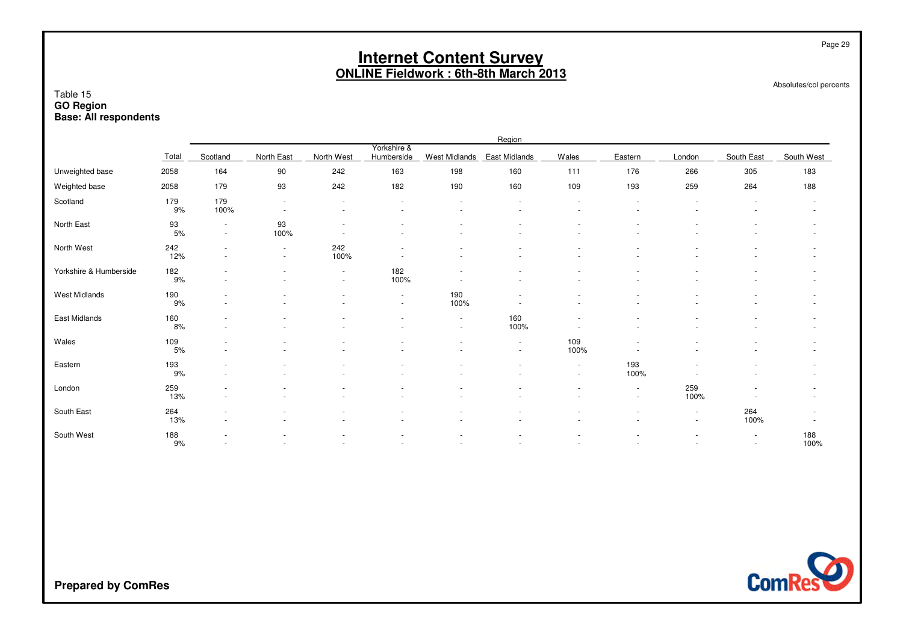Absolutes/col percents

Page 29

#### Table 15 **GO RegionBase: All respondents**

|                        |             |                                                      |                                    |                                            |                                                      |                                    | Region                             |                                    |                          |                                  |                  |             |
|------------------------|-------------|------------------------------------------------------|------------------------------------|--------------------------------------------|------------------------------------------------------|------------------------------------|------------------------------------|------------------------------------|--------------------------|----------------------------------|------------------|-------------|
|                        | Total       | Scotland                                             | North East                         | North West                                 | Yorkshire &<br>Humberside                            | <b>West Midlands</b>               | East Midlands                      | Wales                              | Eastern                  | London                           | South East       | South West  |
| Unweighted base        | 2058        | 164                                                  | 90                                 | 242                                        | 163                                                  | 198                                | 160                                | 111                                | 176                      | 266                              | 305              | 183         |
| Weighted base          | 2058        | 179                                                  | 93                                 | 242                                        | 182                                                  | 190                                | 160                                | 109                                | 193                      | 259                              | 264              | 188         |
| Scotland               | 179<br>9%   | 179<br>100%                                          | $\overline{\phantom{a}}$<br>$\sim$ | $\overline{a}$<br>$\overline{\phantom{a}}$ | $\overline{\phantom{a}}$<br>$\overline{\phantom{a}}$ | $\sim$<br>$\overline{\phantom{a}}$ | ٠<br>٠                             | $\sim$<br>$\sim$                   | $\overline{\phantom{a}}$ |                                  |                  |             |
| North East             | 93<br>5%    | $\overline{\phantom{a}}$<br>$\overline{\phantom{a}}$ | 93<br>100%                         |                                            |                                                      |                                    |                                    |                                    |                          |                                  |                  |             |
| North West             | 242<br>12%  | $\sim$<br>$\sim$                                     | $\overline{\phantom{a}}$<br>$\sim$ | 242<br>100%                                | $\overline{\phantom{a}}$                             |                                    |                                    | $\sim$                             |                          |                                  |                  | ۰           |
| Yorkshire & Humberside | 182<br>9%   |                                                      | $\blacksquare$                     | $\sim$<br>$\sim$                           | 182<br>100%                                          |                                    |                                    |                                    |                          |                                  |                  |             |
| West Midlands          | 190<br>$9%$ |                                                      | ۰                                  |                                            | $\overline{\phantom{a}}$<br>$\overline{\phantom{a}}$ | 190<br>100%                        |                                    |                                    |                          |                                  |                  |             |
| East Midlands          | 160<br>8%   |                                                      |                                    |                                            | $\overline{\phantom{a}}$<br>$\overline{\phantom{a}}$ | $\sim$<br>$\sim$                   | 160<br>100%                        |                                    |                          |                                  |                  |             |
| Wales                  | 109<br>5%   | $\sim$                                               | $\sim$                             |                                            | $\blacksquare$                                       | $\sim$                             | $\sim$<br>$\overline{\phantom{a}}$ | 109<br>100%                        |                          |                                  |                  | ٠           |
| Eastern                | 193<br>9%   | $\sim$                                               |                                    |                                            | $\blacksquare$                                       |                                    |                                    | $\overline{\phantom{a}}$<br>$\sim$ | 193<br>100%              |                                  |                  |             |
| London                 | 259<br>13%  | $\sim$                                               | $\sim$                             |                                            | $\overline{\phantom{a}}$                             |                                    |                                    | $\sim$                             | $\sim$<br>$\sim$         | 259<br>100%                      |                  | ٠           |
| South East             | 264<br>13%  | $\overline{\phantom{a}}$                             |                                    |                                            |                                                      |                                    |                                    |                                    |                          | $\blacksquare$<br>$\blacksquare$ | 264<br>100%      |             |
| South West             | 188<br>9%   |                                                      |                                    |                                            |                                                      |                                    |                                    |                                    |                          |                                  | $\sim$<br>$\sim$ | 188<br>100% |

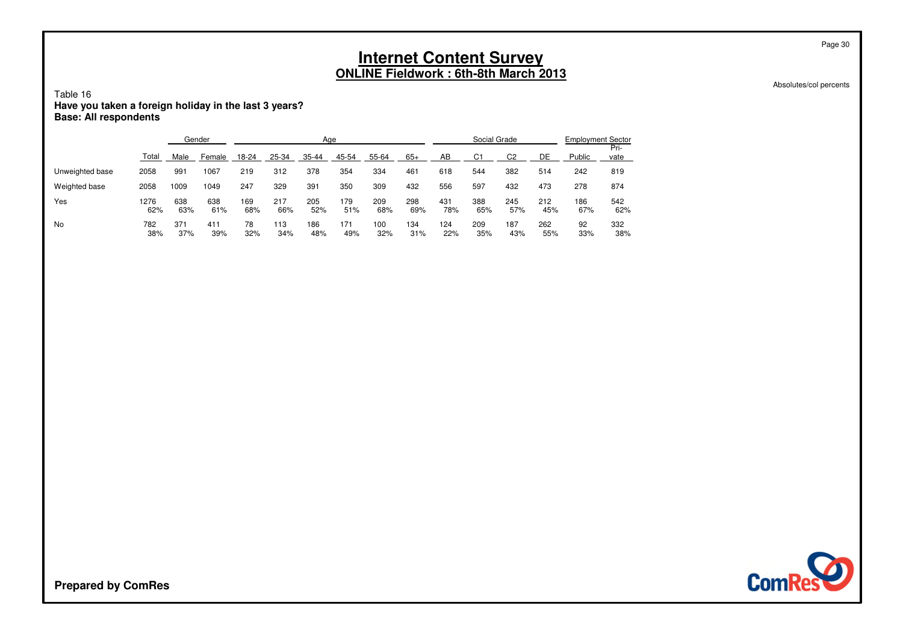Absolutes/col percents

Page 30

### Table 16**Have you taken a foreign holiday in the last 3 years? Base: All respondents**

|                 |             | Gender     |            |            |            | Age        |            |            |            |            | Social Grade   |                |            | <b>Employment Sector</b> |              |
|-----------------|-------------|------------|------------|------------|------------|------------|------------|------------|------------|------------|----------------|----------------|------------|--------------------------|--------------|
|                 | Total       | Male       | Female     | 18-24      | 25-34      | 35-44      | 45-54      | 55-64      | $65+$      | AB         | C <sub>1</sub> | C <sub>2</sub> | DE         | Public                   | Pri-<br>vate |
| Unweighted base | 2058        | 991        | 1067       | 219        | 312        | 378        | 354        | 334        | 461        | 618        | 544            | 382            | 514        | 242                      | 819          |
| Weighted base   | 2058        | 1009       | 1049       | 247        | 329        | 391        | 350        | 309        | 432        | 556        | 597            | 432            | 473        | 278                      | 874          |
| Yes             | 1276<br>62% | 638<br>63% | 638<br>61% | 169<br>68% | 217<br>66% | 205<br>52% | 179<br>51% | 209<br>68% | 298<br>69% | 431<br>78% | 388<br>65%     | 245<br>57%     | 212<br>45% | 186<br>67%               | 542<br>62%   |
| No              | 782<br>38%  | 371<br>37% | 411<br>39% | 78<br>32%  | 113<br>34% | 186<br>48% | 171<br>49% | 100<br>32% | 134<br>31% | 124<br>22% | 209<br>35%     | 187<br>43%     | 262<br>55% | 92<br>33%                | 332<br>38%   |

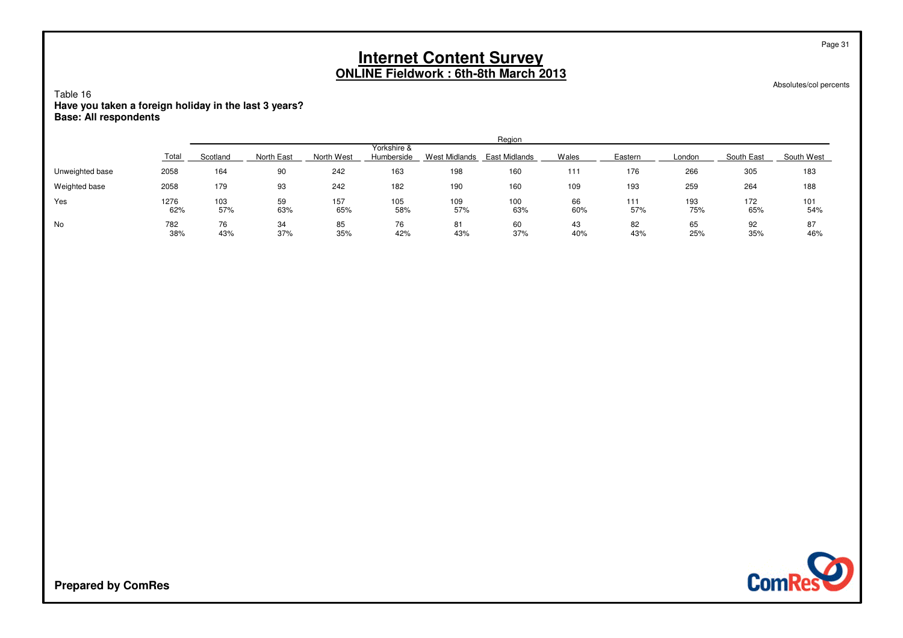Absolutes/col percents

Page 31

Table 16**Have you taken a foreign holiday in the last 3 years? Base: All respondents**

|                 |             |            |            |            |                           |                      | Region               |           |            |            |            |            |
|-----------------|-------------|------------|------------|------------|---------------------------|----------------------|----------------------|-----------|------------|------------|------------|------------|
|                 | Total       | Scotland   | North East | North West | Yorkshire &<br>Humberside | <b>West Midlands</b> | <b>East Midlands</b> | Wales     | Eastern    | London     | South East | South West |
| Unweighted base | 2058        | 164        | 90         | 242        | 163                       | 198                  | 160                  | 111       | 176        | 266        | 305        | 183        |
| Weighted base   | 2058        | 179        | 93         | 242        | 182                       | 190                  | 160                  | 109       | 193        | 259        | 264        | 188        |
| Yes             | 1276<br>62% | 103<br>57% | 59<br>63%  | 157<br>65% | 105<br>58%                | 109<br>57%           | 100<br>63%           | 66<br>60% | 111<br>57% | 193<br>75% | 172<br>65% | 101<br>54% |
| No              | 782<br>38%  | 76<br>43%  | 34<br>37%  | 85<br>35%  | 76<br>42%                 | 81<br>43%            | 60<br>37%            | 43<br>40% | 82<br>43%  | 65<br>25%  | 92<br>35%  | 87<br>46%  |

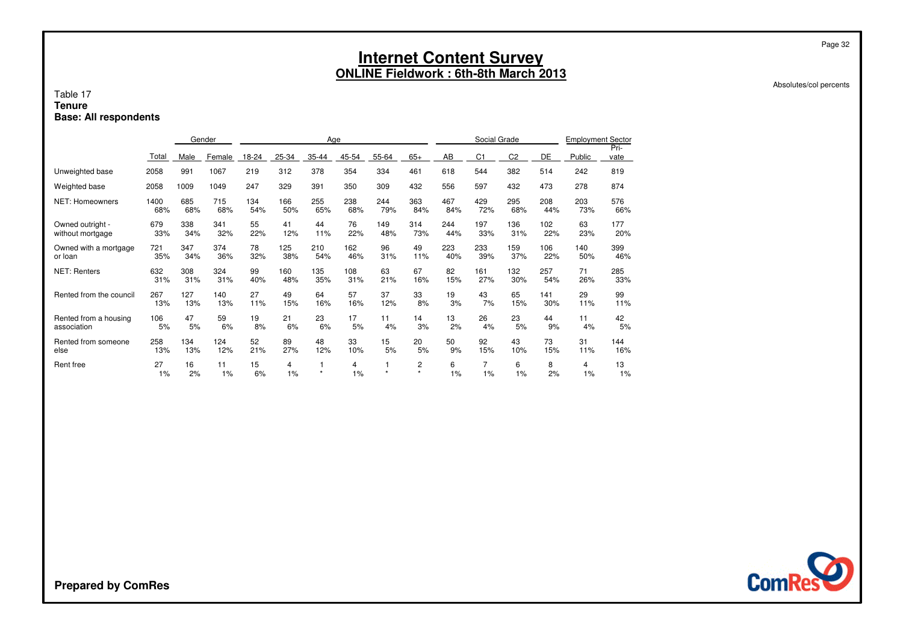Absolutes/col percents

Page 32

#### Table 17 **TenureBase: All respondents**

|                         |          |          | Gender   |          |         | Age     |         |       |               |         | Social Grade   |                |         | <b>Employment Sector</b> |              |
|-------------------------|----------|----------|----------|----------|---------|---------|---------|-------|---------------|---------|----------------|----------------|---------|--------------------------|--------------|
|                         | Total    | Male     | Female   | 18-24    | 25-34   | 35-44   | 45-54   | 55-64 | $65+$         | AB      | C <sub>1</sub> | C <sub>2</sub> | DE      | Public                   | Pri-<br>vate |
| Unweighted base         | 2058     | 991      | 1067     | 219      | 312     | 378     | 354     | 334   | 461           | 618     | 544            | 382            | 514     | 242                      | 819          |
| Weighted base           | 2058     | 1009     | 1049     | 247      | 329     | 391     | 350     | 309   | 432           | 556     | 597            | 432            | 473     | 278                      | 874          |
| <b>NET: Homeowners</b>  | 1400     | 685      | 715      | 134      | 166     | 255     | 238     | 244   | 363           | 467     | 429            | 295            | 208     | 203                      | 576          |
|                         | 68%      | 68%      | 68%      | 54%      | 50%     | 65%     | 68%     | 79%   | 84%           | 84%     | 72%            | 68%            | 44%     | 73%                      | 66%          |
| Owned outright -        | 679      | 338      | 341      | 55       | 41      | 44      | 76      | 149   | 314           | 244     | 197            | 136            | 102     | 63                       | 177          |
| without mortgage        | 33%      | 34%      | 32%      | 22%      | 12%     | 11%     | 22%     | 48%   | 73%           | 44%     | 33%            | 31%            | 22%     | 23%                      | 20%          |
| Owned with a mortgage   | 721      | 347      | 374      | 78       | 125     | 210     | 162     | 96    | 49            | 223     | 233            | 159            | 106     | 140                      | 399          |
| or loan                 | 35%      | 34%      | 36%      | 32%      | 38%     | 54%     | 46%     | 31%   | 11%           | 40%     | 39%            | 37%            | 22%     | 50%                      | 46%          |
| <b>NET: Renters</b>     | 632      | 308      | 324      | 99       | 160     | 135     | 108     | 63    | 67            | 82      | 161            | 132            | 257     | 71                       | 285          |
|                         | 31%      | 31%      | 31%      | 40%      | 48%     | 35%     | 31%     | 21%   | 16%           | 15%     | 27%            | 30%            | 54%     | 26%                      | 33%          |
| Rented from the council | 267      | 127      | 140      | 27       | 49      | 64      | 57      | 37    | 33            | 19      | 43             | 65             | 141     | 29                       | 99           |
|                         | 13%      | 13%      | 13%      | 11%      | 15%     | 16%     | 16%     | 12%   | 8%            | 3%      | 7%             | 15%            | 30%     | 11%                      | 11%          |
| Rented from a housing   | 106      | 47       | 59       | 19       | 21      | 23      | 17      | 11    | 14            | 13      | 26             | 23             | 44      | 11                       | 42           |
| association             | 5%       | 5%       | 6%       | 8%       | 6%      | 6%      | 5%      | 4%    | 3%            | 2%      | 4%             | 5%             | 9%      | 4%                       | 5%           |
| Rented from someone     | 258      | 134      | 124      | 52       | 89      | 48      | 33      | 15    | 20            | 50      | 92             | 43             | 73      | 31                       | 144          |
| else                    | 13%      | 13%      | 12%      | 21%      | 27%     | 12%     | 10%     | 5%    | 5%            | 9%      | 15%            | 10%            | 15%     | 11%                      | 16%          |
| Rent free               | 27<br>1% | 16<br>2% | 11<br>1% | 15<br>6% | 4<br>1% | $\star$ | 4<br>1% |       | 2<br>$^\star$ | 6<br>1% | 7<br>1%        | 6<br>1%        | 8<br>2% | 4<br>1%                  | 13<br>1%     |

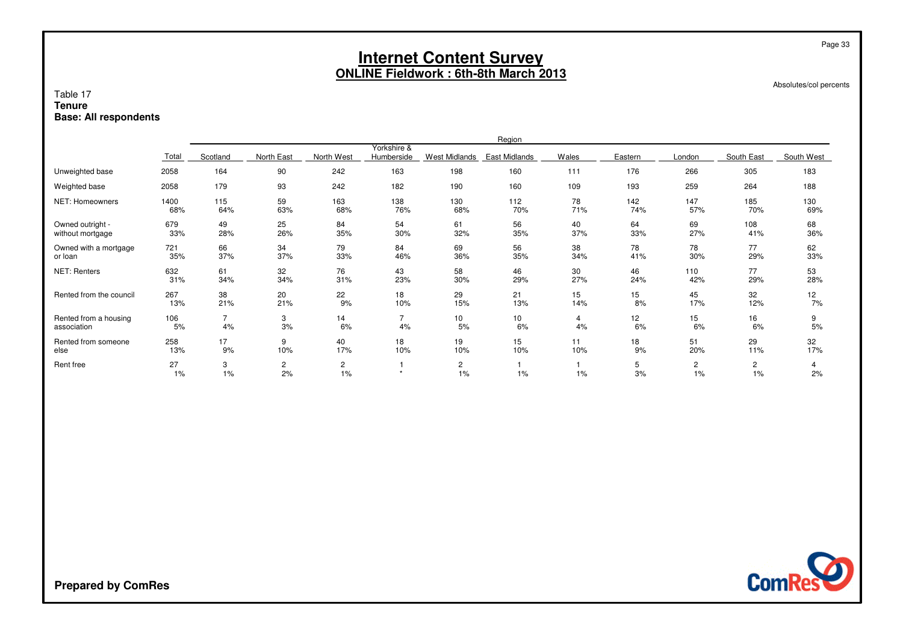Absolutes/col percents

Page 33

#### Table 17 **TenureBase: All respondents**

|                         |          |                |                      |                             |                           |                      | Region          |       |         |                      |                    |            |
|-------------------------|----------|----------------|----------------------|-----------------------------|---------------------------|----------------------|-----------------|-------|---------|----------------------|--------------------|------------|
|                         | Total    | Scotland       | North East           | North West                  | Yorkshire &<br>Humberside | <b>West Midlands</b> | East Midlands   | Wales | Eastern | London               | South East         | South West |
| Unweighted base         | 2058     | 164            | 90                   | 242                         | 163                       | 198                  | 160             | 111   | 176     | 266                  | 305                | 183        |
| Weighted base           | 2058     | 179            | 93                   | 242                         | 182                       | 190                  | 160             | 109   | 193     | 259                  | 264                | 188        |
| NET: Homeowners         | 1400     | 115            | 59                   | 163                         | 138                       | 130                  | 112             | 78    | 142     | 147                  | 185                | 130        |
|                         | 68%      | 64%            | 63%                  | 68%                         | 76%                       | 68%                  | 70%             | 71%   | 74%     | 57%                  | 70%                | 69%        |
| Owned outright -        | 679      | 49             | 25                   | 84                          | 54                        | 61                   | 56              | 40    | 64      | 69                   | 108                | 68         |
| without mortgage        | 33%      | 28%            | 26%                  | 35%                         | 30%                       | 32%                  | 35%             | 37%   | 33%     | 27%                  | 41%                | 36%        |
| Owned with a mortgage   | 721      | 66             | 34                   | 79                          | 84                        | 69                   | 56              | 38    | 78      | 78                   | 77                 | 62         |
| or loan                 | 35%      | 37%            | 37%                  | 33%                         | 46%                       | 36%                  | 35%             | 34%   | 41%     | 30%                  | 29%                | 33%        |
| <b>NET: Renters</b>     | 632      | 61             | 32                   | 76                          | 43                        | 58                   | 46              | 30    | 46      | 110                  | 77                 | 53         |
|                         | 31%      | 34%            | 34%                  | 31%                         | 23%                       | 30%                  | 29%             | 27%   | 24%     | 42%                  | 29%                | 28%        |
| Rented from the council | 267      | 38             | 20                   | 22                          | 18                        | 29                   | 21              | 15    | 15      | 45                   | 32                 | 12         |
|                         | 13%      | 21%            | 21%                  | 9%                          | 10%                       | 15%                  | 13%             | 14%   | 8%      | 17%                  | 12%                | 7%         |
| Rented from a housing   | 106      | $\overline{7}$ | 3                    | 14                          | $\overline{7}$            | 10                   | 10 <sub>1</sub> | 4     | 12      | 15                   | 16                 | 9          |
| association             | 5%       | 4%             | 3%                   | 6%                          | 4%                        | 5%                   | 6%              | 4%    | 6%      | 6%                   | 6%                 | 5%         |
| Rented from someone     | 258      | 17             | 9                    | 40                          | 18                        | 19                   | 15              | 11    | 18      | 51                   | 29                 | 32         |
| else                    | 13%      | 9%             | 10%                  | 17%                         | 10%                       | 10%                  | 10%             | 10%   | 9%      | 20%                  | 11%                | 17%        |
| Rent free               | 27<br>1% | 3<br>1%        | $\overline{c}$<br>2% | $\mathbf{2}^{\prime}$<br>1% | $\star$                   | $\overline{2}$<br>1% | 1%              | 1%    | 5<br>3% | $\overline{c}$<br>1% | $\mathbf{2}$<br>1% | 4<br>2%    |

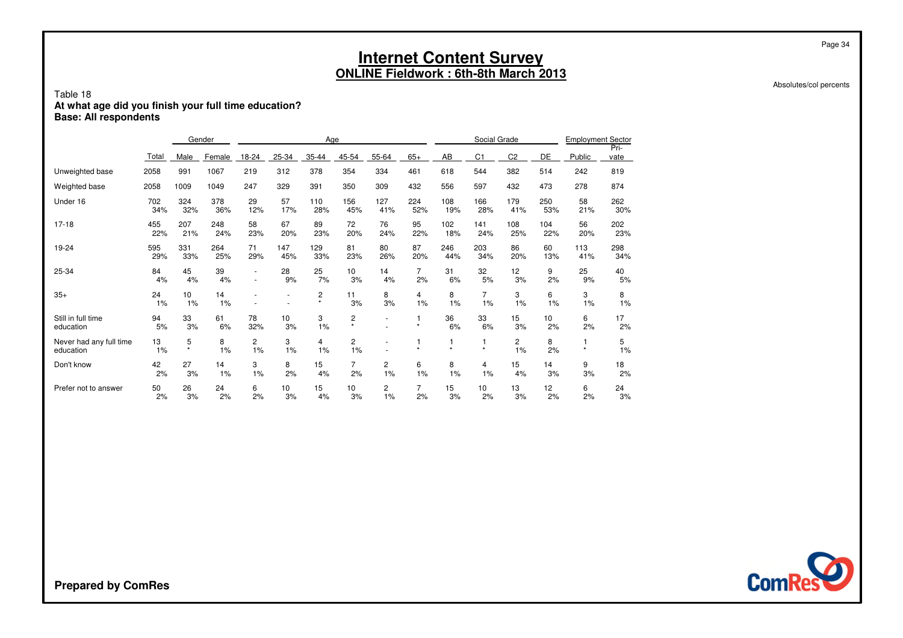Absolutes/col percents

Page 34

### Table 18**At what age did you finish your full time education? Base: All respondents**

|                                      |            |              | Gender     | Age                  |            |               |                      |            |                      | Social Grade |                      |                | <b>Employment Sector</b> |            |              |
|--------------------------------------|------------|--------------|------------|----------------------|------------|---------------|----------------------|------------|----------------------|--------------|----------------------|----------------|--------------------------|------------|--------------|
|                                      | Total      | Male         | Female     | 18-24                | 25-34      | 35-44         | 45-54                | 55-64      | $65+$                | AB           | C <sub>1</sub>       | C <sub>2</sub> | DE                       | Public     | Pri-<br>vate |
| Unweighted base                      | 2058       | 991          | 1067       | 219                  | 312        | 378           | 354                  | 334        | 461                  | 618          | 544                  | 382            | 514                      | 242        | 819          |
| Weighted base                        | 2058       | 1009         | 1049       | 247                  | 329        | 391           | 350                  | 309        | 432                  | 556          | 597                  | 432            | 473                      | 278        | 874          |
| Under 16                             | 702<br>34% | 324<br>32%   | 378<br>36% | 29<br>12%            | 57<br>17%  | 110<br>28%    | 156<br>45%           | 127<br>41% | 224<br>52%           | 108<br>19%   | 166<br>28%           | 179<br>41%     | 250<br>53%               | 58<br>21%  | 262<br>30%   |
| $17 - 18$                            | 455<br>22% | 207<br>21%   | 248<br>24% | 58<br>23%            | 67<br>20%  | 89<br>23%     | 72<br>20%            | 76<br>24%  | 95<br>22%            | 102<br>18%   | 141<br>24%           | 108<br>25%     | 104<br>22%               | 56<br>20%  | 202<br>23%   |
| 19-24                                | 595<br>29% | 331<br>33%   | 264<br>25% | 71<br>29%            | 147<br>45% | 129<br>33%    | 81<br>23%            | 80<br>26%  | 87<br>20%            | 246<br>44%   | 203<br>34%           | 86<br>20%      | 60<br>13%                | 113<br>41% | 298<br>34%   |
| 25-34                                | 84<br>4%   | 45<br>4%     | 39<br>4%   |                      | 28<br>9%   | 25<br>7%      | 10<br>3%             | 14<br>4%   | $\overline{7}$<br>2% | 31<br>6%     | 32<br>5%             | 12<br>3%       | 9<br>2%                  | 25<br>9%   | 40<br>5%     |
| $35+$                                | 24<br>1%   | 10<br>1%     | 14<br>1%   |                      |            | 2<br>$^\star$ | 11<br>3%             | 8<br>3%    | 4<br>1%              | 8<br>1%      | $\overline{7}$<br>1% | 3<br>1%        | 6<br>1%                  | 3<br>1%    | 8<br>1%      |
| Still in full time<br>education      | 94<br>5%   | 33<br>3%     | 61<br>6%   | 78<br>32%            | 10<br>3%   | 3<br>1%       | 2<br>$\star$         | ٠          | 1<br>$\star$         | 36<br>6%     | 33<br>6%             | 15<br>3%       | 10<br>2%                 | 6<br>2%    | 17<br>2%     |
| Never had any full time<br>education | 13<br>1%   | 5<br>$\star$ | 8<br>1%    | $\overline{c}$<br>1% | 3<br>1%    | 4<br>1%       | 2<br>1%              |            | $\star$              | $\star$      | $\star$              | 2<br>1%        | 8<br>2%                  | $\star$    | 5<br>1%      |
| Don't know                           | 42<br>2%   | 27<br>3%     | 14<br>1%   | 3<br>1%              | 8<br>2%    | 15<br>4%      | $\overline{7}$<br>2% | 2<br>1%    | 6<br>1%              | 8<br>1%      | 4<br>1%              | 15<br>4%       | 14<br>3%                 | 9<br>3%    | 18<br>2%     |
| Prefer not to answer                 | 50<br>2%   | 26<br>3%     | 24<br>2%   | 6<br>2%              | 10<br>3%   | 15<br>4%      | 10<br>3%             | 2<br>1%    | $\overline{7}$<br>2% | 15<br>3%     | 10<br>2%             | 13<br>3%       | 12<br>2%                 | 6<br>2%    | 24<br>3%     |

**ComRes**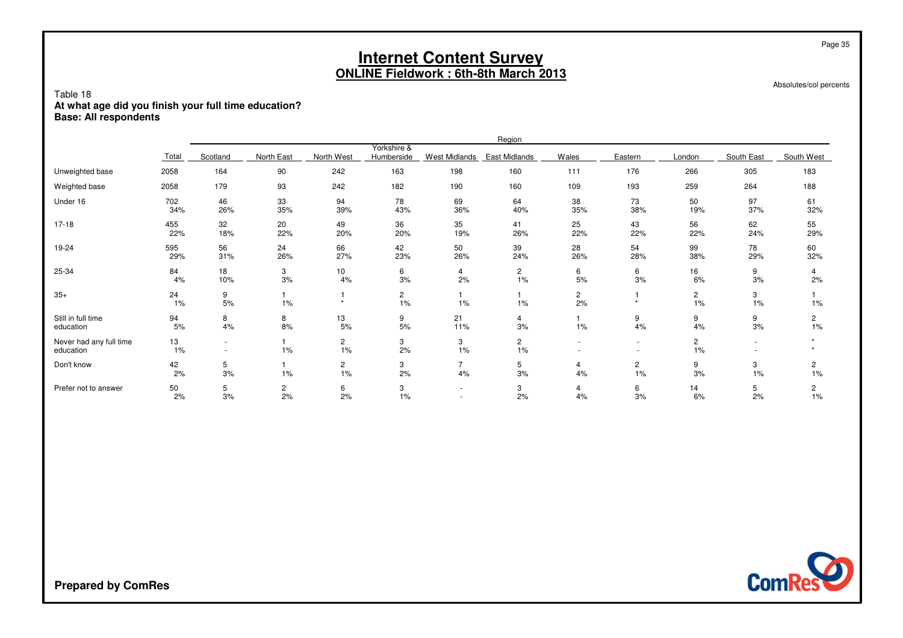Absolutes/col percents

Page 35

### Table 18**At what age did you finish your full time education? Base: All respondents**

|                                      |            |                                    |                      |                       |                           |                      | Region               |                      |                      |                      |                          |                      |
|--------------------------------------|------------|------------------------------------|----------------------|-----------------------|---------------------------|----------------------|----------------------|----------------------|----------------------|----------------------|--------------------------|----------------------|
|                                      | Total      | Scotland                           | North East           | North West            | Yorkshire &<br>Humberside | <b>West Midlands</b> | East Midlands        | Wales                | Eastern              | London               | South East               | South West           |
| Unweighted base                      | 2058       | 164                                | 90                   | 242                   | 163                       | 198                  | 160                  | 111                  | 176                  | 266                  | 305                      | 183                  |
| Weighted base                        | 2058       | 179                                | 93                   | 242                   | 182                       | 190                  | 160                  | 109                  | 193                  | 259                  | 264                      | 188                  |
| Under 16                             | 702<br>34% | 46<br>26%                          | 33<br>35%            | 94<br>39%             | 78<br>43%                 | 69<br>36%            | 64<br>40%            | 38<br>35%            | 73<br>38%            | 50<br>19%            | 97<br>37%                | 61<br>32%            |
| $17-18$                              | 455<br>22% | 32<br>18%                          | 20<br>22%            | 49<br>20%             | 36<br>20%                 | 35<br>19%            | 41<br>26%            | 25<br>22%            | 43<br>22%            | 56<br>22%            | 62<br>24%                | 55<br>29%            |
| 19-24                                | 595<br>29% | 56<br>31%                          | 24<br>26%            | 66<br>27%             | 42<br>23%                 | 50<br>26%            | 39<br>24%            | 28<br>26%            | 54<br>28%            | 99<br>38%            | 78<br>29%                | 60<br>32%            |
| 25-34                                | 84<br>4%   | 18<br>10%                          | 3<br>3%              | 10 <sub>1</sub><br>4% | 6<br>3%                   | $\overline{4}$<br>2% | $\overline{2}$<br>1% | 6<br>5%              | 6<br>3%              | 16<br>6%             | 9<br>3%                  | 4<br>2%              |
| $35+$                                | 24<br>1%   | 9<br>5%                            | 1%                   | $\star$               | $\overline{c}$<br>1%      | 1%                   | 1%                   | $\overline{c}$<br>2% | $\star$              | $\overline{c}$<br>1% | 3<br>1%                  | 1%                   |
| Still in full time<br>education      | 94<br>5%   | 8<br>4%                            | 8<br>8%              | 13<br>5%              | 9<br>5%                   | 21<br>11%            | 4<br>3%              | 1%                   | 9<br>4%              | 9<br>4%              | 9<br>3%                  | 2<br>1%              |
| Never had any full time<br>education | 13<br>1%   | $\sim$<br>$\overline{\phantom{a}}$ | 1%                   | $\overline{c}$<br>1%  | 3<br>2%                   | 3<br>1%              | $\overline{c}$<br>1% | ٠<br>٠               | $\sim$<br>$\sim$     | $\overline{c}$<br>1% | $\overline{\phantom{a}}$ |                      |
| Don't know                           | 42<br>2%   | 5<br>3%                            | 1%                   | $\overline{c}$<br>1%  | 3<br>2%                   | $\overline{7}$<br>4% | 5<br>3%              | 4<br>4%              | $\overline{c}$<br>1% | 9<br>3%              | 3<br>1%                  | 2<br>1%              |
| Prefer not to answer                 | 50<br>2%   | 5<br>3%                            | $\overline{c}$<br>2% | 6<br>2%               | 3<br>1%                   | ٠<br>$\overline{a}$  | 3<br>2%              | 4<br>4%              | 6<br>3%              | 14<br>6%             | 5<br>2%                  | $\overline{c}$<br>1% |

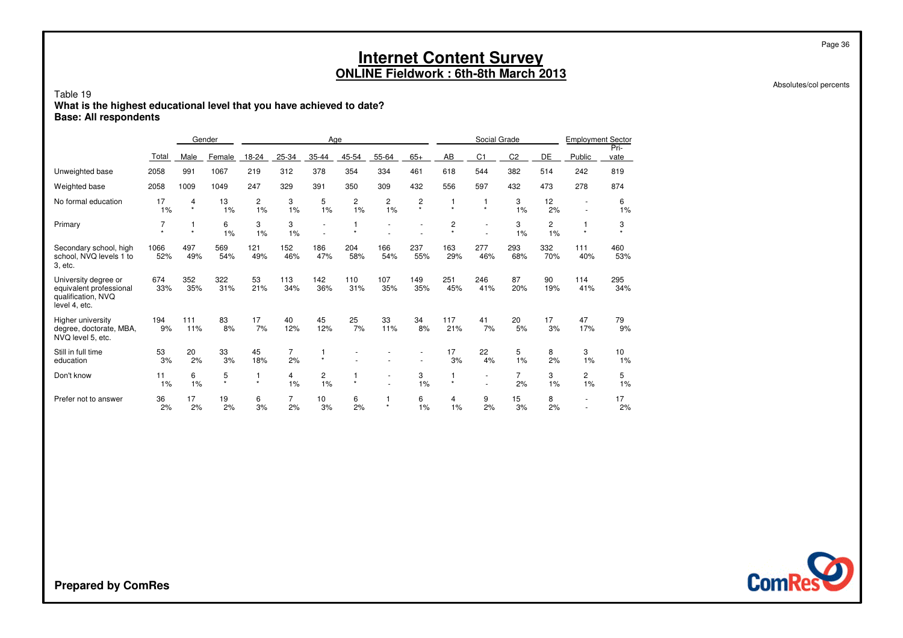#### Table 19 **What is the highest educational level that you have achieved to date?Base: All respondents**

|                                                                                        |                           |                         | Gender       |                         |                      | Age                   |                      |                                  |              |                           | Social Grade   |                      |            | <b>Employment Sector</b>    |              |
|----------------------------------------------------------------------------------------|---------------------------|-------------------------|--------------|-------------------------|----------------------|-----------------------|----------------------|----------------------------------|--------------|---------------------------|----------------|----------------------|------------|-----------------------------|--------------|
|                                                                                        | Total                     | Male                    | Female       | 18-24                   | 25-34                | 35-44                 | 45-54                | 55-64                            | $65+$        | AB                        | C <sub>1</sub> | C <sub>2</sub>       | DE         | Public                      | Pri-<br>vate |
| Unweighted base                                                                        | 2058                      | 991                     | 1067         | 219                     | 312                  | 378                   | 354                  | 334                              | 461          | 618                       | 544            | 382                  | 514        | 242                         | 819          |
| Weighted base                                                                          | 2058                      | 1009                    | 1049         | 247                     | 329                  | 391                   | 350                  | 309                              | 432          | 556                       | 597            | 432                  | 473        | 278                         | 874          |
| No formal education                                                                    | 17<br>1%                  | 4<br>$\star$            | 13<br>1%     | 2<br>1%                 | 3<br>1%              | 5<br>1%               | $\overline{c}$<br>1% | 2<br>1%                          | 2<br>$\star$ | $\star$                   | $\star$        | 3<br>1%              | 12<br>2%   |                             | 6<br>1%      |
| Primary                                                                                | 7<br>$\ddot{\phantom{1}}$ | $\mathbf{1}$<br>$\star$ | 6<br>1%      | 3<br>1%                 | 3<br>1%              | ٠                     | $\star$              |                                  |              | $\overline{c}$<br>$\star$ |                | 3<br>1%              | 2<br>1%    | $\star$                     | 3<br>$\star$ |
| Secondary school, high<br>school, NVQ levels 1 to<br>3, etc.                           | 1066<br>52%               | 497<br>49%              | 569<br>54%   | 121<br>49%              | 152<br>46%           | 186<br>47%            | 204<br>58%           | 166<br>54%                       | 237<br>55%   | 163<br>29%                | 277<br>46%     | 293<br>68%           | 332<br>70% | 111<br>40%                  | 460<br>53%   |
| University degree or<br>equivalent professional<br>qualification, NVQ<br>level 4, etc. | 674<br>33%                | 352<br>35%              | 322<br>31%   | 53<br>21%               | 113<br>34%           | 142<br>36%            | 110<br>31%           | 107<br>35%                       | 149<br>35%   | 251<br>45%                | 246<br>41%     | 87<br>20%            | 90<br>19%  | 114<br>41%                  | 295<br>34%   |
| Higher university<br>degree, doctorate, MBA,<br>NVQ level 5, etc.                      | 194<br>9%                 | 111<br>11%              | 83<br>8%     | 17<br>7%                | 40<br>12%            | 45<br>12%             | 25<br>7%             | 33<br>11%                        | 34<br>8%     | 117<br>21%                | 41<br>7%       | 20<br>5%             | 17<br>3%   | 47<br>17%                   | 79<br>9%     |
| Still in full time<br>education                                                        | 53<br>3%                  | 20<br>2%                | 33<br>3%     | 45<br>18%               | $\overline{7}$<br>2% | 1<br>$\star$          |                      |                                  |              | 17<br>3%                  | 22<br>4%       | 5<br>1%              | 8<br>2%    | 3<br>1%                     | 10<br>1%     |
| Don't know                                                                             | 11<br>1%                  | 6<br>1%                 | 5<br>$\star$ | $\mathbf{1}$<br>$\star$ | 4<br>1%              | 2<br>1%               | $\star$              | $\overline{a}$<br>$\overline{a}$ | 3<br>1%      | $\star$                   | ٠              | $\overline{7}$<br>2% | 3<br>1%    | $\mathbf{2}^{\prime}$<br>1% | 5<br>1%      |
| Prefer not to answer                                                                   | 36<br>2%                  | 17<br>2%                | 19<br>2%     | 6<br>3%                 | $\overline{7}$<br>2% | 10 <sup>1</sup><br>3% | 6<br>2%              | $\star$                          | 6<br>1%      | 4<br>1%                   | 9<br>2%        | 15<br>3%             | 8<br>2%    |                             | 17<br>2%     |

**ComRes** 

Page 36

Absolutes/col percents

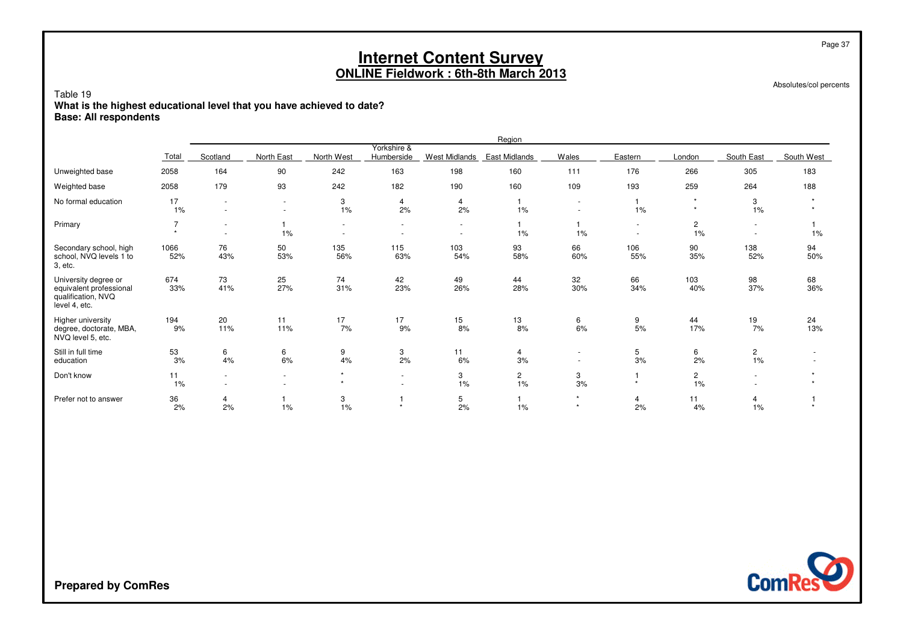Absolutes/col percents

Page 37

#### Table 19 **What is the highest educational level that you have achieved to date?Base: All respondents**

|                                                                                        |                           |                                    |                                                      |                                    |                                                      |                                    | Region               |                    |            |                         |                      |            |
|----------------------------------------------------------------------------------------|---------------------------|------------------------------------|------------------------------------------------------|------------------------------------|------------------------------------------------------|------------------------------------|----------------------|--------------------|------------|-------------------------|----------------------|------------|
|                                                                                        | Total                     | Scotland                           | North East                                           | North West                         | Yorkshire &<br>Humberside                            | <b>West Midlands</b>               | East Midlands        | Wales              | Eastern    | London                  | South East           | South West |
| Unweighted base                                                                        | 2058                      | 164                                | 90                                                   | 242                                | 163                                                  | 198                                | 160                  | 111                | 176        | 266                     | 305                  | 183        |
| Weighted base                                                                          | 2058                      | 179                                | 93                                                   | 242                                | 182                                                  | 190                                | 160                  | 109                | 193        | 259                     | 264                  | 188        |
| No formal education                                                                    | 17<br>1%                  | $\sim$<br>$\sim$                   | $\sim$<br>$\overline{\phantom{a}}$                   | 3<br>1%                            | $\overline{4}$<br>2%                                 | 4<br>2%                            | 1%                   | $\sim$<br>$\sim$   | $1\%$      | $\star$                 | 3<br>1%              |            |
| Primary                                                                                | $\overline{7}$<br>$\star$ | $\sim$<br>$\sim$                   | 1<br>$1\%$                                           | $\sim$<br>$\overline{\phantom{a}}$ | $\overline{\phantom{a}}$<br>$\overline{\phantom{a}}$ | $\sim$<br>$\overline{\phantom{a}}$ | 1%                   | 1%                 | $\sim$     | $\overline{c}$<br>$1\%$ | $\sim$               | $1\%$      |
| Secondary school, high<br>school, NVQ levels 1 to<br>3, etc.                           | 1066<br>52%               | 76<br>43%                          | 50<br>53%                                            | 135<br>56%                         | 115<br>63%                                           | 103<br>54%                         | 93<br>58%            | 66<br>60%          | 106<br>55% | 90<br>35%               | 138<br>52%           | 94<br>50%  |
| University degree or<br>equivalent professional<br>qualification, NVQ<br>level 4, etc. | 674<br>33%                | 73<br>41%                          | 25<br>27%                                            | 74<br>31%                          | 42<br>23%                                            | 49<br>26%                          | 44<br>28%            | 32<br>$30\%$       | 66<br>34%  | 103<br>40%              | 98<br>37%            | 68<br>36%  |
| Higher university<br>degree, doctorate, MBA,<br>NVQ level 5, etc.                      | 194<br>9%                 | 20<br>11%                          | 11<br>11%                                            | 17<br>$7\%$                        | 17<br>9%                                             | 15<br>8%                           | 13<br>8%             | 6<br>6%            | 9<br>5%    | 44<br>17%               | 19<br>7%             | 24<br>13%  |
| Still in full time<br>education                                                        | 53<br>3%                  | 6<br>4%                            | 6<br>6%                                              | 9<br>4%                            | 3<br>2%                                              | 11<br>6%                           | 4<br>3%              | ٠<br>$\sim$        | 5<br>3%    | 6<br>2%                 | $\overline{c}$<br>1% |            |
| Don't know                                                                             | 11<br>1%                  | $\overline{\phantom{a}}$<br>$\sim$ | $\overline{\phantom{a}}$<br>$\overline{\phantom{a}}$ | $\star$<br>$\star$                 | $\overline{\phantom{a}}$<br>$\overline{\phantom{a}}$ | 3<br>1%                            | $\overline{c}$<br>1% | 3<br>3%            | $\star$    | $\overline{c}$<br>1%    | $\sim$               |            |
| Prefer not to answer                                                                   | 36<br>2%                  | 4<br>2%                            | 1<br>1%                                              | 3<br>1%                            | $\star$                                              | 5<br>2%                            | 1%                   | $\star$<br>$\star$ | 4<br>2%    | 11<br>4%                | 4<br>1%              |            |

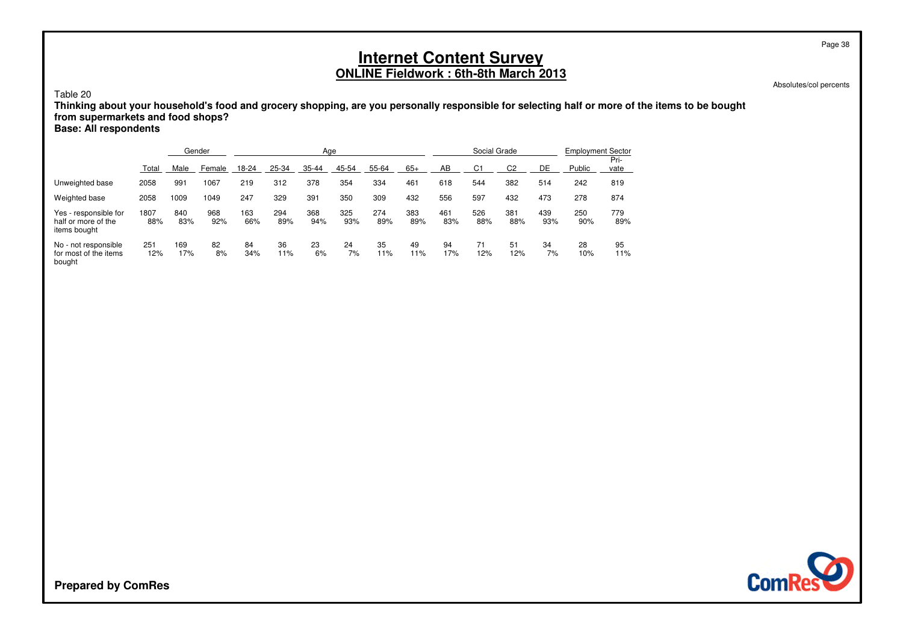Table 20

 **Thinking about your household's food and grocery shopping, are you personally responsible for selecting half or more of the items to be boughtfrom supermarkets and food shops?**

**Base: All respondents**

|                                                              |             | Gender     |            |            |            | Age        |            |            |            |            | Social Grade   |            |            | <b>Employment Sector</b> |              |
|--------------------------------------------------------------|-------------|------------|------------|------------|------------|------------|------------|------------|------------|------------|----------------|------------|------------|--------------------------|--------------|
|                                                              | Total       | Male       | Female     | $18 - 24$  | 25-34      | 35-44      | 45-54      | 55-64      | $65+$      | AB         | C <sub>1</sub> | C2         | DE         | Public                   | Pri-<br>vate |
| Unweighted base                                              | 2058        | 991        | 1067       | 219        | 312        | 378        | 354        | 334        | 461        | 618        | 544            | 382        | 514        | 242                      | 819          |
| Weighted base                                                | 2058        | 1009       | 1049       | 247        | 329        | 391        | 350        | 309        | 432        | 556        | 597            | 432        | 473        | 278                      | 874          |
| Yes - responsible for<br>half or more of the<br>items bought | 1807<br>88% | 840<br>83% | 968<br>92% | 163<br>66% | 294<br>89% | 368<br>94% | 325<br>93% | 274<br>89% | 383<br>89% | 461<br>83% | 526<br>88%     | 381<br>88% | 439<br>93% | 250<br>90%               | 779<br>89%   |
| No - not responsible<br>for most of the items<br>bought      | 251<br>12%  | 169<br>17% | 82<br>8%   | 84<br>34%  | 36<br>11%  | 23<br>6%   | 24<br>7%   | 35<br>11%  | 49<br>11%  | 94<br>17%  | 71<br>12%      | 51<br>12%  | 34<br>7%   | 28<br>10%                | 95<br>11%    |

Absolutes/col percents



**Prepared by ComRes**

Page 38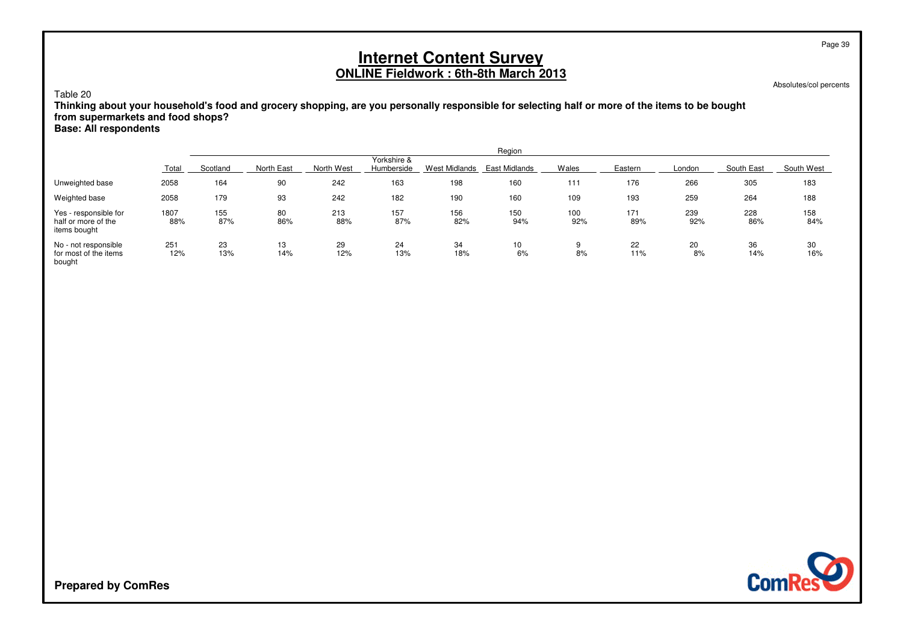Absolutes/col percents

Page 39

### Table 20

 **Thinking about your household's food and grocery shopping, are you personally responsible for selecting half or more of the items to be boughtfrom supermarkets and food shops?**

### **Base: All respondents**

|                                                              |             |            |            |            |                           |               | Region        |            |            |            |            |            |
|--------------------------------------------------------------|-------------|------------|------------|------------|---------------------------|---------------|---------------|------------|------------|------------|------------|------------|
|                                                              | Total       | Scotland   | North East | North West | Yorkshire &<br>Humberside | West Midlands | East Midlands | Wales      | Eastern    | London     | South East | South West |
| Unweighted base                                              | 2058        | 164        | 90         | 242        | 163                       | 198           | 160           | 111        | 176        | 266        | 305        | 183        |
| Weighted base                                                | 2058        | 179        | 93         | 242        | 182                       | 190           | 160           | 109        | 193        | 259        | 264        | 188        |
| Yes - responsible for<br>half or more of the<br>items bought | 1807<br>88% | 155<br>87% | 80<br>86%  | 213<br>88% | 157<br>87%                | 156<br>82%    | 150<br>94%    | 100<br>92% | 171<br>89% | 239<br>92% | 228<br>86% | 158<br>84% |
| No - not responsible<br>for most of the items<br>bought      | 251<br>12%  | 23<br>13%  | 13<br>14%  | 29<br>12%  | 24<br>13%                 | 34<br>18%     | 10<br>6%      | 9<br>8%    | 22<br>11%  | 20<br>8%   | 36<br>14%  | 30<br>16%  |

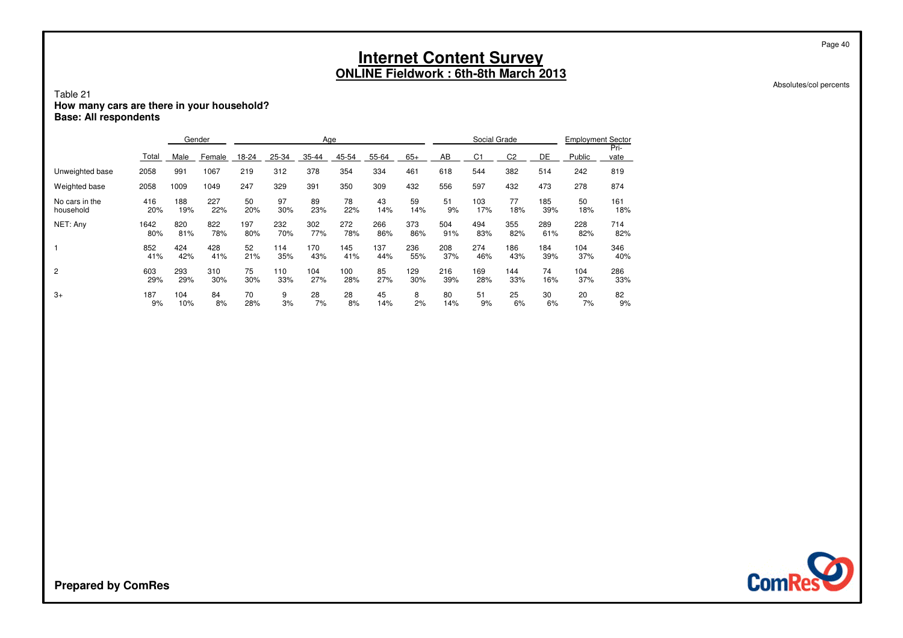#### Absolutes/col percents

Page 40

### Table 21**How many cars are there in your household? Base: All respondents**

|                 |       |      | Gender |       |       | Age   |       |       |       |     | Social Grade |                |     | <b>Employment Sector</b> |              |
|-----------------|-------|------|--------|-------|-------|-------|-------|-------|-------|-----|--------------|----------------|-----|--------------------------|--------------|
|                 | Total | Male | Female | 18-24 | 25-34 | 35-44 | 45-54 | 55-64 | $65+$ | AB  | C1           | C <sub>2</sub> | DE  | Public                   | Pri-<br>vate |
| Unweighted base | 2058  | 991  | 1067   | 219   | 312   | 378   | 354   | 334   | 461   | 618 | 544          | 382            | 514 | 242                      | 819          |
| Weighted base   | 2058  | 1009 | 1049   | 247   | 329   | 391   | 350   | 309   | 432   | 556 | 597          | 432            | 473 | 278                      | 874          |
| No cars in the  | 416   | 188  | 227    | 50    | 97    | 89    | 78    | 43    | 59    | 51  | 103          | 77             | 185 | 50                       | 161          |
| household       | 20%   | 19%  | 22%    | 20%   | 30%   | 23%   | 22%   | 14%   | 14%   | 9%  | 17%          | 18%            | 39% | 18%                      | 18%          |
| NET: Any        | 1642  | 820  | 822    | 197   | 232   | 302   | 272   | 266   | 373   | 504 | 494          | 355            | 289 | 228                      | 714          |
|                 | 80%   | 81%  | 78%    | 80%   | 70%   | 77%   | 78%   | 86%   | 86%   | 91% | 83%          | 82%            | 61% | 82%                      | 82%          |
|                 | 852   | 424  | 428    | 52    | 114   | 170   | 145   | 137   | 236   | 208 | 274          | 186            | 184 | 104                      | 346          |
|                 | 41%   | 42%  | 41%    | 21%   | 35%   | 43%   | 41%   | 44%   | 55%   | 37% | 46%          | 43%            | 39% | 37%                      | 40%          |
| 2               | 603   | 293  | 310    | 75    | 110   | 104   | 100   | 85    | 129   | 216 | 169          | 144            | 74  | 104                      | 286          |
|                 | 29%   | 29%  | 30%    | 30%   | 33%   | 27%   | 28%   | 27%   | 30%   | 39% | 28%          | 33%            | 16% | 37%                      | 33%          |
| $3+$            | 187   | 104  | 84     | 70    | 9     | 28    | 28    | 45    | 8     | 80  | 51           | 25             | 30  | 20                       | 82           |
|                 | 9%    | 10%  | 8%     | 28%   | 3%    | 7%    | 8%    | 14%   | 2%    | 14% | 9%           | 6%             | 6%  | 7%                       | 9%           |

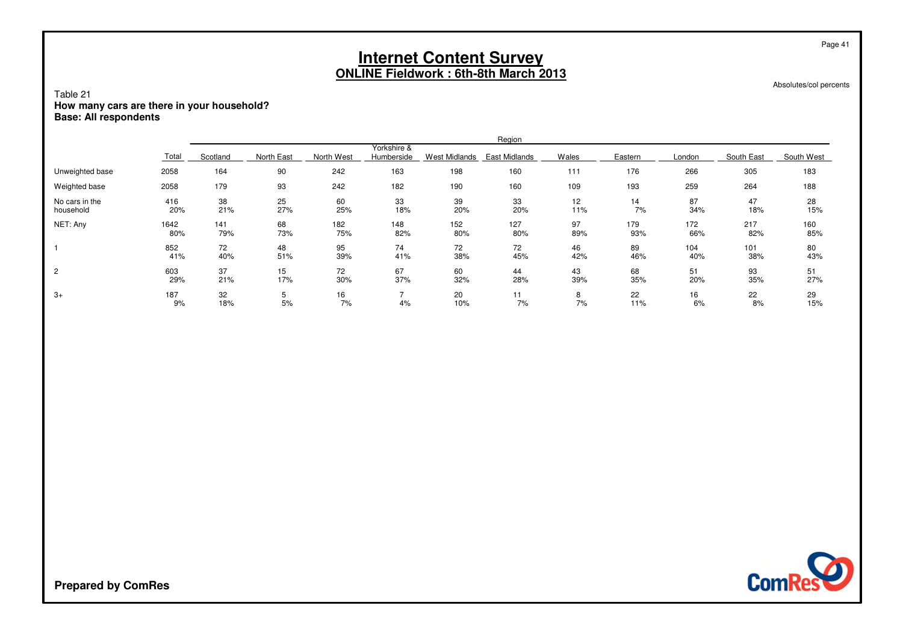Absolutes/col percents

Page 41

### Table 21**How many cars are there in your household? Base: All respondents**

|                             |             |            |            |            |                           |                      | Region               |           |            |            |            |            |
|-----------------------------|-------------|------------|------------|------------|---------------------------|----------------------|----------------------|-----------|------------|------------|------------|------------|
|                             | Total       | Scotland   | North East | North West | Yorkshire &<br>Humberside | <b>West Midlands</b> | <b>East Midlands</b> | Wales     | Eastern    | London     | South East | South West |
| Unweighted base             | 2058        | 164        | 90         | 242        | 163                       | 198                  | 160                  | 111       | 176        | 266        | 305        | 183        |
| Weighted base               | 2058        | 179        | 93         | 242        | 182                       | 190                  | 160                  | 109       | 193        | 259        | 264        | 188        |
| No cars in the<br>household | 416<br>20%  | 38<br>21%  | 25<br>27%  | 60<br>25%  | 33<br>18%                 | 39<br>20%            | 33<br>20%            | 12<br>11% | 14<br>7%   | 87<br>34%  | 47<br>18%  | 28<br>15%  |
| NET: Any                    | 1642<br>80% | 141<br>79% | 68<br>73%  | 182<br>75% | 148<br>82%                | 152<br>80%           | 127<br>80%           | 97<br>89% | 179<br>93% | 172<br>66% | 217<br>82% | 160<br>85% |
|                             | 852<br>41%  | 72<br>40%  | 48<br>51%  | 95<br>39%  | 74<br>41%                 | 72<br>38%            | 72<br>45%            | 46<br>42% | 89<br>46%  | 104<br>40% | 101<br>38% | 80<br>43%  |
| $\overline{c}$              | 603<br>29%  | 37<br>21%  | 15<br>17%  | 72<br>30%  | 67<br>37%                 | 60<br>32%            | 44<br>28%            | 43<br>39% | 68<br>35%  | 51<br>20%  | 93<br>35%  | 51<br>27%  |
| $3+$                        | 187<br>9%   | 32<br>18%  | 5<br>5%    | 16<br>7%   | 4%                        | 20<br>10%            | . .<br>7%            | 8<br>7%   | 22<br>11%  | 16<br>6%   | 22<br>8%   | 29<br>15%  |

**ComRes**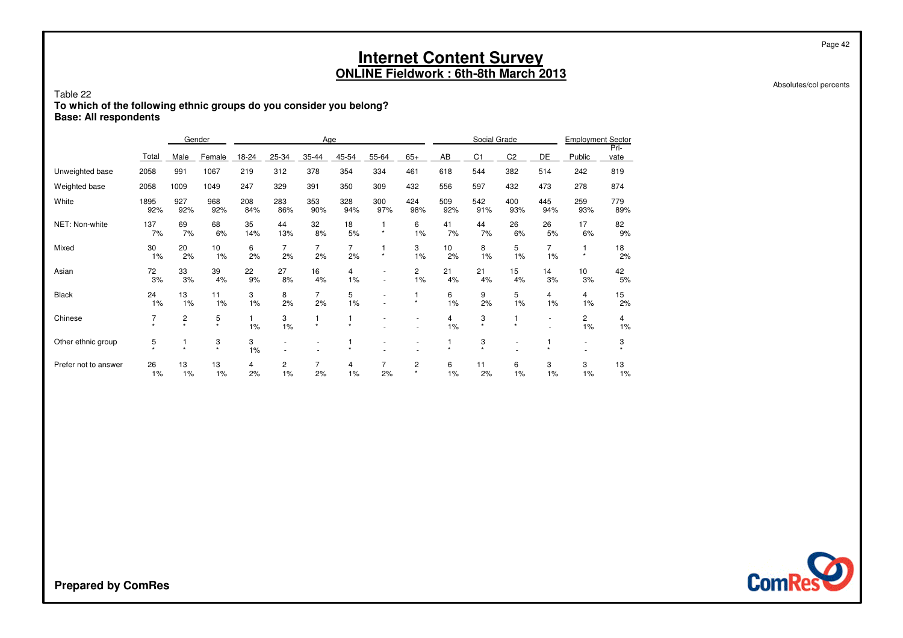Absolutes/col percents

Page 42

### Table 22**To which of the following ethnic groups do you consider you belong? Base: All respondents**

|                      |             |              | Gender       |            | Age        |                          |                      |            |                      |            | Social Grade   |                |                      | <b>Employment Sector</b> |              |
|----------------------|-------------|--------------|--------------|------------|------------|--------------------------|----------------------|------------|----------------------|------------|----------------|----------------|----------------------|--------------------------|--------------|
|                      | Total       | Male         | Female       | 18-24      | 25-34      | 35-44                    | 45-54                | 55-64      | $65+$                | AB         | C <sub>1</sub> | C <sub>2</sub> | DE                   | Public                   | Pri-<br>vate |
| Unweighted base      | 2058        | 991          | 1067         | 219        | 312        | 378                      | 354                  | 334        | 461                  | 618        | 544            | 382            | 514                  | 242                      | 819          |
| Weighted base        | 2058        | 1009         | 1049         | 247        | 329        | 391                      | 350                  | 309        | 432                  | 556        | 597            | 432            | 473                  | 278                      | 874          |
| White                | 1895<br>92% | 927<br>92%   | 968<br>92%   | 208<br>84% | 283<br>86% | 353<br>90%               | 328<br>94%           | 300<br>97% | 424<br>98%           | 509<br>92% | 542<br>91%     | 400<br>93%     | 445<br>94%           | 259<br>93%               | 779<br>89%   |
| NET: Non-white       | 137<br>7%   | 69<br>7%     | 68<br>6%     | 35<br>14%  | 44<br>13%  | 32<br>8%                 | 18<br>5%             | $\star$    | 6<br>1%              | 41<br>7%   | 44<br>7%       | 26<br>6%       | 26<br>5%             | 17<br>6%                 | 82<br>9%     |
| Mixed                | 30<br>1%    | 20<br>2%     | 10<br>1%     | 6<br>2%    | 7<br>2%    | 7<br>2%                  | $\overline{7}$<br>2% | $\star$    | 3<br>1%              | 10<br>2%   | 8<br>1%        | 5<br>1%        | $\overline{7}$<br>1% | $\star$                  | 18<br>2%     |
| Asian                | 72<br>3%    | 33<br>3%     | 39<br>4%     | 22<br>9%   | 27<br>8%   | 16<br>4%                 | 4<br>1%              |            | $\overline{c}$<br>1% | 21<br>4%   | 21<br>4%       | 15<br>4%       | 14<br>3%             | 10<br>3%                 | 42<br>5%     |
| <b>Black</b>         | 24<br>1%    | 13<br>1%     | 11<br>1%     | 3<br>1%    | 8<br>2%    | 7<br>2%                  | 5<br>1%              |            | $\star$              | 6<br>1%    | 9<br>2%        | 5<br>1%        | 4<br>1%              | $\overline{4}$<br>1%     | 15<br>2%     |
| Chinese              |             | 2<br>$\star$ | 5<br>$\star$ | 1%         | 3<br>1%    | $\star$                  | $\star$              |            |                      | 4<br>1%    | 3<br>$\star$   | $\star$        | ٠                    | $\overline{c}$<br>1%     | 4<br>1%      |
| Other ethnic group   | 5           |              | 3<br>$\star$ | 3<br>1%    | ٠          | $\overline{\phantom{a}}$ | $\star$              |            |                      | ٠          | 3<br>$\star$   | ٠              |                      | $\overline{a}$           | 3            |
| Prefer not to answer | 26<br>1%    | 13<br>1%     | 13<br>1%     | 4<br>2%    | 2<br>1%    | 7<br>2%                  | 4<br>1%              | 2%         | 2<br>$\star$         | 6<br>1%    | 11<br>2%       | 6<br>1%        | 3<br>1%              | 3<br>1%                  | 13<br>1%     |

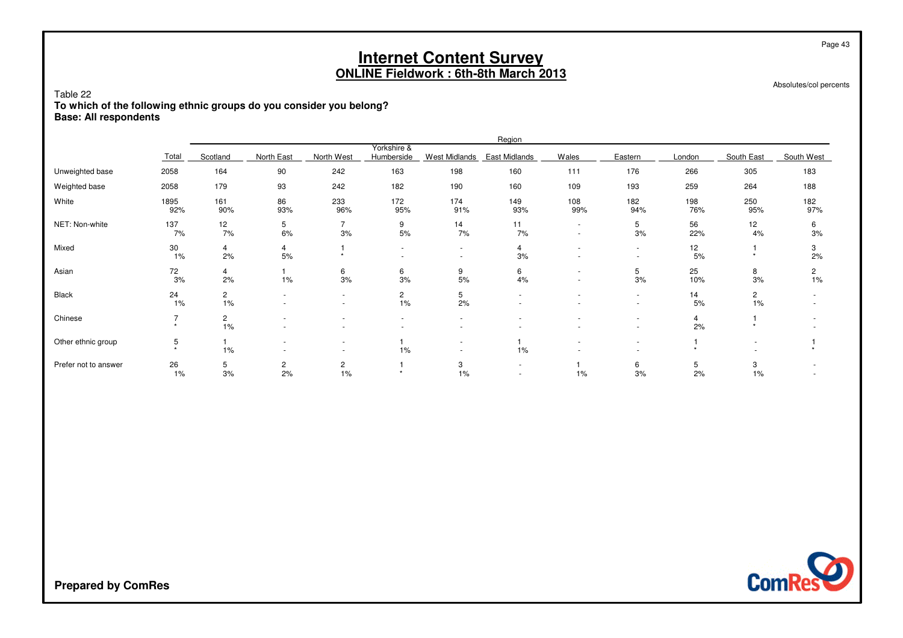| Table 22<br>To which of the following ethnic groups do you consider you belong?<br><b>Base: All respondents</b> |                                                                                                                                                                                                                                |                             |                      |                          |                          |                  | <b>Internet Content Survey</b><br><b>ONLINE Fieldwork: 6th-8th March 2013</b> |                |                  |            |                             | Page 43<br>Absolutes/col percents |  |  |  |
|-----------------------------------------------------------------------------------------------------------------|--------------------------------------------------------------------------------------------------------------------------------------------------------------------------------------------------------------------------------|-----------------------------|----------------------|--------------------------|--------------------------|------------------|-------------------------------------------------------------------------------|----------------|------------------|------------|-----------------------------|-----------------------------------|--|--|--|
|                                                                                                                 |                                                                                                                                                                                                                                |                             |                      |                          |                          |                  | Region                                                                        |                |                  |            |                             |                                   |  |  |  |
|                                                                                                                 | Yorkshire &<br>Scotland<br>North West<br>Wales<br>Eastern<br>Total<br>North East<br>Humberside<br>West Midlands<br>East Midlands<br>South East<br>London<br>163<br>198<br>2058<br>164<br>90<br>242<br>160<br>111<br>176<br>266 |                             |                      |                          |                          |                  |                                                                               |                |                  |            |                             |                                   |  |  |  |
| Unweighted base                                                                                                 |                                                                                                                                                                                                                                |                             |                      |                          |                          |                  |                                                                               |                |                  |            | 305                         | 183                               |  |  |  |
| Weighted base                                                                                                   | 2058                                                                                                                                                                                                                           | 179                         | 93                   | 242                      | 182                      | 190              | 160                                                                           | 109            | 193              | 259        | 264                         | 188                               |  |  |  |
| White                                                                                                           | 1895<br>92%                                                                                                                                                                                                                    | 161<br>90%                  | 86<br>93%            | 233<br>96%               | 172<br>95%               | 174<br>91%       | 149<br>93%                                                                    | 108<br>99%     | 182<br>94%       | 198<br>76% | 250<br>95%                  | 182<br>97%                        |  |  |  |
| NET: Non-white                                                                                                  | 137<br>7%                                                                                                                                                                                                                      | 12<br>7%                    | 5<br>6%              | $\overline{7}$<br>3%     | 9<br>5%                  | 14<br>7%         | 11<br>7%                                                                      | $\overline{a}$ | 5<br>3%          | 56<br>22%  | 12<br>4%                    | 6<br>3%                           |  |  |  |
| Mixed                                                                                                           | 30<br>$1\%$                                                                                                                                                                                                                    | 4<br>2%                     | 4<br>5%              | $\star$                  | $\overline{\phantom{a}}$ | $\sim$<br>$\sim$ | 4<br>3%                                                                       |                | $\sim$           | 12<br>5%   | $\star$                     | 3<br>2%                           |  |  |  |
| Asian                                                                                                           | 72<br>3%                                                                                                                                                                                                                       | 4<br>2%                     | 1%                   | 6<br>3%                  | 6<br>3%                  | 9<br>5%          | 6<br>4%                                                                       | $\overline{a}$ | 5<br>3%          | 25<br>10%  | 8<br>3%                     | 2<br>1%                           |  |  |  |
| <b>Black</b>                                                                                                    | 24<br>$1\%$                                                                                                                                                                                                                    | $\mathbf{2}^{\prime}$<br>1% | $\sim$               | $\overline{\phantom{a}}$ | $\overline{c}$<br>1%     | 5<br>2%          |                                                                               |                | $\sim$<br>$\sim$ | 14<br>5%   | $\mathbf{2}^{\prime}$<br>1% |                                   |  |  |  |
| Chinese                                                                                                         | $\overline{7}$<br>$\star$                                                                                                                                                                                                      | 2<br>1%                     |                      |                          | $\sim$<br>$\sim$         | $\sim$           |                                                                               |                |                  | 4<br>2%    | $\star$                     |                                   |  |  |  |
| Other ethnic group                                                                                              | 5<br>$\ddot{\phantom{1}}$                                                                                                                                                                                                      | 1%                          |                      | $\sim$                   | 1%                       | $\sim$           | 1%                                                                            |                |                  | $\star$    |                             | $\star$                           |  |  |  |
| Prefer not to answer                                                                                            | 26<br>$1\%$                                                                                                                                                                                                                    | 5<br>3%                     | $\overline{c}$<br>2% | $\overline{c}$<br>1%     | $\star$                  | 3<br>1%          |                                                                               | 1%             | 6<br>3%          | 5<br>2%    | 3<br>1%                     |                                   |  |  |  |

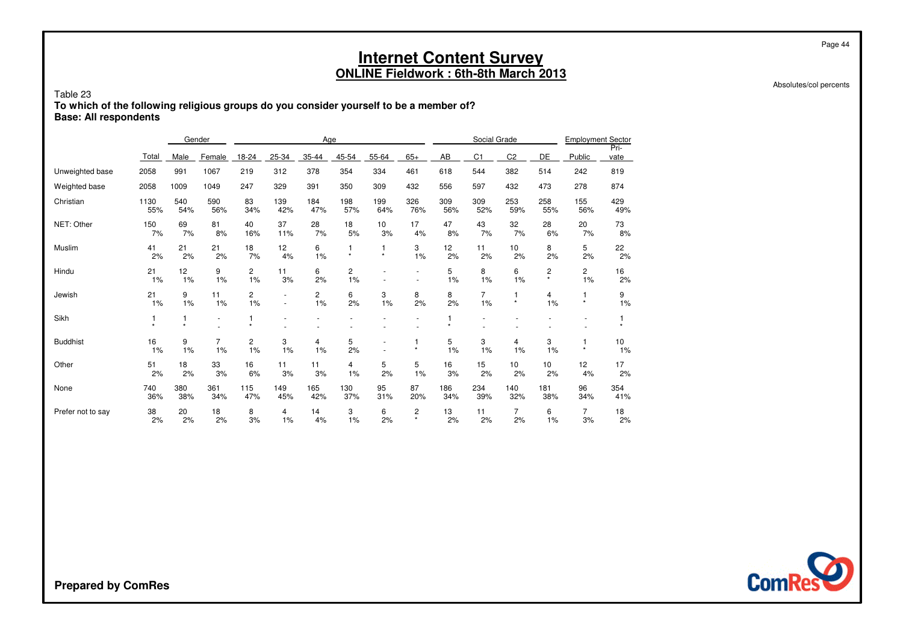Absolutes/col percents

Page 44

#### Table 23 **To which of the following religious groups do you consider yourself to be a member of?Base: All respondents**

|                   |                           |              | Gender               |                    |                                    | Age        |               |            |                     |              | Social Grade   |                        |              | <b>Employment Sector</b> |              |
|-------------------|---------------------------|--------------|----------------------|--------------------|------------------------------------|------------|---------------|------------|---------------------|--------------|----------------|------------------------|--------------|--------------------------|--------------|
|                   | Total                     | Male         | Female               | 18-24              | 25-34                              | 35-44      | 45-54         | 55-64      | $65+$               | AB           | C <sub>1</sub> | C <sub>2</sub>         | DE           | Public                   | Pri-<br>vate |
| Unweighted base   | 2058                      | 991          | 1067                 | 219                | 312                                | 378        | 354           | 334        | 461                 | 618          | 544            | 382                    | 514          | 242                      | 819          |
| Weighted base     | 2058                      | 1009         | 1049                 | 247                | 329                                | 391        | 350           | 309        | 432                 | 556          | 597            | 432                    | 473          | 278                      | 874          |
| Christian         | 1130<br>55%               | 540<br>54%   | 590<br>56%           | 83<br>34%          | 139<br>42%                         | 184<br>47% | 198<br>57%    | 199<br>64% | 326<br>76%          | 309<br>56%   | 309<br>52%     | 253<br>59%             | 258<br>55%   | 155<br>56%               | 429<br>49%   |
| NET: Other        | 150<br>7%                 | 69<br>7%     | 81<br>8%             | 40<br>16%          | 37<br>11%                          | 28<br>7%   | 18<br>5%      | 10<br>3%   | 17<br>4%            | 47<br>8%     | 43<br>7%       | 32<br>7%               | 28<br>6%     | 20<br>7%                 | 73<br>8%     |
| Muslim            | 41<br>2%                  | 21<br>2%     | 21<br>2%             | 18<br>7%           | 12<br>4%                           | 6<br>1%    | 1<br>$^\star$ | $\star$    | 3<br>1%             | 12<br>2%     | 11<br>2%       | 10<br>2%               | 8<br>2%      | 5<br>2%                  | 22<br>2%     |
| Hindu             | 21<br>1%                  | 12<br>1%     | 9<br>1%              | $\mathbf{2}$<br>1% | 11<br>3%                           | 6<br>2%    | 2<br>1%       |            | ٠<br>$\overline{a}$ | 5<br>1%      | 8<br>1%        | 6<br>1%                | 2<br>$\star$ | 2<br>1%                  | 16<br>2%     |
| Jewish            | 21<br>1%                  | 9<br>1%      | 11<br>1%             | 2<br>1%            | $\overline{\phantom{a}}$<br>$\sim$ | 2<br>1%    | 6<br>2%       | 3<br>1%    | 8<br>2%             | 8<br>2%      | 7<br>1%        | $\mathbf 1$<br>$\star$ | 4<br>1%      | 1<br>$\star$             | 9<br>1%      |
| Sikh              | 1<br>$\ddot{\phantom{1}}$ | 1<br>$\star$ | ٠                    | $\star$            |                                    |            |               |            |                     | 1<br>$\star$ |                |                        |              |                          |              |
| <b>Buddhist</b>   | 16<br>1%                  | 9<br>1%      | $\overline{7}$<br>1% | 2<br>1%            | 3<br>1%                            | 4<br>1%    | 5<br>2%       |            | 1<br>$\star$        | 5<br>1%      | 3<br>1%        | 4<br>1%                | 3<br>1%      | 1<br>$\star$             | 10<br>1%     |
| Other             | 51<br>2%                  | 18<br>2%     | 33<br>3%             | 16<br>6%           | 11<br>3%                           | 11<br>3%   | 4<br>1%       | 5<br>2%    | 5<br>1%             | 16<br>3%     | 15<br>2%       | 10<br>2%               | 10<br>2%     | 12<br>4%                 | 17<br>2%     |
| None              | 740<br>36%                | 380<br>38%   | 361<br>34%           | 115<br>47%         | 149<br>45%                         | 165<br>42% | 130<br>37%    | 95<br>31%  | 87<br>20%           | 186<br>34%   | 234<br>39%     | 140<br>32%             | 181<br>38%   | 96<br>34%                | 354<br>41%   |
| Prefer not to say | 38<br>2%                  | 20<br>2%     | 18<br>2%             | 8<br>3%            | 4<br>1%                            | 14<br>4%   | 3<br>1%       | 6<br>2%    | 2<br>$\star$        | 13<br>2%     | 11<br>2%       | $\overline{7}$<br>2%   | 6<br>1%      | $\overline{7}$<br>3%     | 18<br>2%     |

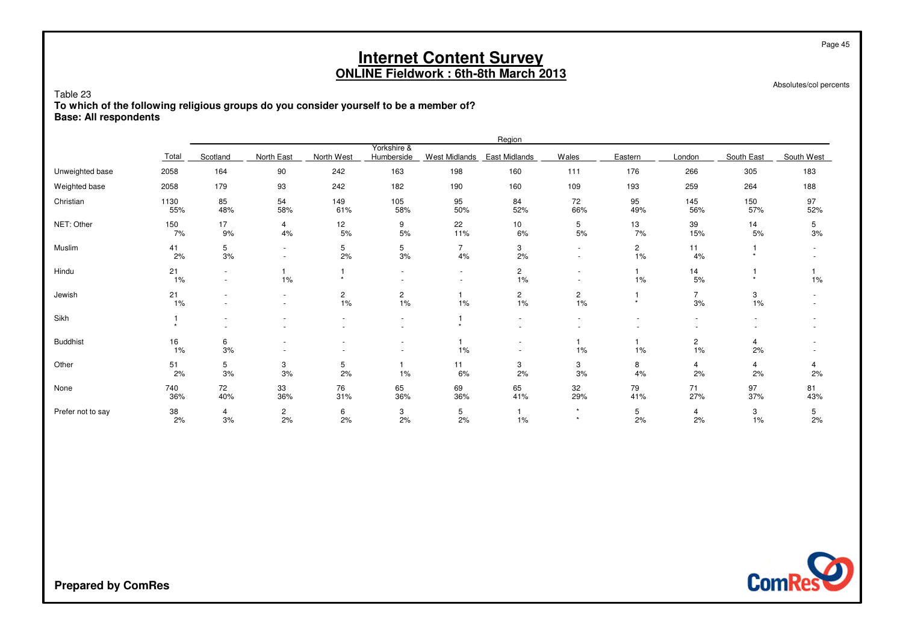Absolutes/col percents

Page 45

Table 23 **To which of the following religious groups do you consider yourself to be a member of?Base: All respondents**

|                   |                  |           |                                                      |            |                           |                                            | Region               |                    |                      |                      |            |            |
|-------------------|------------------|-----------|------------------------------------------------------|------------|---------------------------|--------------------------------------------|----------------------|--------------------|----------------------|----------------------|------------|------------|
|                   | Total            | Scotland  | North East                                           | North West | Yorkshire &<br>Humberside | West Midlands                              | East Midlands        | Wales              | Eastern              | London               | South East | South West |
| Unweighted base   | 2058             | 164       | 90                                                   | 242        | 163                       | 198                                        | 160                  | 111                | 176                  | 266                  | 305        | 183        |
| Weighted base     | 2058             | 179       | 93                                                   | 242        | 182                       | 190                                        | 160                  | 109                | 193                  | 259                  | 264        | 188        |
| Christian         | 1130<br>55%      | 85<br>48% | 54<br>58%                                            | 149<br>61% | 105<br>58%                | 95<br>50%                                  | 84<br>52%            | 72<br>66%          | 95<br>49%            | 145<br>56%           | 150<br>57% | 97<br>52%  |
| NET: Other        | 150<br>7%        | 17<br>9%  | 4<br>4%                                              | 12<br>5%   | 9<br>5%                   | 22<br>11%                                  | 10<br>6%             | 5<br>$5%$          | 13<br>7%             | 39<br>15%            | 14<br>5%   | 5<br>3%    |
| Muslim            | 41<br>2%         | 5<br>3%   | ٠<br>$\overline{\phantom{a}}$                        | 5<br>2%    | 5<br>$3%$                 | $\overline{7}$<br>4%                       | 3<br>2%              | $\sim$<br>$\sim$   | $\overline{c}$<br>1% | 11<br>4%             |            |            |
| Hindu             | 21<br>$1\%$      | $\sim$    | 1%                                                   | $\star$    |                           | $\overline{a}$<br>$\overline{\phantom{a}}$ | $\overline{c}$<br>1% |                    | 1%                   | 14<br>$5%$           |            | 1%         |
| Jewish            | 21<br>1%         |           | $\overline{\phantom{a}}$<br>$\overline{\phantom{a}}$ | 2<br>1%    | $\overline{c}$<br>1%      | 1%                                         | $\overline{c}$<br>1% | 2<br>$1\%$         | $\star$              | $\overline{7}$<br>3% | 3<br>1%    |            |
| Sikh              |                  |           |                                                      |            | $\sim$                    | $\star$                                    |                      |                    |                      |                      |            |            |
| <b>Buddhist</b>   | 16<br>$1\%$      | 6<br>3%   |                                                      |            | $\overline{\phantom{a}}$  | 1%                                         |                      | 1%                 | 1%                   | $\overline{c}$<br>1% | 4<br>2%    |            |
| Other             | $\frac{51}{2\%}$ | 5<br>3%   | 3<br>3%                                              | 5<br>2%    | 1%                        | 11<br>6%                                   | 3<br>2%              | 3<br>3%            | 8<br>4%              | 4<br>2%              | 4<br>2%    | 4<br>2%    |
| None              | 740<br>36%       | 72<br>40% | 33<br>36%                                            | 76<br>31%  | 65<br>36%                 | 69<br>36%                                  | 65<br>41%            | 32<br>29%          | 79<br>41%            | 71<br>27%            | 97<br>37%  | 81<br>43%  |
| Prefer not to say | 38<br>2%         | 4<br>3%   | $\overline{c}$<br>2%                                 | 6<br>2%    | 3<br>2%                   | 5<br>2%                                    | 1%                   | $\star$<br>$\star$ | 5<br>2%              | 4<br>2%              | 3<br>1%    | 5<br>2%    |

**ComRes**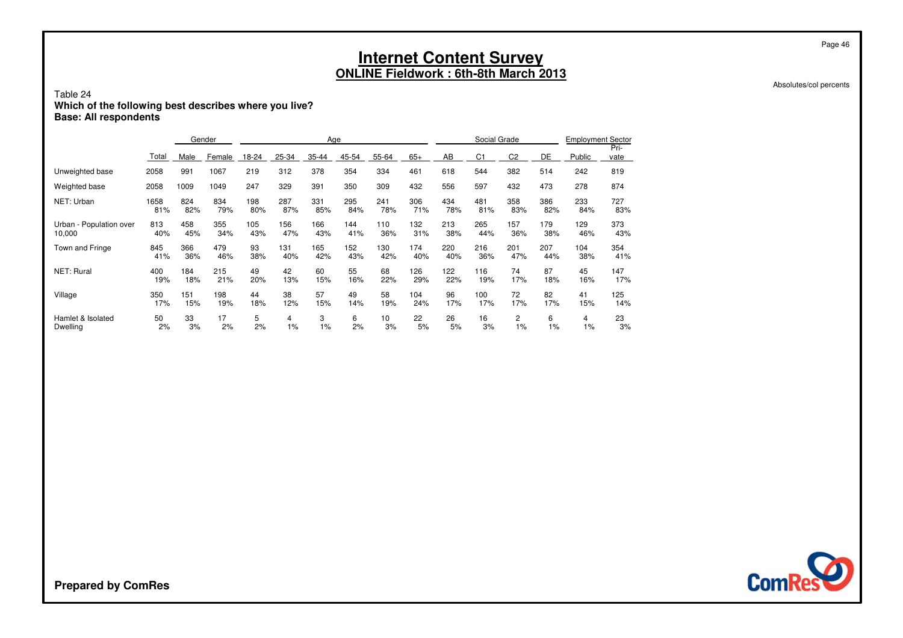Absolutes/col percents

Page 46

### Table 24**Which of the following best describes where you live? Base: All respondents**

|                         |       |      | Gender |       |       | Age   |       |       |       |     | Social Grade   |                |     | <b>Employment Sector</b> |              |
|-------------------------|-------|------|--------|-------|-------|-------|-------|-------|-------|-----|----------------|----------------|-----|--------------------------|--------------|
|                         | Total | Male | Female | 18-24 | 25-34 | 35-44 | 45-54 | 55-64 | $65+$ | AB  | C <sub>1</sub> | C <sub>2</sub> | DE  | Public                   | Pri-<br>vate |
| Unweighted base         | 2058  | 991  | 1067   | 219   | 312   | 378   | 354   | 334   | 461   | 618 | 544            | 382            | 514 | 242                      | 819          |
| Weighted base           | 2058  | 1009 | 1049   | 247   | 329   | 391   | 350   | 309   | 432   | 556 | 597            | 432            | 473 | 278                      | 874          |
| NET: Urban              | 1658  | 824  | 834    | 198   | 287   | 331   | 295   | 241   | 306   | 434 | 481            | 358            | 386 | 233                      | 727          |
|                         | 81%   | 82%  | 79%    | 80%   | 87%   | 85%   | 84%   | 78%   | 71%   | 78% | 81%            | 83%            | 82% | 84%                      | 83%          |
| Urban - Population over | 813   | 458  | 355    | 105   | 156   | 166   | 144   | 110   | 132   | 213 | 265            | 157            | 179 | 129                      | 373          |
| 10,000                  | 40%   | 45%  | 34%    | 43%   | 47%   | 43%   | 41%   | 36%   | 31%   | 38% | 44%            | 36%            | 38% | 46%                      | 43%          |
| <b>Town and Fringe</b>  | 845   | 366  | 479    | 93    | 131   | 165   | 152   | 130   | 174   | 220 | 216            | 201            | 207 | 104                      | 354          |
|                         | 41%   | 36%  | 46%    | 38%   | 40%   | 42%   | 43%   | 42%   | 40%   | 40% | 36%            | 47%            | 44% | 38%                      | 41%          |
| <b>NET: Rural</b>       | 400   | 184  | 215    | 49    | 42    | 60    | 55    | 68    | 126   | 122 | 116            | 74             | 87  | 45                       | 147          |
|                         | 19%   | 18%  | 21%    | 20%   | 13%   | 15%   | 16%   | 22%   | 29%   | 22% | 19%            | 17%            | 18% | 16%                      | 17%          |
| Village                 | 350   | 151  | 198    | 44    | 38    | 57    | 49    | 58    | 104   | 96  | 100            | 72             | 82  | 41                       | 125          |
|                         | 17%   | 15%  | 19%    | 18%   | 12%   | 15%   | 14%   | 19%   | 24%   | 17% | 17%            | 17%            | 17% | 15%                      | 14%          |
| Hamlet & Isolated       | 50    | 33   | 17     | 5     | 4     | 3     | 6     | 10    | 22    | 26  | 16             | 2              | 6   | 4                        | 23           |
| <b>Dwelling</b>         | 2%    | 3%   | 2%     | 2%    | 1%    | 1%    | 2%    | 3%    | 5%    | 5%  | 3%             | 1%             | 1%  | $1\%$                    | 3%           |

**ComRes**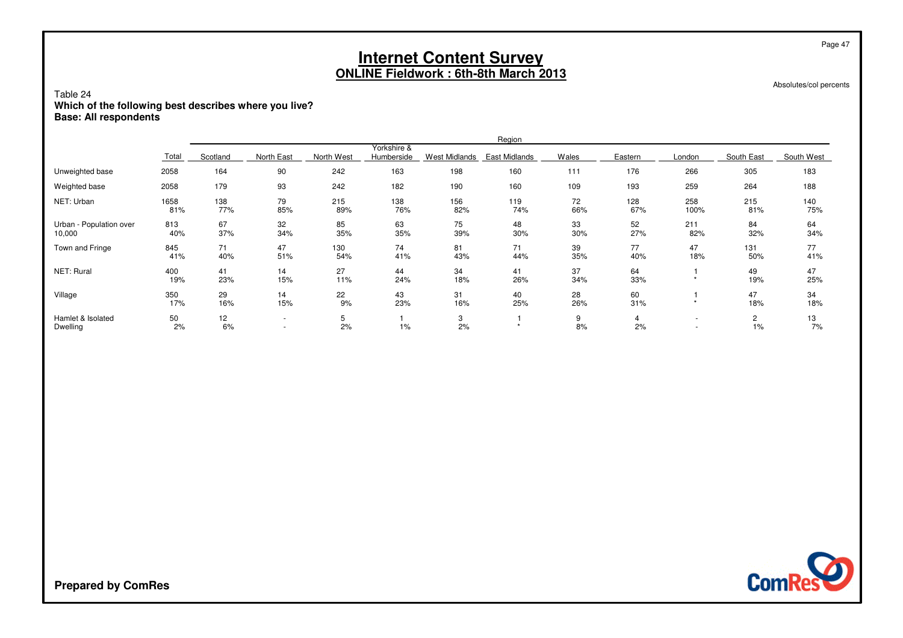Absolutes/col percents

Page 47

### Table 24**Which of the following best describes where you live? Base: All respondents**

|                                   |             |            |                                                      |            |                           |               | Region        |           |            |                |                      |            |
|-----------------------------------|-------------|------------|------------------------------------------------------|------------|---------------------------|---------------|---------------|-----------|------------|----------------|----------------------|------------|
|                                   | Total       | Scotland   | North East                                           | North West | Yorkshire &<br>Humberside | West Midlands | East Midlands | Wales     | Eastern    | London         | South East           | South West |
| Unweighted base                   | 2058        | 164        | 90                                                   | 242        | 163                       | 198           | 160           | 111       | 176        | 266            | 305                  | 183        |
| Weighted base                     | 2058        | 179        | 93                                                   | 242        | 182                       | 190           | 160           | 109       | 193        | 259            | 264                  | 188        |
| NET: Urban                        | 1658<br>81% | 138<br>77% | 79<br>85%                                            | 215<br>89% | 138<br>76%                | 156<br>82%    | 119<br>74%    | 72<br>66% | 128<br>67% | 258<br>100%    | 215<br>81%           | 140<br>75% |
| Urban - Population over<br>10,000 | 813<br>40%  | 67<br>37%  | 32<br>34%                                            | 85<br>35%  | 63<br>35%                 | 75<br>39%     | 48<br>30%     | 33<br>30% | 52<br>27%  | 211<br>82%     | 84<br>32%            | 64<br>34%  |
| Town and Fringe                   | 845<br>41%  | 71<br>40%  | 47<br>51%                                            | 130<br>54% | 74<br>41%                 | 81<br>43%     | 71<br>44%     | 39<br>35% | 77<br>40%  | 47<br>18%      | 131<br>50%           | 77<br>41%  |
| NET: Rural                        | 400<br>19%  | 41<br>23%  | 14<br>15%                                            | 27<br>11%  | 44<br>24%                 | 34<br>18%     | 41<br>26%     | 37<br>34% | 64<br>33%  |                | 49<br>19%            | 47<br>25%  |
| Village                           | 350<br>17%  | 29<br>16%  | 14<br>15%                                            | 22<br>9%   | 43<br>23%                 | 31<br>16%     | 40<br>25%     | 28<br>26% | 60<br>31%  | $\star$        | 47<br>18%            | 34<br>18%  |
| Hamlet & Isolated<br>Dwelling     | 50<br>2%    | 12<br>6%   | $\overline{\phantom{a}}$<br>$\overline{\phantom{0}}$ | 5<br>2%    | 1%                        | 3<br>2%       |               | 9<br>8%   | 4<br>2%    | $\overline{a}$ | $\overline{c}$<br>1% | 13<br>7%   |

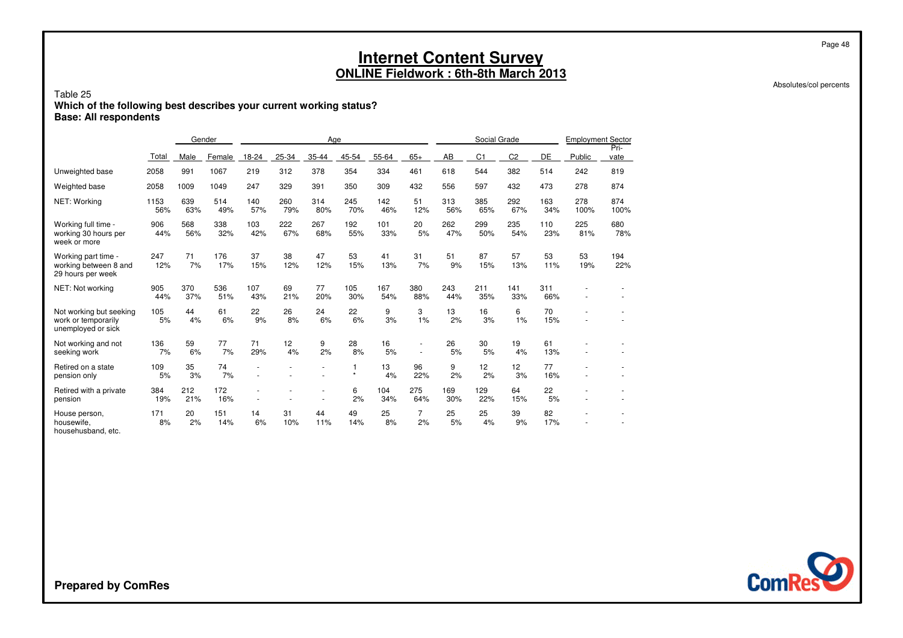Absolutes/col percents

Page 48

### Table 25**Which of the following best describes your current working status? Base: All respondents**

|                                                                      |             | Gender     |            |            |            | Age        |            |            |                          |            | Social Grade   |                |            | <b>Employment Sector</b> |              |
|----------------------------------------------------------------------|-------------|------------|------------|------------|------------|------------|------------|------------|--------------------------|------------|----------------|----------------|------------|--------------------------|--------------|
|                                                                      | Total       | Male       | Female     | 18-24      | $25 - 34$  | 35-44      | 45-54      | 55-64      | $65+$                    | AB         | C <sub>1</sub> | C <sub>2</sub> | DE         | Public                   | Pri-<br>vate |
| Unweighted base                                                      | 2058        | 991        | 1067       | 219        | 312        | 378        | 354        | 334        | 461                      | 618        | 544            | 382            | 514        | 242                      | 819          |
| Weighted base                                                        | 2058        | 1009       | 1049       | 247        | 329        | 391        | 350        | 309        | 432                      | 556        | 597            | 432            | 473        | 278                      | 874          |
| NET: Working                                                         | 1153<br>56% | 639<br>63% | 514<br>49% | 140<br>57% | 260<br>79% | 314<br>80% | 245<br>70% | 142<br>46% | 51<br>12%                | 313<br>56% | 385<br>65%     | 292<br>67%     | 163<br>34% | 278<br>100%              | 874<br>100%  |
| Working full time -<br>working 30 hours per<br>week or more          | 906<br>44%  | 568<br>56% | 338<br>32% | 103<br>42% | 222<br>67% | 267<br>68% | 192<br>55% | 101<br>33% | 20<br>5%                 | 262<br>47% | 299<br>50%     | 235<br>54%     | 110<br>23% | 225<br>81%               | 680<br>78%   |
| Working part time -<br>working between 8 and<br>29 hours per week    | 247<br>12%  | 71<br>7%   | 176<br>17% | 37<br>15%  | 38<br>12%  | 47<br>12%  | 53<br>15%  | 41<br>13%  | 31<br>7%                 | 51<br>9%   | 87<br>15%      | 57<br>13%      | 53<br>11%  | 53<br>19%                | 194<br>22%   |
| NET: Not working                                                     | 905<br>44%  | 370<br>37% | 536<br>51% | 107<br>43% | 69<br>21%  | 77<br>20%  | 105<br>30% | 167<br>54% | 380<br>88%               | 243<br>44% | 211<br>35%     | 141<br>33%     | 311<br>66% |                          |              |
| Not working but seeking<br>work or temporarily<br>unemployed or sick | 105<br>5%   | 44<br>4%   | 61<br>6%   | 22<br>9%   | 26<br>8%   | 24<br>6%   | 22<br>6%   | 9<br>3%    | 3<br>1%                  | 13<br>2%   | 16<br>3%       | 6<br>1%        | 70<br>15%  |                          |              |
| Not working and not<br>seeking work                                  | 136<br>7%   | 59<br>6%   | 77<br>7%   | 71<br>29%  | 12<br>4%   | 9<br>2%    | 28<br>8%   | 16<br>5%   | $\overline{\phantom{a}}$ | 26<br>5%   | 30<br>5%       | 19<br>4%       | 61<br>13%  |                          |              |
| Retired on a state<br>pension only                                   | 109<br>5%   | 35<br>3%   | 74<br>7%   |            |            |            | $\star$    | 13<br>4%   | 96<br>22%                | 9<br>2%    | 12<br>2%       | 12<br>3%       | 77<br>16%  |                          |              |
| Retired with a private<br>pension                                    | 384<br>19%  | 212<br>21% | 172<br>16% |            |            |            | 6<br>2%    | 104<br>34% | 275<br>64%               | 169<br>30% | 129<br>22%     | 64<br>15%      | 22<br>5%   |                          |              |
| House person,<br>housewife,<br>househusband, etc.                    | 171<br>8%   | 20<br>2%   | 151<br>14% | 14<br>6%   | 31<br>10%  | 44<br>11%  | 49<br>14%  | 25<br>8%   | $\overline{7}$<br>2%     | 25<br>5%   | 25<br>4%       | 39<br>9%       | 82<br>17%  |                          |              |

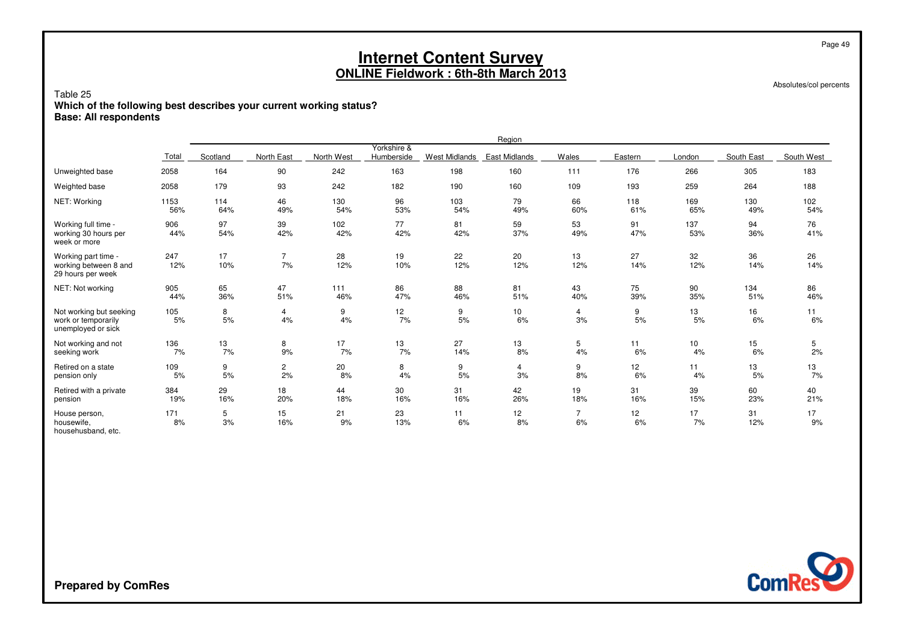Absolutes/col percents

Page 49

### Table 25**Which of the following best describes your current working status? Base: All respondents**

|                                                                      |             |            |                      |            |                           |                      | Region               |                      |            |            |            |            |
|----------------------------------------------------------------------|-------------|------------|----------------------|------------|---------------------------|----------------------|----------------------|----------------------|------------|------------|------------|------------|
|                                                                      | Total       | Scotland   | North East           | North West | Yorkshire &<br>Humberside | <b>West Midlands</b> | <b>East Midlands</b> | Wales                | Eastern    | London     | South East | South West |
| Unweighted base                                                      | 2058        | 164        | 90                   | 242        | 163                       | 198                  | 160                  | 111                  | 176        | 266        | 305        | 183        |
| Weighted base                                                        | 2058        | 179        | 93                   | 242        | 182                       | 190                  | 160                  | 109                  | 193        | 259        | 264        | 188        |
| NET: Working                                                         | 1153<br>56% | 114<br>64% | 46<br>49%            | 130<br>54% | 96<br>53%                 | 103<br>54%           | 79<br>49%            | 66<br>60%            | 118<br>61% | 169<br>65% | 130<br>49% | 102<br>54% |
| Working full time -<br>working 30 hours per<br>week or more          | 906<br>44%  | 97<br>54%  | 39<br>42%            | 102<br>42% | 77<br>42%                 | 81<br>42%            | 59<br>37%            | 53<br>49%            | 91<br>47%  | 137<br>53% | 94<br>36%  | 76<br>41%  |
| Working part time -<br>working between 8 and<br>29 hours per week    | 247<br>12%  | 17<br>10%  | $\overline{7}$<br>7% | 28<br>12%  | 19<br>10%                 | 22<br>12%            | 20<br>12%            | 13<br>12%            | 27<br>14%  | 32<br>12%  | 36<br>14%  | 26<br>14%  |
| NET: Not working                                                     | 905<br>44%  | 65<br>36%  | 47<br>51%            | 111<br>46% | 86<br>47%                 | 88<br>46%            | 81<br>51%            | 43<br>40%            | 75<br>39%  | 90<br>35%  | 134<br>51% | 86<br>46%  |
| Not working but seeking<br>work or temporarily<br>unemployed or sick | 105<br>5%   | 8<br>5%    | 4<br>4%              | 9<br>4%    | 12<br>7%                  | 9<br>5%              | 10<br>6%             | 4<br>3%              | 9<br>5%    | 13<br>5%   | 16<br>6%   | 11<br>6%   |
| Not working and not<br>seeking work                                  | 136<br>7%   | 13<br>7%   | 8<br>9%              | 17<br>7%   | 13<br>7%                  | 27<br>14%            | 13<br>8%             | 5<br>4%              | 11<br>6%   | 10<br>4%   | 15<br>6%   | 5<br>2%    |
| Retired on a state<br>pension only                                   | 109<br>5%   | 9<br>5%    | $\overline{c}$<br>2% | 20<br>8%   | 8<br>4%                   | 9<br>5%              | 4<br>3%              | 9<br>8%              | 12<br>6%   | 11<br>4%   | 13<br>5%   | 13<br>7%   |
| Retired with a private<br>pension                                    | 384<br>19%  | 29<br>16%  | 18<br>20%            | 44<br>18%  | 30<br>16%                 | 31<br>16%            | 42<br>26%            | 19<br>18%            | 31<br>16%  | 39<br>15%  | 60<br>23%  | 40<br>21%  |
| House person,<br>housewife.<br>househusband, etc.                    | 171<br>8%   | 5<br>3%    | 15<br>16%            | 21<br>9%   | 23<br>13%                 | 11<br>6%             | 12<br>8%             | $\overline{7}$<br>6% | 12<br>6%   | 17<br>7%   | 31<br>12%  | 17<br>9%   |

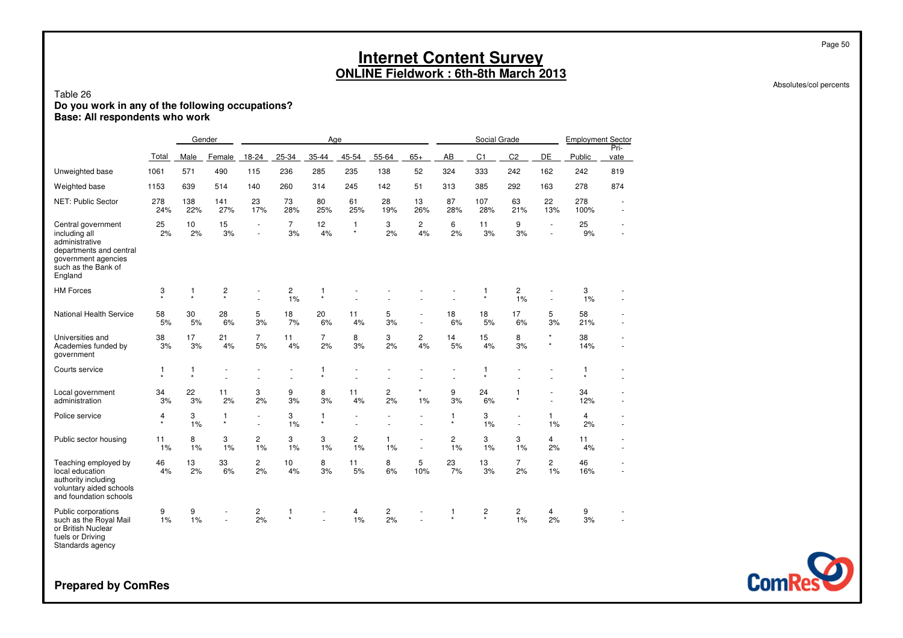### Table 26**Do you work in any of the following occupations? Base: All respondents who work**

|                                                                                                                                           |              |                         | Gender       |                                    |                      | Age                     |                         |                               |                      |              | Social Grade                       |                         |                                  | <b>Employment Sector</b> |                          |
|-------------------------------------------------------------------------------------------------------------------------------------------|--------------|-------------------------|--------------|------------------------------------|----------------------|-------------------------|-------------------------|-------------------------------|----------------------|--------------|------------------------------------|-------------------------|----------------------------------|--------------------------|--------------------------|
|                                                                                                                                           | Total        | Male                    | Female       | 18-24                              | 25-34                | 35-44                   | 45-54                   | 55-64                         | $65+$                | AB           | C <sub>1</sub>                     | C <sub>2</sub>          | DE                               | Public                   | Pri-<br>vate             |
| Unweighted base                                                                                                                           | 1061         | 571                     | 490          | 115                                | 236                  | 285                     | 235                     | 138                           | 52                   | 324          | 333                                | 242                     | 162                              | 242                      | 819                      |
| Weighted base                                                                                                                             | 1153         | 639                     | 514          | 140                                | 260                  | 314                     | 245                     | 142                           | 51                   | 313          | 385                                | 292                     | 163                              | 278                      | 874                      |
| NET: Public Sector                                                                                                                        | 278<br>24%   | 138<br>22%              | 141<br>27%   | 23<br>17%                          | 73<br>28%            | 80<br>25%               | 61<br>25%               | 28<br>19%                     | 13<br>26%            | 87<br>28%    | 107<br>28%                         | 63<br>21%               | 22<br>13%                        | 278<br>100%              | $\overline{\phantom{a}}$ |
| Central government<br>including all<br>administrative<br>departments and central<br>government agencies<br>such as the Bank of<br>England | 25<br>2%     | 10<br>2%                | 15<br>3%     | $\overline{\phantom{a}}$<br>ä,     | $\overline{7}$<br>3% | 12<br>4%                | $\mathbf{1}$<br>$\star$ | 3<br>2%                       | $\overline{2}$<br>4% | 6<br>2%      | 11<br>3%                           | 9<br>3%                 | $\overline{\phantom{a}}$<br>ä,   | 25<br>9%                 |                          |
| <b>HM Forces</b>                                                                                                                          | 3<br>$\star$ | $\mathbf{1}$<br>$\star$ | 2<br>$\star$ |                                    | 2<br>1%              | 1<br>$\star$            |                         |                               |                      |              | 1<br>$\star$                       | 2<br>1%                 | ä,                               | 3<br>1%                  |                          |
| <b>National Health Service</b>                                                                                                            | 58<br>5%     | 30<br>5%                | 28<br>6%     | 5<br>3%                            | 18<br>7%             | 20<br>6%                | 11<br>4%                | 5<br>3%                       | ÷,<br>÷.             | 18<br>6%     | 18<br>5%                           | 17<br>6%                | 5<br>3%                          | 58<br>21%                |                          |
| Universities and<br>Academies funded by<br>government                                                                                     | 38<br>3%     | 17<br>3%                | 21<br>4%     | $\overline{7}$<br>5%               | 11<br>4%             | $\overline{7}$<br>2%    | 8<br>3%                 | 3<br>2%                       | $\overline{c}$<br>4% | 14<br>5%     | 15<br>4%                           | 8<br>3%                 | $_{\star}$<br>$^\star$           | 38<br>14%                |                          |
| Courts service                                                                                                                            | 1<br>$\star$ | $\mathbf{1}$<br>$\star$ |              |                                    |                      | 1<br>$\star$            |                         |                               |                      |              | 1<br>$\star$                       |                         |                                  | 1<br>$\star$             |                          |
| Local government<br>administration                                                                                                        | 34<br>3%     | 22<br>3%                | 11<br>2%     | 3<br>2%                            | 9<br>3%              | 8<br>3%                 | 11<br>4%                | 2<br>2%                       | $\star$<br>1%        | 9<br>3%      | 24<br>6%                           | $\mathbf{1}$<br>$\star$ | $\overline{a}$<br>$\blacksquare$ | 34<br>12%                |                          |
| Police service                                                                                                                            | 4<br>$\star$ | 3<br>1%                 | 1<br>$\star$ | $\overline{\phantom{a}}$<br>$\sim$ | 3<br>1%              | $\mathbf{1}$<br>$\star$ |                         |                               |                      | 1<br>$\star$ | 3<br>1%                            | $\sim$                  | $\mathbf{1}$<br>1%               | $\overline{4}$<br>2%     |                          |
| Public sector housing                                                                                                                     | 11<br>1%     | 8<br>1%                 | 3<br>1%      | $\overline{c}$<br>1%               | 3<br>1%              | 3<br>1%                 | $\overline{c}$<br>1%    | 1<br>1%                       | $\sim$               | 2<br>1%      | 3<br>1%                            | 3<br>1%                 | $\overline{4}$<br>2%             | 11<br>4%                 |                          |
| Teaching employed by<br>local education<br>authority including<br>voluntary aided schools<br>and foundation schools                       | 46<br>4%     | 13<br>2%                | 33<br>6%     | $\overline{c}$<br>2%               | 10<br>4%             | 8<br>3%                 | 11<br>5%                | 8<br>6%                       | 5<br>10%             | 23<br>7%     | 13<br>3%                           | $\overline{7}$<br>2%    | $\mathbf{2}^{\prime}$<br>1%      | 46<br>16%                |                          |
| Public corporations<br>such as the Royal Mail<br>or British Nuclear<br>fuels or Driving<br>Standards agency                               | 9<br>1%      | 9<br>1%                 | $\sim$       | 2<br>2%                            | 1<br>$\star$         |                         | 4<br>1%                 | $\overline{\mathbf{c}}$<br>2% | ÷                    | 1<br>$\star$ | $\overline{\mathbf{c}}$<br>$\star$ | $\overline{c}$<br>1%    | $\overline{4}$<br>2%             | 9<br>3%                  |                          |

**ComRes** 

**Prepared by ComRes**

Page 50

Absolutes/col percents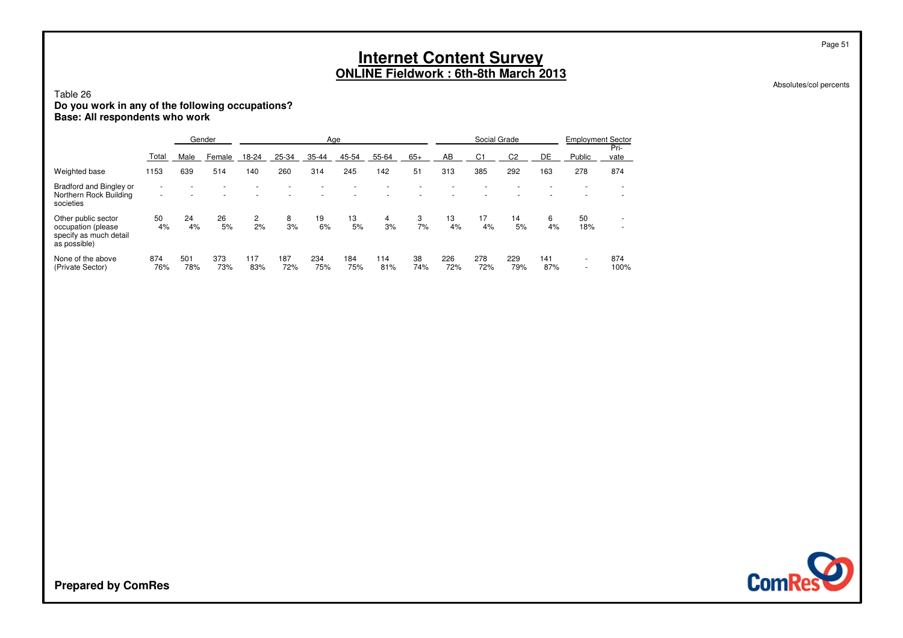Absolutes/col percents

Page 51

### Table 26**Do you work in any of the following occupations? Base: All respondents who work**

|                                                                                     |            |            | Gender     |                      |            |            | Age        |            |           |            | Social Grade   |                |            | <b>Employment Sector</b>           |                               |
|-------------------------------------------------------------------------------------|------------|------------|------------|----------------------|------------|------------|------------|------------|-----------|------------|----------------|----------------|------------|------------------------------------|-------------------------------|
|                                                                                     | Total      | Male       | Female     | $18 - 24$            | 25-34      | 35-44      | 45-54      | 55-64      | $65+$     | AB         | C <sub>1</sub> | C <sub>2</sub> | DE         | Public                             | Pri-<br>vate                  |
| Weighted base                                                                       | 1153       | 639        | 514        | 140                  | 260        | 314        | 245        | 142        | 51        | 313        | 385            | 292            | 163        | 278                                | 874                           |
| Bradford and Bingley or<br>Northern Rock Building<br>societies                      | ۰<br>۰     |            |            |                      |            |            |            |            |           |            |                |                |            |                                    |                               |
| Other public sector<br>occupation (please<br>specify as much detail<br>as possible) | 50<br>4%   | 24<br>4%   | 26<br>5%   | $\overline{c}$<br>2% | 8<br>3%    | 19<br>6%   | 13<br>5%   | 4<br>3%    | 3<br>7%   | 13<br>4%   | 17<br>4%       | 14<br>5%       | 6<br>4%    | 50<br>18%                          | -<br>$\overline{\phantom{a}}$ |
| None of the above<br>(Private Sector)                                               | 874<br>76% | 501<br>78% | 373<br>73% | 117<br>83%           | 187<br>72% | 234<br>75% | 184<br>75% | 114<br>81% | 38<br>74% | 226<br>72% | 278<br>72%     | 229<br>79%     | 141<br>87% | $\overline{\phantom{a}}$<br>$\sim$ | 874<br>100%                   |

**ComRes**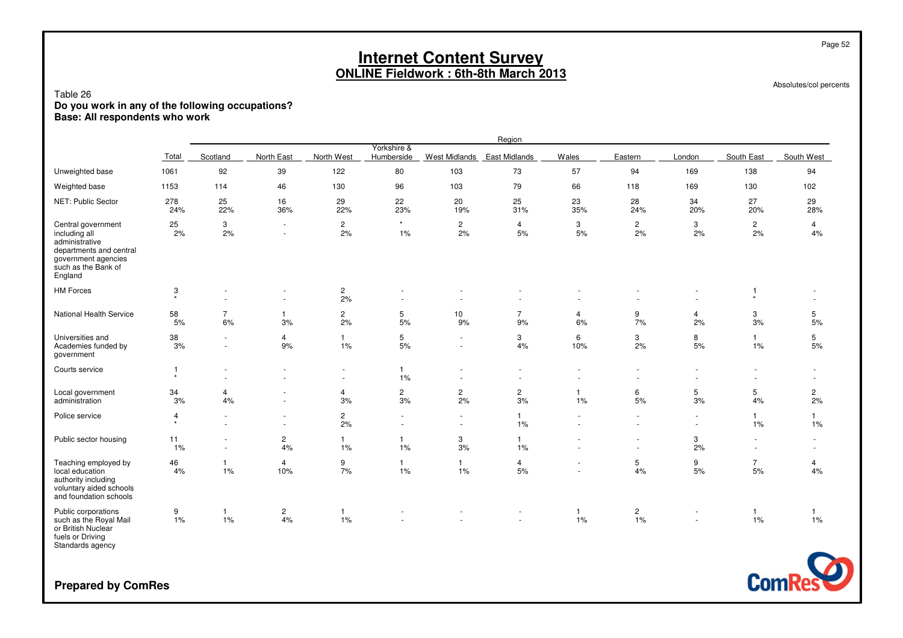Absolutes/col percents

### Table 26**Do you work in any of the following occupations? Base: All respondents who work**

|                                                                                                                                           |                                      |                      |                                                      |                               |                                        |                      | Region               |                               |                                    |                                            |                                    |                          |
|-------------------------------------------------------------------------------------------------------------------------------------------|--------------------------------------|----------------------|------------------------------------------------------|-------------------------------|----------------------------------------|----------------------|----------------------|-------------------------------|------------------------------------|--------------------------------------------|------------------------------------|--------------------------|
|                                                                                                                                           | Total                                | Scotland             | North East                                           | North West                    | Yorkshire &<br>Humberside              | <b>West Midlands</b> | <b>East Midlands</b> | <b>Wales</b>                  | Eastern                            | London                                     | South East                         | South West               |
| Unweighted base                                                                                                                           | 1061                                 | 92                   | 39                                                   | 122                           | 80                                     | 103                  | 73                   | 57                            | 94                                 | 169                                        | 138                                | 94                       |
| Weighted base                                                                                                                             | 1153                                 | 114                  | 46                                                   | 130                           | 96                                     | 103                  | 79                   | 66                            | 118                                | 169                                        | 130                                | 102                      |
| NET: Public Sector                                                                                                                        | 278<br>24%                           | 25<br>22%            | 16<br>36%                                            | 29<br>22%                     | 22<br>23%                              | 20<br>19%            | 25<br>31%            | 23<br>35%                     | 28<br>24%                          | 34<br>20%                                  | 27<br>20%                          | 29<br>28%                |
| Central government<br>including all<br>administrative<br>departments and central<br>government agencies<br>such as the Bank of<br>England | 25<br>2%                             | 3<br>2%              | $\overline{\phantom{a}}$<br>$\overline{\phantom{a}}$ | $\overline{c}$<br>2%          | $\star$<br>1%                          | $\overline{2}$<br>2% | 4<br>5%              | 3<br>5%                       | $\mathbf{2}^{\prime}$<br>2%        | 3<br>2%                                    | $\overline{2}$<br>2%               | $\overline{4}$<br>4%     |
| <b>HM Forces</b>                                                                                                                          | $\ensuremath{\mathsf{3}}$<br>$\star$ |                      | ٠<br>$\sim$                                          | $\overline{\mathbf{c}}$<br>2% |                                        |                      |                      |                               |                                    | ÷                                          | $\mathbf{1}$<br>$\star$            |                          |
| National Health Service                                                                                                                   | 58<br>5%                             | $\overline{7}$<br>6% | $\mathbf{1}$<br>3%                                   | $\overline{c}$<br>2%          | 5<br>5%                                | 10<br>9%             | $\overline{7}$<br>9% | $\overline{4}$<br>6%          | 9<br>7%                            | $\overline{4}$<br>2%                       | 3<br>3%                            | 5<br>5%                  |
| Universities and<br>Academies funded by<br>government                                                                                     | 38<br>3%                             | $\sim$               | $\overline{4}$<br>9%                                 | $\mathbf{1}$<br>1%            | 5<br>5%                                | $\sim$<br>$\sim$     | 3<br>4%              | 6<br>10%                      | 3<br>2%                            | 8<br>5%                                    | $\mathbf{1}$<br>1%                 | 5<br>5%                  |
| Courts service                                                                                                                            | $\mathbf{1}$<br>$\star$              |                      | $\blacksquare$<br>$\sim$                             | $\sim$                        | $\mathbf{1}$<br>1%                     |                      |                      | ٠<br>÷                        |                                    | ٠                                          |                                    |                          |
| Local government<br>administration                                                                                                        | 34<br>3%                             | 4<br>4%              | $\overline{\phantom{a}}$<br>$\sim$                   | $\overline{4}$<br>3%          | $\boldsymbol{2}$<br>$3%$               | $\overline{c}$<br>2% | $\overline{c}$<br>3% | $\mathbf{1}$<br>1%            | 6<br>5%                            | 5<br>3%                                    | 5<br>4%                            | $\overline{c}$<br>2%     |
| Police service                                                                                                                            | $\overline{4}$<br>$\star$            |                      | ٠<br>$\overline{\phantom{a}}$                        | $\overline{c}$<br>2%          | $\blacksquare$<br>$\ddot{\phantom{1}}$ | $\sim$<br>$\sim$     | $\mathbf{1}$<br>1%   | $\ddot{\phantom{1}}$          | $\overline{\phantom{a}}$<br>$\sim$ | $\blacksquare$<br>$\sim$                   | $\mathbf{1}$<br>1%                 | $\mathbf{1}$<br>1%       |
| Public sector housing                                                                                                                     | 11<br>$1\%$                          |                      | $\overline{c}$<br>4%                                 | $\mathbf{1}$<br>1%            | $\mathbf{1}$<br>$1\%$                  | 3<br>3%              | $\mathbf{1}$<br>1%   | ٠                             | $\sim$                             | 3<br>2%                                    | $\sim$<br>$\overline{\phantom{a}}$ | $\overline{\phantom{a}}$ |
| Teaching employed by<br>local education<br>authority including<br>voluntary aided schools<br>and foundation schools                       | 46<br>4%                             | $\mathbf{1}$<br>1%   | 4<br>10%                                             | 9<br>7%                       | $\mathbf{1}$<br>$1\%$                  | $\overline{1}$<br>1% | 4<br>5%              | ÷<br>$\overline{\phantom{a}}$ | 5<br>4%                            | 9<br>5%                                    | $\overline{7}$<br>5%               | $\overline{4}$<br>4%     |
| Public corporations<br>such as the Royal Mail<br>or British Nuclear<br>fuels or Driving                                                   | 9<br>1%                              | 1<br>1%              | $\overline{c}$<br>4%                                 | $\mathbf{1}$<br>1%            |                                        |                      | $\sim$               | $\mathbf{1}$<br>1%            | 2<br>1%                            | $\blacksquare$<br>$\overline{\phantom{a}}$ | $\overline{1}$<br>1%               | $\mathbf{1}$<br>1%       |

fuels or Driving Standards agency

**Prepared by ComRes**



Page 52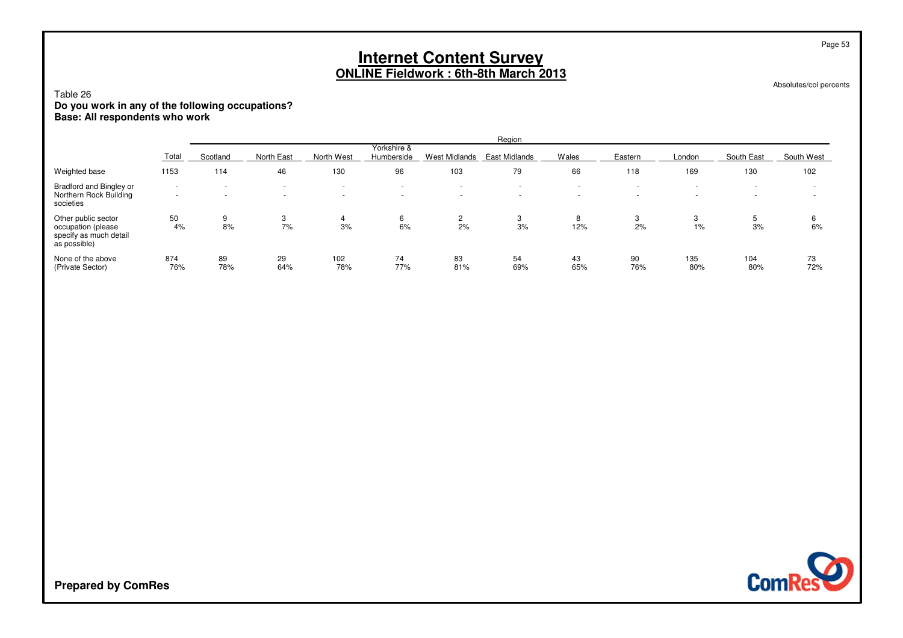Absolutes/col percents

Page 53

### Table 26**Do you work in any of the following occupations? Base: All respondents who work**

|                                                                                     |                                    |                                                      |                                                      |            |                                  |                                                      | Region                                               |                                  |                  |                                                      |                                                      |                          |
|-------------------------------------------------------------------------------------|------------------------------------|------------------------------------------------------|------------------------------------------------------|------------|----------------------------------|------------------------------------------------------|------------------------------------------------------|----------------------------------|------------------|------------------------------------------------------|------------------------------------------------------|--------------------------|
|                                                                                     | Total                              | Scotland                                             | North East                                           | North West | Yorkshire &<br>Humberside        | West Midlands                                        | East Midlands                                        | Wales                            | Eastern          | London                                               | South East                                           | South West               |
| Weighted base                                                                       | 1153                               | 114                                                  | 46                                                   | 130        | 96                               | 103                                                  | 79                                                   | 66                               | 118              | 169                                                  | 130                                                  | 102                      |
| Bradford and Bingley or<br>Northern Rock Building<br>societies                      | $\overline{\phantom{a}}$<br>$\sim$ | $\overline{\phantom{a}}$<br>$\overline{\phantom{a}}$ | $\overline{\phantom{a}}$<br>$\overline{\phantom{a}}$ |            | $\overline{a}$<br>$\overline{a}$ | $\overline{\phantom{a}}$<br>$\overline{\phantom{0}}$ | $\overline{\phantom{a}}$<br>$\overline{\phantom{a}}$ | $\overline{a}$<br>$\overline{a}$ | $\sim$<br>$\sim$ | $\overline{\phantom{a}}$<br>$\overline{\phantom{0}}$ | $\overline{\phantom{a}}$<br>$\overline{\phantom{a}}$ | $\overline{\phantom{a}}$ |
| Other public sector<br>occupation (please<br>specify as much detail<br>as possible) | 50<br>4%                           | 9<br>8%                                              | 3<br>7%                                              | 3%         | 6<br>6%                          | $\overline{2}$<br>2%                                 | 3<br>3%                                              | 8<br>12%                         | 3<br>2%          | 1%                                                   | 5<br>3%                                              | 6<br>6%                  |
| None of the above<br>(Private Sector)                                               | 874<br>76%                         | 89<br>78%                                            | 29<br>64%                                            | 102<br>78% | 74<br>77%                        | 83<br>81%                                            | 54<br>69%                                            | 43<br>65%                        | 90<br>76%        | 135<br>80%                                           | 104<br>80%                                           | 73<br>72%                |

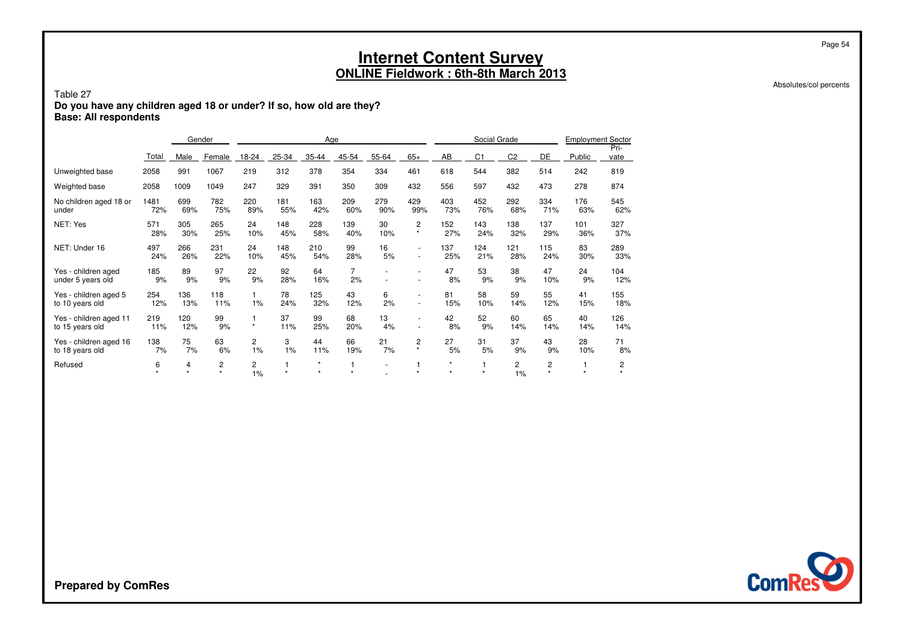Absolutes/col percents

Page 54

#### Table 27 **Do you have any children aged 18 or under? If so, how old are they?Base: All respondents**

|                                           |             |                           | Gender                    |            |            | Age                |                      |                |                           |                    | Social Grade   |                |              | <b>Employment Sector</b> |              |
|-------------------------------------------|-------------|---------------------------|---------------------------|------------|------------|--------------------|----------------------|----------------|---------------------------|--------------------|----------------|----------------|--------------|--------------------------|--------------|
|                                           | Total       | Male                      | Female                    | 18-24      | 25-34      | 35-44              | 45-54                | 55-64          | $65+$                     | AB                 | C <sub>1</sub> | C <sub>2</sub> | DE           | Public                   | Pri-<br>vate |
| Unweighted base                           | 2058        | 991                       | 1067                      | 219        | 312        | 378                | 354                  | 334            | 461                       | 618                | 544            | 382            | 514          | 242                      | 819          |
| Weighted base                             | 2058        | 1009                      | 1049                      | 247        | 329        | 391                | 350                  | 309            | 432                       | 556                | 597            | 432            | 473          | 278                      | 874          |
| No children aged 18 or<br>under           | 1481<br>72% | 699<br>69%                | 782<br>75%                | 220<br>89% | 181<br>55% | 163<br>42%         | 209<br>60%           | 279<br>90%     | 429<br>99%                | 403<br>73%         | 452<br>76%     | 292<br>68%     | 334<br>71%   | 176<br>63%               | 545<br>62%   |
| NET: Yes                                  | 571<br>28%  | 305<br>30%                | 265<br>25%                | 24<br>10%  | 148<br>45% | 228<br>58%         | 139<br>40%           | 30<br>10%      | 2<br>$\star$              | 152<br>27%         | 143<br>24%     | 138<br>32%     | 137<br>29%   | 101<br>36%               | 327<br>37%   |
| NET: Under 16                             | 497<br>24%  | 266<br>26%                | 231<br>22%                | 24<br>10%  | 148<br>45% | 210<br>54%         | 99<br>28%            | 16<br>5%       | $\sim$<br>$\sim$          | 137<br>25%         | 124<br>21%     | 121<br>28%     | 115<br>24%   | 83<br>30%                | 289<br>33%   |
| Yes - children aged<br>under 5 years old  | 185<br>9%   | 89<br>9%                  | 97<br>9%                  | 22<br>9%   | 92<br>28%  | 64<br>16%          | $\overline{7}$<br>2% |                | $\sim$                    | 47<br>8%           | 53<br>9%       | 38<br>9%       | 47<br>10%    | 24<br>9%                 | 104<br>12%   |
| Yes - children aged 5<br>to 10 years old  | 254<br>12%  | 136<br>13%                | 118<br>11%                | 1%         | 78<br>24%  | 125<br>32%         | 43<br>12%            | 6<br>2%        | $\overline{\phantom{a}}$  | 81<br>15%          | 58<br>10%      | 59<br>14%      | 55<br>12%    | 41<br>15%                | 155<br>18%   |
| Yes - children aged 11<br>to 15 years old | 219<br>11%  | 120<br>12%                | 99<br>9%                  | $\star$    | 37<br>11%  | 99<br>25%          | 68<br>20%            | 13<br>4%       | $\sim$                    | 42<br>8%           | 52<br>9%       | 60<br>14%      | 65<br>14%    | 40<br>14%                | 126<br>14%   |
| Yes - children aged 16<br>to 18 years old | 138<br>7%   | 75<br>7%                  | 63<br>6%                  | 2<br>1%    | 3<br>1%    | 44<br>11%          | 66<br>19%            | 21<br>7%       | $\overline{2}$<br>$\star$ | 27<br>5%           | 31<br>5%       | 37<br>9%       | 43<br>9%     | 28<br>10%                | 71<br>8%     |
| Refused                                   | 6           | 4<br>$\ddot{\phantom{a}}$ | $\overline{c}$<br>$\star$ | 2<br>1%    | 1<br>÷     | $\star$<br>$\star$ |                      | $\overline{a}$ |                           | $\star$<br>$\star$ | $\star$        | 2<br>1%        | 2<br>$\star$ |                          | 2            |

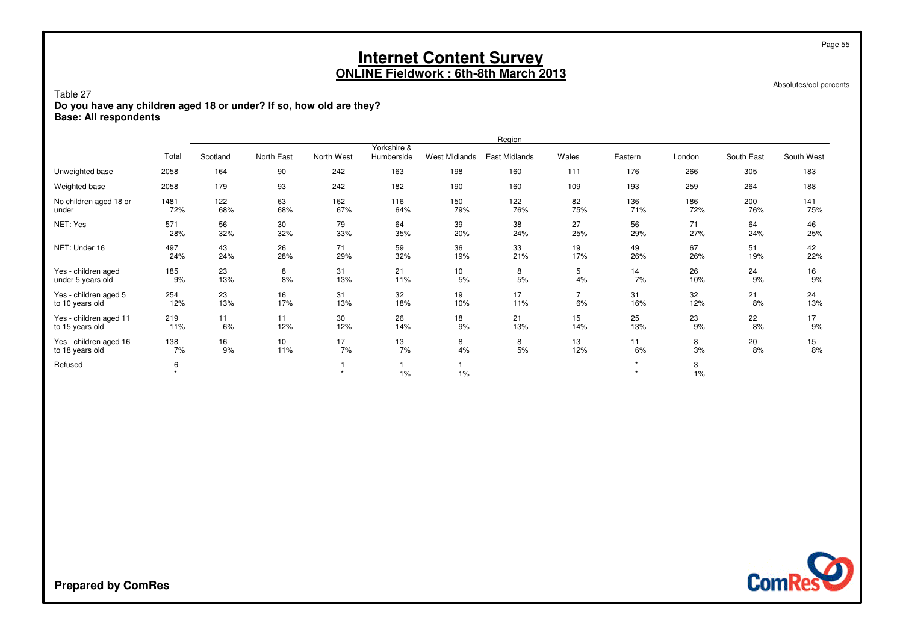| Table 27<br>Do you have any children aged 18 or under? If so, how old are they?<br><b>Base: All respondents</b>                                                       |                                                                           |                               |                |         |     |     | <b>Internet Content Survey</b><br><b>ONLINE Fieldwork: 6th-8th March 2013</b> |                                    |                    |         |     | Page 55<br>Absolutes/col percents |  |  |  |
|-----------------------------------------------------------------------------------------------------------------------------------------------------------------------|---------------------------------------------------------------------------|-------------------------------|----------------|---------|-----|-----|-------------------------------------------------------------------------------|------------------------------------|--------------------|---------|-----|-----------------------------------|--|--|--|
| Region<br>Yorkshire &                                                                                                                                                 |                                                                           |                               |                |         |     |     |                                                                               |                                    |                    |         |     |                                   |  |  |  |
| North East<br>North West<br>Scotland<br>Humberside<br><b>West Midlands</b><br><b>East Midlands</b><br>Wales<br>Eastern<br>South East<br>South West<br>Total<br>London |                                                                           |                               |                |         |     |     |                                                                               |                                    |                    |         |     |                                   |  |  |  |
| 90<br>163<br>198<br>160<br>Unweighted base<br>2058<br>164<br>242<br>111<br>176<br>266<br>305                                                                          |                                                                           |                               |                |         |     |     |                                                                               |                                    |                    |         |     |                                   |  |  |  |
| Weighted base                                                                                                                                                         | 179<br>93<br>242<br>182<br>190<br>160<br>193<br>259<br>2058<br>109<br>264 |                               |                |         |     |     |                                                                               |                                    |                    |         |     |                                   |  |  |  |
| No children aged 18 or                                                                                                                                                | 1481                                                                      | 122                           | 63             | 162     | 116 | 150 | 122                                                                           | 82                                 | 136                | 186     | 200 | 141                               |  |  |  |
| under                                                                                                                                                                 | 72%                                                                       | 68%                           | 68%            | 67%     | 64% | 79% | 76%                                                                           | 75%                                | 71%                | 72%     | 76% | 75%                               |  |  |  |
| NET: Yes                                                                                                                                                              | 571                                                                       | 56                            | 30             | 79      | 64  | 39  | 38                                                                            | 27                                 | 56                 | 71      | 64  | 46                                |  |  |  |
|                                                                                                                                                                       | 28%                                                                       | 32%                           | 32%            | 33%     | 35% | 20% | 24%                                                                           | 25%                                | 29%                | 27%     | 24% | 25%                               |  |  |  |
| NET: Under 16                                                                                                                                                         | 497                                                                       | 43                            | 26             | 71      | 59  | 36  | 33                                                                            | 19                                 | 49                 | 67      | 51  | 42                                |  |  |  |
|                                                                                                                                                                       | 24%                                                                       | 24%                           | 28%            | 29%     | 32% | 19% | 21%                                                                           | 17%                                | 26%                | 26%     | 19% | 22%                               |  |  |  |
| Yes - children aged                                                                                                                                                   | 185                                                                       | 23                            | 8              | 31      | 21  | 10  | 8                                                                             | 5                                  | 14                 | 26      | 24  | 16                                |  |  |  |
| under 5 years old                                                                                                                                                     | 9%                                                                        | 13%                           | 8%             | 13%     | 11% | 5%  | 5%                                                                            | 4%                                 | 7%                 | 10%     | 9%  | 9%                                |  |  |  |
| Yes - children aged 5                                                                                                                                                 | 254                                                                       | 23                            | 16             | 31      | 32  | 19  | 17                                                                            | $\overline{7}$                     | 31                 | 32      | 21  | 24                                |  |  |  |
| to 10 years old                                                                                                                                                       | 12%                                                                       | 13%                           | 17%            | 13%     | 18% | 10% | 11%                                                                           | 6%                                 | 16%                | 12%     | 8%  | 13%                               |  |  |  |
| Yes - children aged 11                                                                                                                                                | 219                                                                       | 11                            | 11             | 30      | 26  | 18  | 21                                                                            | 15                                 | 25                 | 23      | 22  | 17                                |  |  |  |
| to 15 years old                                                                                                                                                       | 11%                                                                       | 6%                            | 12%            | 12%     | 14% | 9%  | 13%                                                                           | 14%                                | 13%                | 9%      | 8%  | 9%                                |  |  |  |
| Yes - children aged 16                                                                                                                                                | 138                                                                       | 16                            | 10             | 17      | 13  | 8   | 8                                                                             | 13                                 | 11                 | 8       | 20  | 15                                |  |  |  |
| to 18 years old                                                                                                                                                       | 7%                                                                        | 9%                            | 11%            | 7%      | 7%  | 4%  | 5%                                                                            | 12%                                | 6%                 | 3%      | 8%  | 8%                                |  |  |  |
| Refused                                                                                                                                                               | 6                                                                         | $\overline{\phantom{a}}$<br>٠ | $\overline{a}$ | $\star$ | 1%  | 1%  |                                                                               | $\sim$<br>$\overline{\phantom{a}}$ | $\star$<br>$\star$ | 3<br>1% |     |                                   |  |  |  |

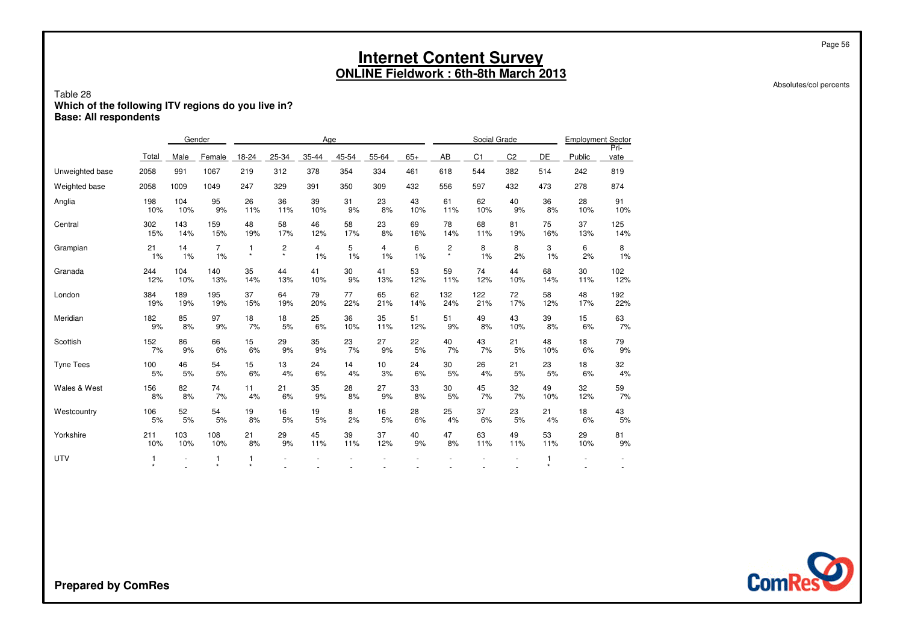|                                                                                                |                           |                          |                |              |                |       |       | <b>Internet Content Survey</b><br><b>ONLINE Fieldwork: 6th-8th March 2013</b> |       |                |              |                |         |                          |      |
|------------------------------------------------------------------------------------------------|---------------------------|--------------------------|----------------|--------------|----------------|-------|-------|-------------------------------------------------------------------------------|-------|----------------|--------------|----------------|---------|--------------------------|------|
| Table 28<br>Which of the following ITV regions do you live in?<br><b>Base: All respondents</b> |                           |                          |                |              |                |       |       |                                                                               |       |                |              |                |         |                          |      |
|                                                                                                |                           |                          | Gender         |              |                | Age   |       |                                                                               |       |                | Social Grade |                |         | <b>Employment Sector</b> | Pri- |
|                                                                                                | Total                     | Male                     | Female         | 18-24        | 25-34          | 35-44 | 45-54 | 55-64                                                                         | $65+$ | AB             | C1           | C <sub>2</sub> | DE      | Public                   | vate |
| Unweighted base                                                                                | 2058                      | 991                      | 1067           | 219          | 312            | 378   | 354   | 334                                                                           | 461   | 618            | 544          | 382            | 514     | 242                      | 819  |
| Weighted base                                                                                  | 2058                      | 1009                     | 1049           | 247          | 329            | 391   | 350   | 309                                                                           | 432   | 556            | 597          | 432            | 473     | 278                      | 874  |
| Anglia                                                                                         | 198                       | 104                      | 95             | 26           | 36             | 39    | 31    | 23                                                                            | 43    | 61             | 62           | 40             | 36      | 28                       | 91   |
|                                                                                                | 10%                       | 10%                      | 9%             | 11%          | 11%            | 10%   | 9%    | 8%                                                                            | 10%   | 11%            | 10%          | 9%             | 8%      | 10%                      | 10%  |
| Central                                                                                        | 302                       | 143                      | 159            | 48           | 58             | 46    | 58    | 23                                                                            | 69    | 78             | 68           | 81             | 75      | 37                       | 125  |
|                                                                                                | 15%                       | 14%                      | 15%            | 19%          | 17%            | 12%   | 17%   | 8%                                                                            | 16%   | 14%            | 11%          | 19%            | 16%     | 13%                      | 14%  |
| Grampian                                                                                       | 21                        | 14                       | $\overline{7}$ | $\mathbf{1}$ | $\overline{c}$ | 4     | 5     | 4                                                                             | 6     | $\overline{c}$ | 8            | 8              | 3       | 6                        | 8    |
|                                                                                                | $1\%$                     | 1%                       | 1%             | $\star$      | $\star$        | 1%    | 1%    | 1%                                                                            | 1%    | $^\star$       | 1%           | 2%             | 1%      | 2%                       | 1%   |
| Granada                                                                                        | 244                       | 104                      | 140            | 35           | 44             | 41    | 30    | 41                                                                            | 53    | 59             | 74           | 44             | 68      | 30                       | 102  |
|                                                                                                | 12%                       | 10%                      | 13%            | 14%          | 13%            | 10%   | 9%    | 13%                                                                           | 12%   | 11%            | 12%          | 10%            | 14%     | 11%                      | 12%  |
| London                                                                                         | 384                       | 189                      | 195            | 37           | 64             | 79    | 77    | 65                                                                            | 62    | 132            | 122          | 72             | 58      | 48                       | 192  |
|                                                                                                | 19%                       | 19%                      | 19%            | 15%          | 19%            | 20%   | 22%   | 21%                                                                           | 14%   | 24%            | 21%          | 17%            | 12%     | 17%                      | 22%  |
| Meridian                                                                                       | 182                       | 85                       | 97             | 18           | 18             | 25    | 36    | 35                                                                            | 51    | 51             | 49           | 43             | 39      | 15                       | 63   |
|                                                                                                | 9%                        | 8%                       | 9%             | 7%           | 5%             | 6%    | 10%   | 11%                                                                           | 12%   | 9%             | 8%           | 10%            | 8%      | 6%                       | 7%   |
| Scottish                                                                                       | 152                       | 86                       | 66             | 15           | 29             | 35    | 23    | 27                                                                            | 22    | 40             | 43           | 21             | 48      | 18                       | 79   |
|                                                                                                | 7%                        | 9%                       | 6%             | 6%           | 9%             | 9%    | 7%    | 9%                                                                            | 5%    | 7%             | 7%           | 5%             | 10%     | 6%                       | 9%   |
| <b>Tyne Tees</b>                                                                               | 100                       | 46                       | 54             | 15           | 13             | 24    | 14    | 10                                                                            | 24    | 30             | 26           | 21             | 23      | 18                       | 32   |
|                                                                                                | 5%                        | 5%                       | 5%             | 6%           | 4%             | 6%    | 4%    | 3%                                                                            | 6%    | 5%             | 4%           | 5%             | 5%      | 6%                       | 4%   |
| Wales & West                                                                                   | 156                       | 82                       | 74             | 11           | 21             | 35    | 28    | 27                                                                            | 33    | 30             | 45           | 32             | 49      | 32                       | 59   |
|                                                                                                | 8%                        | 8%                       | 7%             | 4%           | 6%             | 9%    | 8%    | 9%                                                                            | 8%    | 5%             | 7%           | 7%             | 10%     | 12%                      | 7%   |
| Westcountry                                                                                    | 106                       | 52                       | 54             | 19           | 16             | 19    | 8     | 16                                                                            | 28    | 25             | 37           | 23             | 21      | 18                       | 43   |
|                                                                                                | 5%                        | 5%                       | 5%             | 8%           | 5%             | 5%    | 2%    | 5%                                                                            | 6%    | 4%             | 6%           | 5%             | 4%      | 6%                       | 5%   |
| Yorkshire                                                                                      | 211                       | 103                      | 108            | 21           | 29             | 45    | 39    | 37                                                                            | 40    | 47             | 63           | 49             | 53      | 29                       | 81   |
|                                                                                                | 10%                       | 10%                      | 10%            | 8%           | 9%             | 11%   | 11%   | 12%                                                                           | 9%    | 8%             | 11%          | 11%            | 11%     | 10%                      | 9%   |
| <b>UTV</b>                                                                                     | $\overline{1}$<br>$\star$ | $\overline{\phantom{a}}$ | -1<br>$\star$  | 1<br>$\star$ |                |       |       |                                                                               |       |                |              |                | $\star$ | $\overline{\phantom{a}}$ |      |



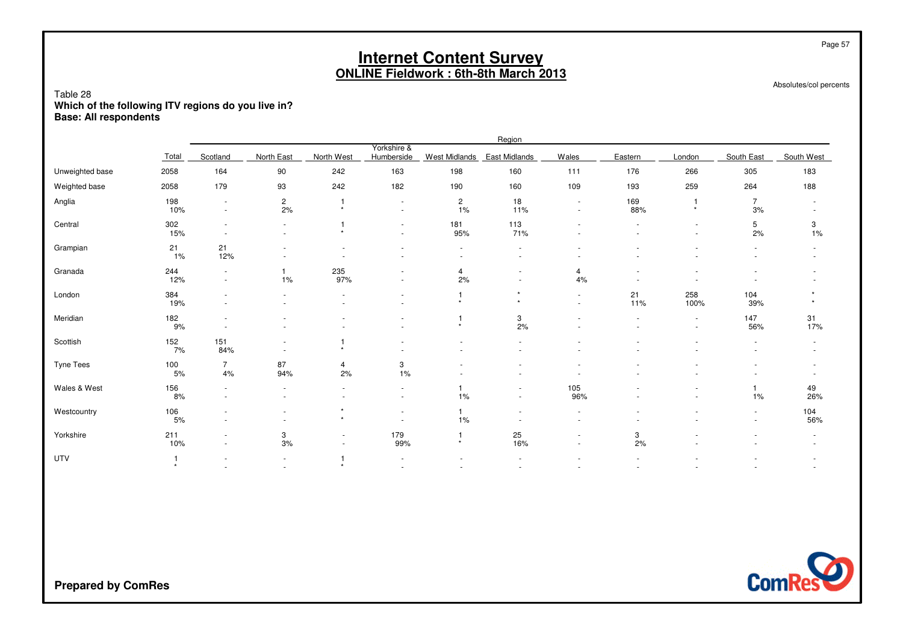|                                                                                                |            |                                    |                          |                           |                                    |                             | <b>Internet Content Survey</b><br><b>ONLINE Fieldwork: 6th-8th March 2013</b> |                  |            |                          |                                    | Page 57                |
|------------------------------------------------------------------------------------------------|------------|------------------------------------|--------------------------|---------------------------|------------------------------------|-----------------------------|-------------------------------------------------------------------------------|------------------|------------|--------------------------|------------------------------------|------------------------|
| Table 28<br>Which of the following ITV regions do you live in?<br><b>Base: All respondents</b> |            |                                    |                          |                           |                                    |                             |                                                                               |                  |            |                          |                                    | Absolutes/col percents |
|                                                                                                |            |                                    |                          |                           |                                    |                             | Region                                                                        |                  |            |                          |                                    |                        |
|                                                                                                | Total      | Scotland                           | North East               | North West                | Yorkshire &<br>Humberside          | West Midlands East Midlands |                                                                               | Wales            | Eastern    | London                   | South East                         | South West             |
| Unweighted base                                                                                | 2058       | 164                                | 90                       | 242                       | 163                                | 198                         | 160                                                                           | 111              | 176        | 266                      | 305                                | 183                    |
| Weighted base                                                                                  | 2058       | 179                                | 93                       | 242                       | 182                                | 190                         | 160                                                                           | 109              | 193        | 259                      | 264                                | 188                    |
| Anglia                                                                                         | 198<br>10% | $\overline{\phantom{a}}$<br>$\sim$ | $\overline{c}$<br>2%     | $\overline{1}$<br>$\star$ |                                    | $\overline{c}$<br>1%        | 18<br>11%                                                                     | $\sim$           | 169<br>88% | $\mathbf{1}$<br>$\star$  | $\overline{7}$<br>3%               |                        |
| Central                                                                                        | 302<br>15% | $\sim$                             | $\blacksquare$           | $\mathbf{1}$<br>$\star$   |                                    | 181<br>95%                  | 113<br>71%                                                                    |                  |            | $\sim$                   | 5<br>2%                            | 3<br>1%                |
| Grampian                                                                                       | 21<br>1%   | 21<br>12%                          | $\overline{\phantom{a}}$ |                           | $\overline{\phantom{a}}$           | $\sim$                      |                                                                               |                  |            |                          |                                    |                        |
| Granada                                                                                        | 244<br>12% | $\overline{a}$<br>$\sim$           | 1<br>1%                  | 235<br>97%                | $\overline{\phantom{a}}$           | 4<br>2%                     | $\sim$                                                                        | 4<br>4%          |            | $\overline{\phantom{a}}$ |                                    |                        |
| London                                                                                         | 384<br>19% | $\overline{a}$<br>$\sim$           | $\sim$                   | $\overline{a}$            |                                    | $\mathbf{1}$<br>$\star$     | $\star$<br>$\star$                                                            | $\sim$<br>$\sim$ | 21<br>11%  | 258<br>100%              | 104<br>39%                         | $\star$                |
| Meridian                                                                                       | 182<br>9%  | $\sim$                             |                          |                           |                                    | $\mathbf{1}$<br>$\star$     | 3<br>2%                                                                       |                  |            | $\sim$                   | 147<br>56%                         | 31<br>17%              |
| Scottish                                                                                       | 152<br>7%  | 151<br>84%                         |                          | $\mathbf{1}$<br>$\star$   |                                    |                             |                                                                               |                  |            |                          |                                    |                        |
| <b>Tyne Tees</b>                                                                               | 100<br>5%  | $\overline{7}$<br>4%               | 87<br>94%                | 4<br>2%                   | 3<br>1%                            |                             |                                                                               |                  |            |                          |                                    | $\sim$                 |
| Wales & West                                                                                   | 156<br>8%  | ٠<br>$\sim$                        | $\overline{\phantom{a}}$ | $\overline{\phantom{a}}$  | $\sim$<br>$\sim$                   | $\mathbf{1}$<br>1%          | $\overline{\phantom{a}}$                                                      | 105<br>96%       |            |                          | $\mathbf{1}$<br>1%                 | 49<br>26%              |
| Westcountry                                                                                    | 106<br>5%  | $\sim$                             | $\overline{\phantom{a}}$ | $\star$<br>$\star$        | $\overline{\phantom{a}}$<br>$\sim$ | $\mathbf{1}$<br>1%          |                                                                               | $\sim$           |            |                          | $\overline{\phantom{a}}$<br>$\sim$ | 104<br>56%             |
| Yorkshire                                                                                      | 211<br>10% | $\sim$                             | 3<br>$3%$                | $\blacksquare$<br>$\sim$  | 179<br>99%                         | $\mathbf{1}$<br>$\star$     | 25<br>16%                                                                     | $\sim$           | 3<br>2%    |                          |                                    |                        |
| <b>UTV</b>                                                                                     | $\star$    | $\overline{\phantom{a}}$           | $\overline{\phantom{a}}$ | $\mathbf{1}$<br>$\star$   | $\overline{\phantom{a}}$<br>$\sim$ | $\sim$                      |                                                                               |                  | $\sim$     |                          |                                    | $\sim$                 |

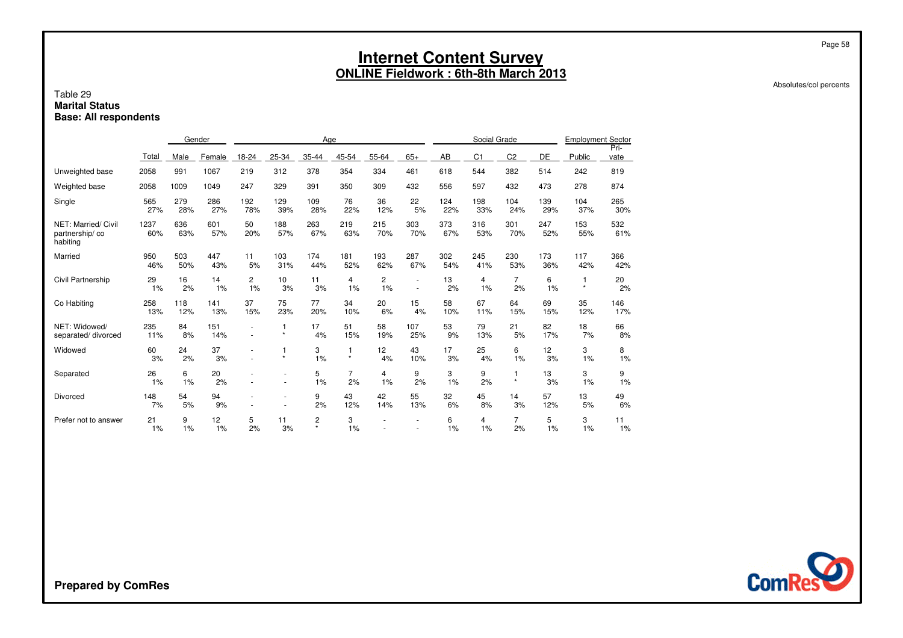#### Absolutes/col percents

Page 58

#### Table 29 **Marital StatusBase: All respondents**

|                                                   |             |            | Gender     |                      |              | Age          |               |                       |                |            | Social Grade   |                      |            | <b>Employment Sector</b> |              |
|---------------------------------------------------|-------------|------------|------------|----------------------|--------------|--------------|---------------|-----------------------|----------------|------------|----------------|----------------------|------------|--------------------------|--------------|
|                                                   | Total       | Male       | Female     | 18-24                | 25-34        | 35-44        | 45-54         | 55-64                 | $65+$          | AB         | C <sub>1</sub> | C <sub>2</sub>       | DE         | Public                   | Pri-<br>vate |
| Unweighted base                                   | 2058        | 991        | 1067       | 219                  | 312          | 378          | 354           | 334                   | 461            | 618        | 544            | 382                  | 514        | 242                      | 819          |
| Weighted base                                     | 2058        | 1009       | 1049       | 247                  | 329          | 391          | 350           | 309                   | 432            | 556        | 597            | 432                  | 473        | 278                      | 874          |
| Single                                            | 565<br>27%  | 279<br>28% | 286<br>27% | 192<br>78%           | 129<br>39%   | 109<br>28%   | 76<br>22%     | 36<br>12%             | 22<br>5%       | 124<br>22% | 198<br>33%     | 104<br>24%           | 139<br>29% | 104<br>37%               | 265<br>30%   |
| NET: Married/ Civil<br>partnership/co<br>habiting | 1237<br>60% | 636<br>63% | 601<br>57% | 50<br>20%            | 188<br>57%   | 263<br>67%   | 219<br>63%    | 215<br>70%            | 303<br>70%     | 373<br>67% | 316<br>53%     | 301<br>70%           | 247<br>52% | 153<br>55%               | 532<br>61%   |
| Married                                           | 950<br>46%  | 503<br>50% | 447<br>43% | 11<br>5%             | 103<br>31%   | 174<br>44%   | 181<br>52%    | 193<br>62%            | 287<br>67%     | 302<br>54% | 245<br>41%     | 230<br>53%           | 173<br>36% | 117<br>42%               | 366<br>42%   |
| Civil Partnership                                 | 29<br>1%    | 16<br>2%   | 14<br>1%   | $\overline{c}$<br>1% | 10<br>3%     | 11<br>3%     | 4<br>1%       | 2<br>1%               | $\overline{a}$ | 13<br>2%   | 4<br>1%        | $\overline{7}$<br>2% | 6<br>1%    | -1<br>$\star$            | 20<br>2%     |
| Co Habiting                                       | 258<br>13%  | 118<br>12% | 141<br>13% | 37<br>15%            | 75<br>23%    | 77<br>20%    | 34<br>10%     | 20<br>6%              | 15<br>4%       | 58<br>10%  | 67<br>11%      | 64<br>15%            | 69<br>15%  | 35<br>12%                | 146<br>17%   |
| NET: Widowed/<br>separated/divorced               | 235<br>11%  | 84<br>8%   | 151<br>14% |                      | 1<br>$\star$ | 17<br>4%     | 51<br>15%     | 58<br>19%             | 107<br>25%     | 53<br>9%   | 79<br>13%      | 21<br>5%             | 82<br>17%  | 18<br>7%                 | 66<br>8%     |
| Widowed                                           | 60<br>3%    | 24<br>2%   | 37<br>3%   |                      | 1<br>$\star$ | 3<br>1%      | 1<br>$^\star$ | 12 <sup>2</sup><br>4% | 43<br>10%      | 17<br>3%   | 25<br>4%       | 6<br>1%              | 12<br>3%   | 3<br>1%                  | 8<br>1%      |
| Separated                                         | 26<br>1%    | 6<br>1%    | 20<br>2%   |                      |              | 5<br>1%      | 7<br>2%       | 4<br>1%               | 9<br>2%        | 3<br>1%    | 9<br>2%        | $\star$              | 13<br>3%   | 3<br>1%                  | 9<br>1%      |
| Divorced                                          | 148<br>7%   | 54<br>5%   | 94<br>9%   |                      |              | 9<br>2%      | 43<br>12%     | 42<br>14%             | 55<br>13%      | 32<br>6%   | 45<br>8%       | 14<br>3%             | 57<br>12%  | 13<br>5%                 | 49<br>6%     |
| Prefer not to answer                              | 21<br>1%    | 9<br>1%    | 12<br>1%   | 5<br>2%              | 11<br>3%     | 2<br>$\star$ | 3<br>1%       |                       |                | 6<br>1%    | 4<br>1%        | $\overline{7}$<br>2% | 5<br>1%    | 3<br>1%                  | 11<br>1%     |

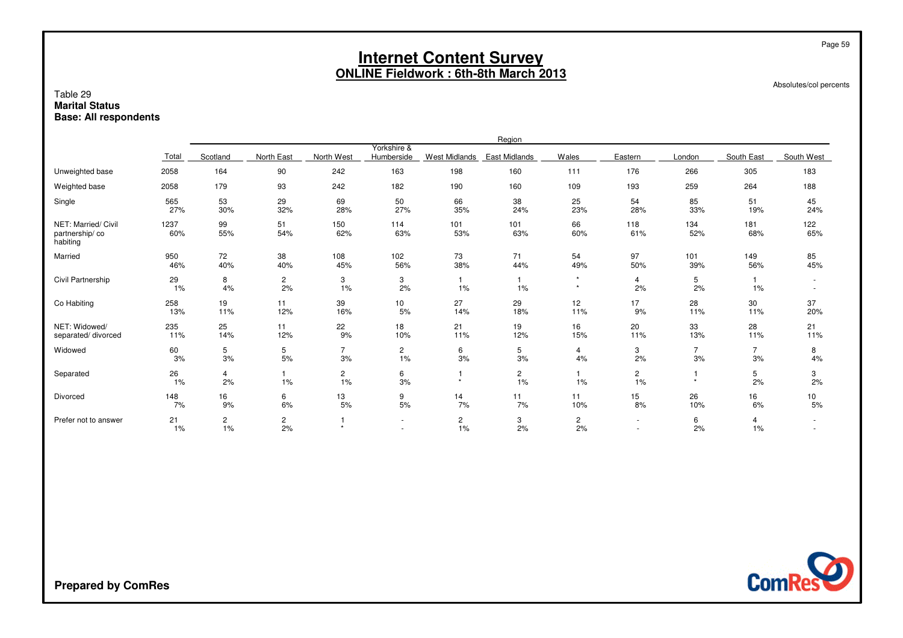| Table 29<br><b>Marital Status</b><br><b>Base: All respondents</b> |                                                                                                                                                                                                                                                           |                         |                      |                      |                      |                       | <b>Internet Content Survey</b><br><b>ONLINE Fieldwork: 6th-8th March 2013</b> |                      |                      |                      |                      | Page 59<br>Absolutes/col percents |  |  |  |
|-------------------------------------------------------------------|-----------------------------------------------------------------------------------------------------------------------------------------------------------------------------------------------------------------------------------------------------------|-------------------------|----------------------|----------------------|----------------------|-----------------------|-------------------------------------------------------------------------------|----------------------|----------------------|----------------------|----------------------|-----------------------------------|--|--|--|
|                                                                   | Region<br>Yorkshire &                                                                                                                                                                                                                                     |                         |                      |                      |                      |                       |                                                                               |                      |                      |                      |                      |                                   |  |  |  |
|                                                                   | North East<br>Eastern<br>South East<br>Scotland<br>North West<br>Humberside<br><b>West Midlands</b><br><b>East Midlands</b><br>Wales<br>London<br>South West<br>Total<br>2058<br>90<br>163<br>198<br>160<br>176<br>266<br>305<br>164<br>242<br>111<br>183 |                         |                      |                      |                      |                       |                                                                               |                      |                      |                      |                      |                                   |  |  |  |
| Unweighted base                                                   |                                                                                                                                                                                                                                                           |                         |                      |                      |                      |                       |                                                                               |                      |                      |                      |                      |                                   |  |  |  |
| Weighted base                                                     | 2058                                                                                                                                                                                                                                                      | 179                     | 93                   | 242                  | 182                  | 190                   | 160                                                                           | 109                  | 193                  | 259                  | 264                  | 188                               |  |  |  |
| Single                                                            | 565<br>27%                                                                                                                                                                                                                                                | 53<br>30%               | 29<br>32%            | 69<br>28%            | 50<br>27%            | 66<br>35%             | 38<br>24%                                                                     | 25<br>23%            | 54<br>28%            | 85<br>33%            | 51<br>19%            | 45<br>24%                         |  |  |  |
| NET: Married/ Civil<br>partnership/co<br>habiting                 | 1237<br>60%                                                                                                                                                                                                                                               | 99<br>55%               | 51<br>54%            | 150<br>62%           | 114<br>63%           | 101<br>53%            | 101<br>63%                                                                    | 66<br>60%            | 118<br>61%           | 134<br>52%           | 181<br>68%           | 122<br>65%                        |  |  |  |
| Married                                                           | 950<br>46%                                                                                                                                                                                                                                                | 72<br>40%               | 38<br>40%            | 108<br>45%           | 102<br>56%           | 73<br>38%             | 71<br>44%                                                                     | 54<br>49%            | 97<br>50%            | 101<br>39%           | 149<br>56%           | 85<br>45%                         |  |  |  |
| Civil Partnership                                                 | 29<br>1%                                                                                                                                                                                                                                                  | 8<br>4%                 | $\overline{c}$<br>2% | 3<br>1%              | 3<br>2%              | -1<br>1%              | 1%                                                                            | $\star$<br>$\star$   | $\overline{4}$<br>2% | 5<br>2%              | 1<br>1%              | $\overline{\phantom{a}}$          |  |  |  |
| Co Habiting                                                       | 258<br>13%                                                                                                                                                                                                                                                | 19<br>11%               | 11<br>12%            | 39<br>16%            | 10<br>5%             | 27<br>14%             | 29<br>18%                                                                     | 12<br>11%            | 17<br>9%             | 28<br>11%            | 30<br>11%            | 37<br>20%                         |  |  |  |
| NET: Widowed/<br>separated/divorced                               | 235<br>11%                                                                                                                                                                                                                                                | 25<br>14%               | 11<br>12%            | 22<br>9%             | 18<br>10%            | 21<br>11%             | 19<br>12%                                                                     | 16<br>15%            | 20<br>11%            | 33<br>13%            | 28<br>11%            | 21<br>11%                         |  |  |  |
| Widowed                                                           | 60<br>3%                                                                                                                                                                                                                                                  | 5<br>3%                 | 5<br>5%              | $\overline{7}$<br>3% | $\overline{c}$<br>1% | 6<br>3%               | 5<br>3%                                                                       | $\overline{4}$<br>4% | 3<br>2%              | $\overline{7}$<br>3% | $\overline{7}$<br>3% | 8<br>4%                           |  |  |  |
| Separated                                                         | 26<br>1%                                                                                                                                                                                                                                                  | 4<br>2%                 | -1<br>$1\%$          | $\mathbf{2}$<br>1%   | 6<br>3%              | -1<br>$\star$         | $\overline{c}$<br>1%                                                          | $\mathbf{1}$<br>1%   | $\overline{2}$<br>1% | 1<br>$\star$         | 5<br>2%              | 3<br>2%                           |  |  |  |
| Divorced                                                          | 148<br>7%                                                                                                                                                                                                                                                 | 16<br>9%                | 6<br>6%              | 13<br>5%             | 9<br>5%              | 14<br>7%              | 11<br>7%                                                                      | 11<br>10%            | 15<br>8%             | 26<br>10%            | 16<br>6%             | 10<br>5%                          |  |  |  |
| Prefer not to answer                                              | 21<br>1%                                                                                                                                                                                                                                                  | $\overline{c}$<br>$1\%$ | $\overline{c}$<br>2% |                      | $\sim$               | $\mathbf{2}$<br>$1\%$ | 3<br>2%                                                                       | $\overline{c}$<br>2% | $\sim$               | 6<br>2%              | 4<br>1%              |                                   |  |  |  |

ComRes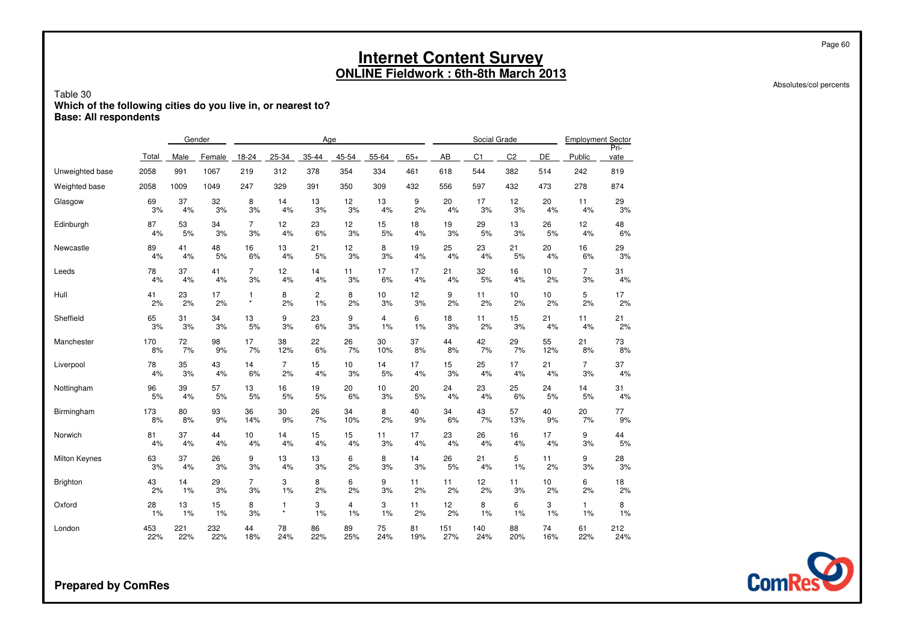Absolutes/col percents

### Table 30**Which of the following cities do you live in, or nearest to? Base: All respondents**

|                      |          | Gender   |          |                |                | Age          |          |          |          |          | Social Grade   |                |           | <b>Employment Sector</b> |              |
|----------------------|----------|----------|----------|----------------|----------------|--------------|----------|----------|----------|----------|----------------|----------------|-----------|--------------------------|--------------|
|                      | Total    | Male     | Female   | 18-24          | 25-34          | 35-44        | 45-54    | 55-64    | $65+$    | AB       | C <sub>1</sub> | C <sub>2</sub> | <b>DE</b> | Public                   | Pri-<br>vate |
| Unweighted base      | 2058     | 991      | 1067     | 219            | 312            | 378          | 354      | 334      | 461      | 618      | 544            | 382            | 514       | 242                      | 819          |
| Weighted base        | 2058     | 1009     | 1049     | 247            | 329            | 391          | 350      | 309      | 432      | 556      | 597            | 432            | 473       | 278                      | 874          |
| Glasgow              | 69       | 37       | 32       | 8              | 14             | 13           | 12       | 13       | 9        | 20       | 17             | 12             | 20        | 11                       | 29           |
|                      | 3%       | 4%       | 3%       | 3%             | 4%             | 3%           | 3%       | 4%       | 2%       | 4%       | 3%             | 3%             | 4%        | 4%                       | 3%           |
| Edinburgh            | 87       | 53       | 34       | $\overline{7}$ | 12             | 23           | 12       | 15       | 18       | 19       | 29             | 13             | 26        | 12                       | 48           |
|                      | 4%       | 5%       | 3%       | 3%             | 4%             | 6%           | 3%       | 5%       | 4%       | 3%       | 5%             | 3%             | 5%        | 4%                       | $6\%$        |
| Newcastle            | 89<br>4% | 41<br>4% | 48<br>5% | 16<br>6%       | 13<br>4%       | 21<br>5%     | 12<br>3% | 8<br>3%  | 19<br>4% | 25<br>4% | 23<br>4%       | 21<br>5%       | 20<br>4%  | 16<br>6%                 | 29<br>3%     |
| Leeds                | 78       | 37       | 41       | $\overline{7}$ | 12             | 14           | 11       | 17       | 17       | 21       | 32             | 16             | 10        | $\overline{7}$           | 31           |
|                      | 4%       | 4%       | 4%       | 3%             | 4%             | 4%           | 3%       | 6%       | 4%       | 4%       | 5%             | 4%             | 2%        | 3%                       | 4%           |
| Hull                 | 41       | 23       | 17       | $\mathbf{1}$   | 8              | $\mathbf{2}$ | 8        | 10       | 12       | 9        | 11             | 10             | 10        | 5                        | 17           |
|                      | 2%       | 2%       | 2%       | $^\star$       | 2%             | 1%           | 2%       | 3%       | 3%       | 2%       | 2%             | 2%             | 2%        | 2%                       | 2%           |
| Sheffield            | 65       | 31       | 34       | 13             | 9              | 23           | 9        | 4        | 6        | 18       | 11             | 15             | 21        | 11                       | 21           |
|                      | 3%       | 3%       | 3%       | 5%             | 3%             | 6%           | 3%       | 1%       | 1%       | 3%       | 2%             | 3%             | 4%        | 4%                       | 2%           |
| Manchester           | 170      | 72       | 98       | 17             | 38             | 22           | 26       | 30       | 37       | 44       | 42             | 29             | 55        | 21                       | 73           |
|                      | 8%       | 7%       | 9%       | 7%             | 12%            | 6%           | 7%       | 10%      | 8%       | 8%       | 7%             | 7%             | 12%       | 8%                       | 8%           |
| Liverpool            | 78       | 35       | 43       | 14             | $\overline{7}$ | 15           | 10       | 14       | 17       | 15       | 25             | 17             | 21        | $\overline{7}$           | 37           |
|                      | 4%       | 3%       | 4%       | 6%             | 2%             | 4%           | 3%       | 5%       | 4%       | 3%       | 4%             | 4%             | 4%        | 3%                       | $4\%$        |
| Nottingham           | 96       | 39       | 57       | 13             | 16             | 19           | 20       | 10       | 20       | 24       | 23             | 25             | 24        | 14                       | 31           |
|                      | 5%       | 4%       | 5%       | 5%             | 5%             | 5%           | 6%       | 3%       | 5%       | 4%       | 4%             | 6%             | 5%        | 5%                       | 4%           |
| Birmingham           | 173      | 80       | 93       | 36             | 30             | 26           | 34       | 8        | 40       | 34       | 43             | 57             | 40        | 20                       | 77           |
|                      | 8%       | 8%       | 9%       | 14%            | 9%             | 7%           | 10%      | 2%       | 9%       | 6%       | 7%             | 13%            | 9%        | 7%                       | 9%           |
| Norwich              | 81<br>4% | 37<br>4% | 44<br>4% | 10<br>4%       | 14<br>4%       | 15<br>4%     | 15<br>4% | 11<br>3% | 17<br>4% | 23<br>4% | 26<br>4%       | 16<br>4%       | 17<br>4%  | 9<br>3%                  | 44<br>5%     |
| <b>Milton Keynes</b> | 63       | 37       | 26       | 9              | 13             | 13           | 6        | 8        | 14       | 26       | 21             | 5              | 11        | 9                        | 28           |
|                      | 3%       | 4%       | 3%       | 3%             | 4%             | 3%           | 2%       | 3%       | 3%       | 5%       | 4%             | 1%             | 2%        | 3%                       | 3%           |
| Brighton             | 43       | 14       | 29       | $\overline{7}$ | 3              | 8            | 6        | 9        | 11       | 11       | 12             | 11             | 10        | 6                        | 18           |
|                      | 2%       | $1\%$    | 3%       | 3%             | 1%             | 2%           | 2%       | 3%       | 2%       | 2%       | 2%             | 3%             | 2%        | 2%                       | 2%           |
| Oxford               | 28       | 13       | 15       | 8              | 1              | 3            | 4        | 3        | 11       | 12       | 8              | 6              | 3         | $\mathbf{1}$             | 8            |
|                      | 1%       | 1%       | 1%       | 3%             | $\star$        | 1%           | 1%       | 1%       | 2%       | 2%       | 1%             | 1%             | 1%        | 1%                       | 1%           |
| London               | 453      | 221      | 232      | 44             | 78             | 86           | 89       | 75       | 81       | 151      | 140            | 88             | 74        | 61                       | 212          |
|                      | 22%      | 22%      | 22%      | 18%            | 24%            | 22%          | 25%      | 24%      | 19%      | 27%      | 24%            | 20%            | 16%       | 22%                      | 24%          |

**Prepared by ComRes**



Page 60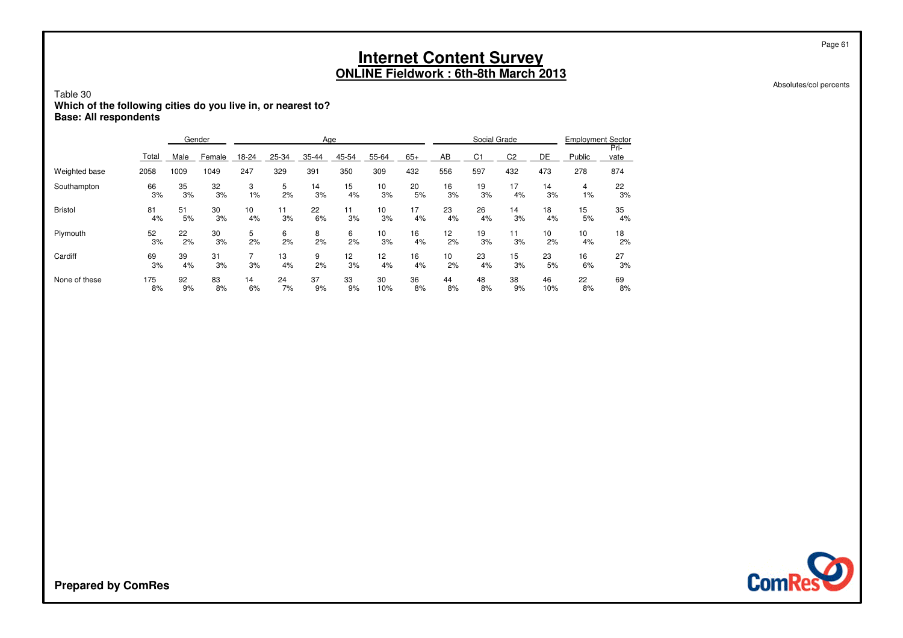Absolutes/col percents

Page 61

### Table 30**Which of the following cities do you live in, or nearest to? Base: All respondents**

|                |          |          | Gender   |       |          | Age     |          |          |          |                 | Social Grade   |                |          | <b>Employment Sector</b> |              |
|----------------|----------|----------|----------|-------|----------|---------|----------|----------|----------|-----------------|----------------|----------------|----------|--------------------------|--------------|
|                | Total    | Male     | Female   | 18-24 | 25-34    | 35-44   | 45-54    | 55-64    | $65+$    | AB              | C <sub>1</sub> | C <sub>2</sub> | DE       | Public                   | Pri-<br>vate |
| Weighted base  | 2058     | 1009     | 1049     | 247   | 329      | 391     | 350      | 309      | 432      | 556             | 597            | 432            | 473      | 278                      | 874          |
| Southampton    | 66       | 35       | 32       | 3     | 5        | 14      | 15       | 10       | 20       | 16              | 19             | 17             | 14       | 4                        | 22           |
|                | 3%       | 3%       | 3%       | $1\%$ | 2%       | 3%      | 4%       | 3%       | 5%       | 3%              | 3%             | 4%             | 3%       | 1%                       | 3%           |
| <b>Bristol</b> | 81       | 51       | 30       | 10    | 11       | 22      | 11       | 10       | 17       | 23              | 26             | 14             | 18       | 15                       | 35           |
|                | 4%       | 5%       | 3%       | 4%    | 3%       | 6%      | 3%       | 3%       | 4%       | 4%              | 4%             | 3%             | 4%       | 5%                       | 4%           |
| Plymouth       | 52       | 22       | 30       | 5     | 6        | 8       | 6        | 10       | 16       | 12 <sup>2</sup> | 19             | 11             | 10       | 10                       | 18           |
|                | 3%       | 2%       | 3%       | 2%    | 2%       | 2%      | 2%       | 3%       | 4%       | 2%              | 3%             | 3%             | 2%       | 4%                       | 2%           |
| Cardiff        | 69<br>3% | 39<br>4% | 31<br>3% | 3%    | 13<br>4% | 9<br>2% | 12<br>3% | 12<br>4% | 16<br>4% | 10<br>2%        | 23<br>4%       | 15<br>3%       | 23<br>5% | 16<br>6%                 | 27<br>3%     |
| None of these  | 175      | 92       | 83       | 14    | 24       | 37      | 33       | 30       | 36       | 44              | 48             | 38             | 46       | 22                       | 69           |
|                | 8%       | 9%       | 8%       | 6%    | 7%       | 9%      | 9%       | 10%      | 8%       | 8%              | 8%             | 9%             | 10%      | 8%                       | 8%           |

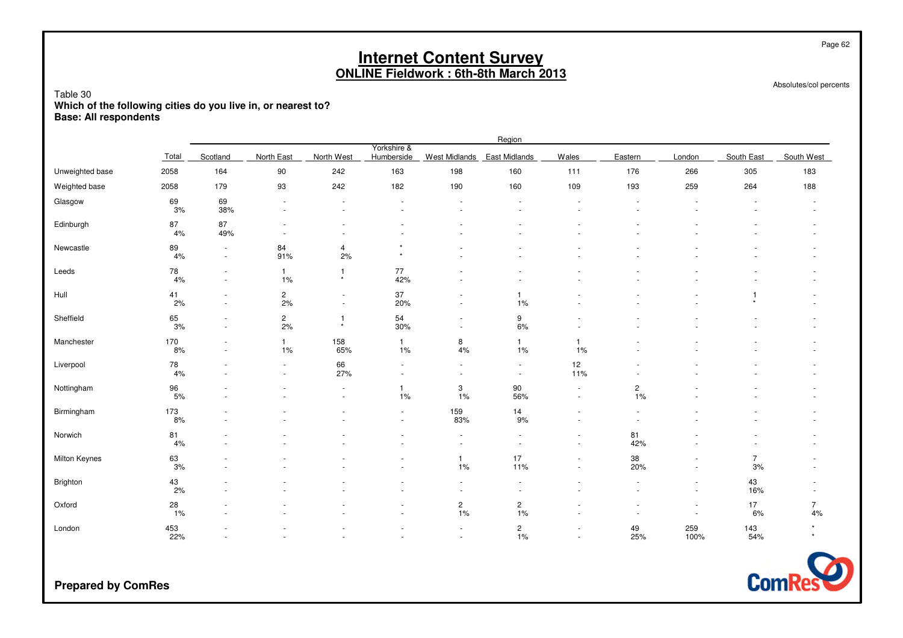Absolutes/col percents

Page 62

### Table 30**Which of the following cities do you live in, or nearest to? Base: All respondents**

|                 |                  |                          |                                                      |                                                      |                                    |                                    | Region                        |                                                      |                                  |                                    |                      |                      |
|-----------------|------------------|--------------------------|------------------------------------------------------|------------------------------------------------------|------------------------------------|------------------------------------|-------------------------------|------------------------------------------------------|----------------------------------|------------------------------------|----------------------|----------------------|
|                 | Total            | Scotland                 | <b>North East</b>                                    | North West                                           | Yorkshire &<br>Humberside          | <b>West Midlands</b>               | East Midlands                 | Wales                                                | Eastern                          | London                             | South East           | South West           |
| Unweighted base | 2058             | 164                      | 90                                                   | 242                                                  | 163                                | 198                                | 160                           | 111                                                  | 176                              | 266                                | 305                  | 183                  |
| Weighted base   | 2058             | 179                      | 93                                                   | 242                                                  | 182                                | 190                                | 160                           | 109                                                  | 193                              | 259                                | 264                  | 188                  |
| Glasgow         | 69<br>3%         | 69<br>38%                | $\sim$<br>$\sim$                                     | $\overline{a}$<br>$\sim$                             | $\sim$                             | $\overline{\phantom{a}}$           | $\overline{\phantom{a}}$      | $\sim$                                               |                                  |                                    | ÷                    |                      |
| Edinburgh       | 87<br>4%         | 87<br>49%                | $\overline{\phantom{m}}$<br>$\overline{\phantom{a}}$ | $\overline{\phantom{a}}$<br>$\overline{\phantom{a}}$ |                                    |                                    |                               |                                                      |                                  |                                    |                      |                      |
| Newcastle       | 89<br>4%         | $\sim$<br>$\sim$         | 84<br>91%                                            | $\overline{4}$<br>2%                                 | $\star$                            | ٠                                  |                               |                                                      |                                  |                                    |                      |                      |
| Leeds           | ${\bf 78}$<br>4% | $\sim$<br>$\sim$         | $\mathbf{1}$<br>$1\%$                                | $\mathbf{1}$<br>$\star$                              | $77\,$<br>42%                      |                                    |                               |                                                      |                                  |                                    |                      |                      |
| Hull            | 41<br>2%         | $\overline{a}$<br>$\sim$ | $\mathbf 2$<br>2%                                    | $\sim$<br>$\overline{\phantom{a}}$                   | $37\,$<br>20%                      | ٠<br>$\sim$                        | 1%                            |                                                      |                                  | $\sim$                             | 1                    |                      |
| Sheffield       | 65<br>3%         | $\sim$                   | $\mathbf 2$<br>2%                                    | $\mathbf{1}$<br>$\star$                              | 54<br>30%                          | $\overline{\phantom{a}}$<br>$\sim$ | 9<br>6%                       | $\sim$                                               |                                  |                                    |                      |                      |
| Manchester      | 170<br>8%        | $\sim$                   | $\mathbf{1}$<br>1%                                   | 158<br>65%                                           | $\mathbf{1}$<br>1%                 | 8<br>$4\%$                         | $\mathbf{1}$<br>1%            | $\mathbf{1}$<br>1%                                   |                                  |                                    |                      |                      |
| Liverpool       | 78<br>4%         | $\overline{\phantom{a}}$ | $\blacksquare$<br>$\blacksquare$                     | 66<br>27%                                            | $\overline{\phantom{a}}$           | $\sim$<br>$\blacksquare$           | $\sim$<br>$\sim$              | 12<br>11%                                            |                                  |                                    |                      |                      |
| Nottingham      | 96<br>5%         |                          |                                                      | $\blacksquare$<br>$\sim$                             | $\mathbf{1}$<br>1%                 | 3<br>1%                            | 90<br>56%                     | $\overline{\phantom{a}}$<br>$\overline{\phantom{a}}$ | $\overline{\mathbf{c}}$<br>1%    |                                    |                      |                      |
| Birmingham      | 173<br>8%        | $\sim$                   |                                                      | $\sim$                                               | $\sim$<br>$\sim$                   | 159<br>83%                         | 14<br>9%                      | $\overline{\phantom{a}}$<br>$\sim$                   | $\sim$                           |                                    |                      |                      |
| Norwich         | 81<br>4%         |                          |                                                      |                                                      |                                    | $\sim$<br>$\ddot{\phantom{1}}$     | $\sim$                        | $\blacksquare$<br>$\overline{\phantom{a}}$           | 81<br>42%                        |                                    |                      |                      |
| Milton Keynes   | 63<br>3%         | $\overline{a}$           | $\blacksquare$                                       |                                                      | $\overline{\phantom{a}}$           | $\mathbf{1}$<br>1%                 | 17<br>11%                     | $\blacksquare$<br>$\blacksquare$                     | $38\,$<br>20%                    | $\overline{\phantom{a}}$           | $\overline{7}$<br>3% |                      |
| Brighton        | $43\,$<br>2%     |                          |                                                      |                                                      |                                    | ä,<br>$\sim$                       |                               |                                                      | $\sim$                           | $\sim$                             | 43<br>16%            |                      |
| Oxford          | 28<br>1%         | $\sim$                   | $\blacksquare$                                       |                                                      | $\overline{\phantom{a}}$<br>$\sim$ | $\overline{\mathbf{c}}$<br>$1\%$   | $2$<br>1%                     | $\overline{a}$<br>÷.                                 | $\blacksquare$<br>$\overline{a}$ | $\overline{\phantom{a}}$<br>$\sim$ | 17<br>6%             | $\overline{7}$<br>4% |
| London          | 453<br>22%       |                          |                                                      |                                                      |                                    | $\sim$<br>$\sim$                   | $\overline{\mathbf{c}}$<br>1% | ٠<br>$\blacksquare$                                  | 49<br>25%                        | 259<br>100%                        | 143<br>54%           | $\star$              |

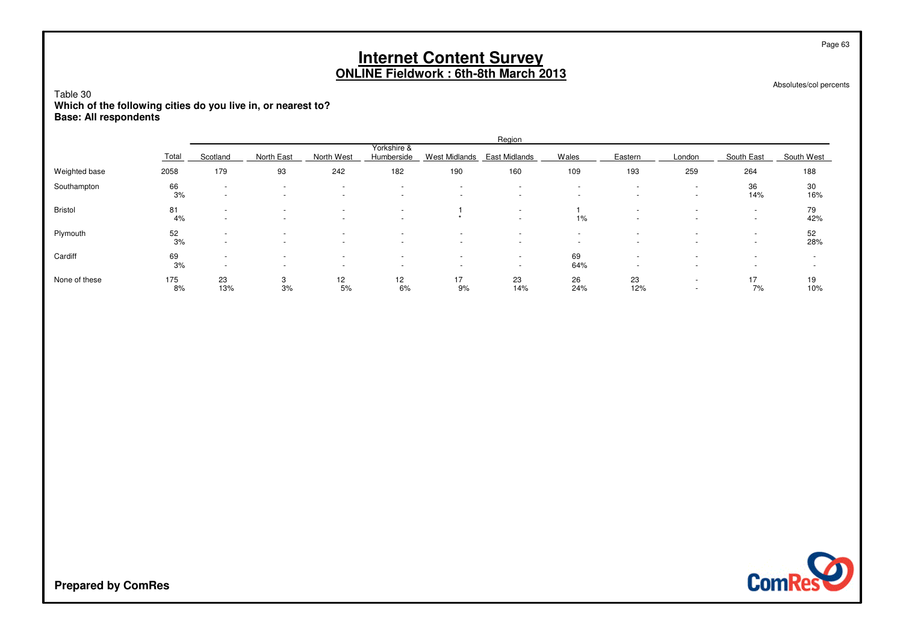Absolutes/col percents

Page 63

### Table 30**Which of the following cities do you live in, or nearest to? Base: All respondents**

|               |           |                                    |                                                      |                                                      |                                                      |                               | Region                                               |                                                      |                          |                                            |                                                      |            |
|---------------|-----------|------------------------------------|------------------------------------------------------|------------------------------------------------------|------------------------------------------------------|-------------------------------|------------------------------------------------------|------------------------------------------------------|--------------------------|--------------------------------------------|------------------------------------------------------|------------|
|               | Total     | Scotland                           | North East                                           | North West                                           | Yorkshire &<br>Humberside                            | West Midlands                 | East Midlands                                        | Wales                                                | Eastern                  | London                                     | South East                                           | South West |
| Weighted base | 2058      | 179                                | 93                                                   | 242                                                  | 182                                                  | 190                           | 160                                                  | 109                                                  | 193                      | 259                                        | 264                                                  | 188        |
| Southampton   | 66<br>3%  | $\sim$<br>$\sim$                   | $\overline{\phantom{0}}$                             | $\overline{\phantom{0}}$<br>$\overline{\phantom{0}}$ | $\overline{\phantom{a}}$<br>$\overline{\phantom{0}}$ | ۰<br>$\overline{\phantom{0}}$ | $\overline{\phantom{a}}$<br>$\overline{\phantom{a}}$ | $\overline{\phantom{a}}$<br>$\overline{\phantom{a}}$ |                          | $\overline{a}$<br>$\overline{a}$           | 36<br>14%                                            | 30<br>16%  |
| Bristol       | 81<br>4%  | $\sim$<br>$\sim$                   |                                                      | $\overline{\phantom{0}}$<br>$\overline{\phantom{0}}$ | $\overline{\phantom{a}}$<br>$\overline{\phantom{0}}$ |                               | $\overline{\phantom{a}}$<br>$\overline{\phantom{a}}$ | $1\%$                                                | $\overline{\phantom{a}}$ | $\overline{a}$<br>$\overline{a}$           | $\overline{\phantom{a}}$<br>$\overline{\phantom{a}}$ | 79<br>42%  |
| Plymouth      | 52<br>3%  | $\overline{\phantom{a}}$<br>$\sim$ |                                                      | $\overline{\phantom{0}}$                             | $\overline{\phantom{a}}$<br>$\overline{\phantom{0}}$ | ۰<br>$\overline{\phantom{a}}$ | $\overline{\phantom{a}}$<br>$\overline{\phantom{a}}$ | -<br>-                                               |                          | $\overline{a}$<br>$\overline{\phantom{a}}$ | $\overline{\phantom{a}}$<br>$\sim$                   | 52<br>28%  |
| Cardiff       | 69<br>3%  | $\sim$<br>$\overline{\phantom{a}}$ | $\overline{\phantom{0}}$<br>$\overline{\phantom{0}}$ | $\overline{\phantom{0}}$<br>$\overline{\phantom{0}}$ | $\overline{\phantom{a}}$<br>$\overline{\phantom{a}}$ | ۰<br>$\overline{\phantom{0}}$ | $\overline{\phantom{a}}$<br>$\overline{\phantom{a}}$ | 69<br>64%                                            |                          | $\overline{a}$                             | $\overline{\phantom{a}}$<br>$\overline{\phantom{a}}$ | ۰<br>-     |
| None of these | 175<br>8% | 23<br>13%                          | 3<br>3%                                              | 12<br>5%                                             | 12<br>6%                                             | 17<br>9%                      | 23<br>14%                                            | 26<br>24%                                            | 23<br>12%                | $\overline{a}$<br>$\overline{\phantom{a}}$ | 17<br>7%                                             | 19<br>10%  |

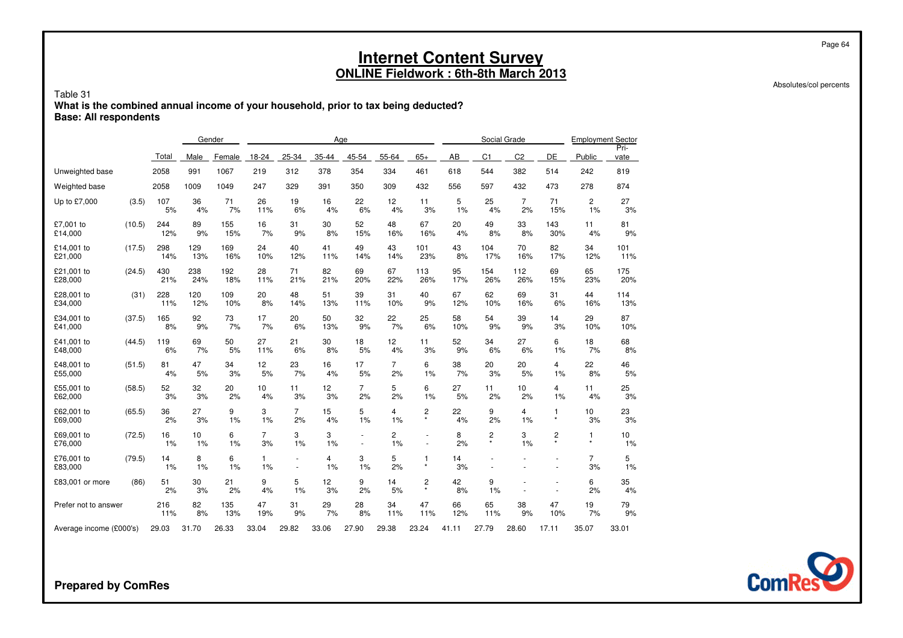#### Table 31 **What is the combined annual income of your household, prior to tax being deducted?Base: All respondents**

|                                  |        |           |          | Gender   |                      |                          | Age                  |                  |                         |              |          |                | Social Grade         |           | <b>Employment Sector</b>    |              |  |
|----------------------------------|--------|-----------|----------|----------|----------------------|--------------------------|----------------------|------------------|-------------------------|--------------|----------|----------------|----------------------|-----------|-----------------------------|--------------|--|
|                                  |        | Total     | Male     | Female   | 18-24                | 25-34                    | 35-44                | 45-54            | 55-64                   | $65+$        | AB       | C <sub>1</sub> | C <sub>2</sub>       | DE        | Public                      | Pri-<br>vate |  |
| Unweighted base                  |        | 2058      | 991      | 1067     | 219                  | 312                      | 378                  | 354              | 334                     | 461          | 618      | 544            | 382                  | 514       | 242                         | 819          |  |
| Weighted base                    |        | 2058      | 1009     | 1049     | 247                  | 329                      | 391                  | 350              | 309                     | 432          | 556      | 597            | 432                  | 473       | 278                         | 874          |  |
| Up to £7,000                     | (3.5)  | 107<br>5% | 36<br>4% | 71<br>7% | 26<br>11%            | 19<br>6%                 | 16<br>4%             | 22<br>6%         | $12 \overline{ }$<br>4% | 11<br>3%     | 5<br>1%  | 25<br>4%       | $\overline{7}$<br>2% | 71<br>15% | $\mathbf{2}^{\prime}$<br>1% | 27<br>3%     |  |
| £7,001 to                        | (10.5) | 244       | 89       | 155      | 16                   | 31                       | 30                   | 52               | 48                      | 67           | 20       | 49             | 33                   | 143       | 11                          | 81           |  |
| £14,000                          |        | 12%       | 9%       | 15%      | 7%                   | 9%                       | 8%                   | 15%              | 16%                     | 16%          | 4%       | 8%             | 8%                   | 30%       | 4%                          | 9%           |  |
| £14.001 to                       | (17.5) | 298       | 129      | 169      | 24                   | 40                       | 41                   | 49               | 43                      | 101          | 43       | 104            | 70                   | 82        | 34                          | 101          |  |
| £21,000                          |        | 14%       | 13%      | 16%      | 10%                  | 12%                      | 11%                  | 14%              | 14%                     | 23%          | 8%       | 17%            | 16%                  | 17%       | 12%                         | 11%          |  |
| £21,001 to                       | (24.5) | 430       | 238      | 192      | 28                   | 71                       | 82                   | 69               | 67                      | 113          | 95       | 154            | 112                  | 69        | 65                          | 175          |  |
| £28,000                          |        | 21%       | 24%      | 18%      | 11%                  | 21%                      | 21%                  | 20%              | 22%                     | 26%          | 17%      | 26%            | 26%                  | 15%       | 23%                         | 20%          |  |
| £28,001 to                       | (31)   | 228       | 120      | 109      | 20                   | 48                       | 51                   | 39               | 31                      | 40           | 67       | 62             | 69                   | 31        | 44                          | 114          |  |
| £34,000                          |        | 11%       | 12%      | 10%      | 8%                   | 14%                      | 13%                  | 11%              | 10%                     | 9%           | 12%      | 10%            | 16%                  | 6%        | 16%                         | 13%          |  |
| £34,001 to                       | (37.5) | 165       | 92       | 73       | 17                   | 20                       | 50                   | 32               | 22                      | 25           | 58       | 54             | 39                   | 14        | 29                          | 87           |  |
| £41,000                          |        | 8%        | 9%       | 7%       | 7%                   | 6%                       | 13%                  | 9%               | 7%                      | 6%           | 10%      | 9%             | 9%                   | 3%        | 10%                         | 10%          |  |
| £41,001 to                       | (44.5) | 119       | 69       | 50       | 27                   | 21                       | 30                   | 18               | 12                      | 11           | 52       | 34             | 27                   | 6         | 18                          | 68           |  |
| £48,000                          |        | 6%        | 7%       | 5%       | 11%                  | 6%                       | 8%                   | 5%               | 4%                      | 3%           | 9%       | 6%             | 6%                   | 1%        | 7%                          | 8%           |  |
| £48,001 to                       | (51.5) | 81        | 47       | 34       | 12                   | 23                       | 16                   | 17               | $\overline{7}$          | 6            | 38       | 20             | 20                   | 4         | 22                          | 46           |  |
| £55,000                          |        | 4%        | 5%       | 3%       | 5%                   | 7%                       | 4%                   | 5%               | 2%                      | 1%           | 7%       | 3%             | 5%                   | 1%        | 8%                          | 5%           |  |
| £55,001 to                       | (58.5) | 52        | 32       | 20       | 10                   | 11                       | 12                   | $\overline{7}$   | 5                       | 6            | 27       | 11             | 10                   | 4         | 11                          | 25           |  |
| £62,000                          |        | 3%        | 3%       | 2%       | 4%                   | 3%                       | 3%                   | 2%               | 2%                      | 1%           | 5%       | 2%             | 2%                   | 1%        | 4%                          | 3%           |  |
| £62,001 to                       | (65.5) | 36        | 27       | 9        | 3                    | $\overline{7}$           | 15                   | 5                | 4                       | 2            | 22       | 9              | 4                    | 1         | 10                          | 23           |  |
| £69,000                          |        | 2%        | 3%       | 1%       | 1%                   | 2%                       | 4%                   | 1%               | 1%                      | $\star$      | 4%       | 2%             | 1%                   | $\star$   | 3%                          | 3%           |  |
| £69,001 to<br>£76,000            | (72.5) | 16<br>1%  | 10<br>1% | 6<br>1%  | $\overline{7}$<br>3% | 3<br>1%                  | 3<br>1%              | $\sim$<br>$\sim$ | $\overline{c}$<br>1%    | ٠<br>٠       | 8<br>2%  | 2<br>$\star$   | 3<br>1%              | 2         | 1<br>$\star$                | 10<br>1%     |  |
| £76,001 to<br>£83,000            | (79.5) | 14<br>1%  | 8<br>1%  | 6<br>1%  | $\mathbf{1}$<br>1%   | $\overline{\phantom{a}}$ | $\overline{4}$<br>1% | 3<br>1%          | 5<br>2%                 | 1<br>$\star$ | 14<br>3% | ÷.             |                      | ÷,        | $\overline{7}$<br>3%        | 5<br>1%      |  |
| £83,001 or more                  | (86)   | 51<br>2%  | 30<br>3% | 21<br>2% | 9<br>4%              | 5<br>1%                  | 12<br>3%             | 9<br>2%          | 14<br>5%                | 2<br>$\star$ | 42<br>8% | 9<br>1%        |                      |           | 6<br>2%                     | 35<br>4%     |  |
| Prefer not to answer             |        | 216       | 82       | 135      | 47                   | 31                       | 29                   | 28               | 34                      | 47           | 66       | 65             | 38                   | 47        | 19                          | 79           |  |
|                                  |        | 11%       | 8%       | 13%      | 19%                  | 9%                       | 7%                   | 8%               | 11%                     | 11%          | 12%      | 11%            | 9%                   | 10%       | 7%                          | 9%           |  |
| Average income (£000's)<br>29.03 |        |           | 31.70    | 26.33    | 33.04                | 29.82                    | 33.06                | 27.90            | 29.38                   | 23.24        | 41.11    | 27.79          | 28.60                | 17.11     | 35.07                       | 33.01        |  |



**Prepared by ComRes**

Page 64

Absolutes/col percents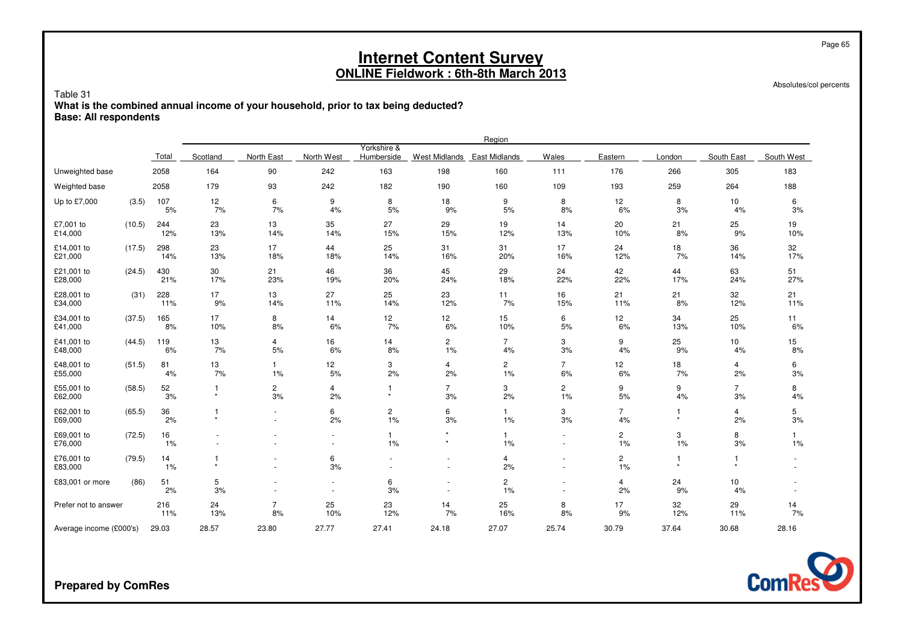Absolutes/col percents

Page 65

Table 31 **What is the combined annual income of your household, prior to tax being deducted?Base: All respondents**

|                         |        |            |               |                          |            |                           |                      | Region                        |                          |                             |           |                      |                    |
|-------------------------|--------|------------|---------------|--------------------------|------------|---------------------------|----------------------|-------------------------------|--------------------------|-----------------------------|-----------|----------------------|--------------------|
|                         |        | Total      | Scotland      | North East               | North West | Yorkshire &<br>Humberside | <b>West Midlands</b> | <b>East Midlands</b>          | Wales                    | Eastern                     | London    | South East           | South West         |
| Unweighted base         |        | 2058       | 164           | 90                       | 242        | 163                       | 198                  | 160                           | 111                      | 176                         | 266       | 305                  | 183                |
| Weighted base           |        | 2058       | 179           | 93                       | 242        | 182                       | 190                  | 160                           | 109                      | 193                         | 259       | 264                  | 188                |
| Up to £7,000            | (3.5)  | 107<br>5%  | 12<br>7%      | 6<br>7%                  | 9<br>4%    | 8<br>5%                   | 18<br>9%             | 9<br>5%                       | 8<br>8%                  | 12<br>6%                    | 8<br>3%   | 10<br>4%             | 6<br>3%            |
| £7,001 to<br>£14,000    | (10.5) | 244<br>12% | 23<br>13%     | 13<br>14%                | 35<br>14%  | 27<br>15%                 | 29<br>15%            | 19<br>12%                     | 14<br>13%                | 20<br>10%                   | 21<br>8%  | 25<br>9%             | 19<br>10%          |
| £14,001 to<br>£21,000   | (17.5) | 298<br>14% | 23<br>13%     | 17<br>18%                | 44<br>18%  | 25<br>14%                 | 31<br>16%            | 31<br>20%                     | 17<br>16%                | 24<br>12%                   | 18<br>7%  | 36<br>14%            | 32<br>17%          |
| £21,001 to<br>£28,000   | (24.5) | 430<br>21% | 30<br>17%     | 21<br>23%                | 46<br>19%  | 36<br>20%                 | 45<br>24%            | 29<br>18%                     | 24<br>22%                | 42<br>22%                   | 44<br>17% | 63<br>24%            | 51<br>27%          |
| £28,001 to<br>£34,000   | (31)   | 228<br>11% | 17<br>9%      | 13<br>14%                | 27<br>11%  | 25<br>14%                 | 23<br>12%            | 11<br>7%                      | 16<br>15%                | 21<br>11%                   | 21<br>8%  | 32<br>12%            | 21<br>11%          |
| £34,001 to<br>£41,000   | (37.5) | 165<br>8%  | 17<br>10%     | 8<br>8%                  | 14<br>6%   | 12<br>7%                  | 12<br>6%             | 15<br>10%                     | 6<br>5%                  | 12<br>6%                    | 34<br>13% | 25<br>10%            | 11<br>6%           |
| £41,001 to<br>£48,000   | (44.5) | 119<br>6%  | 13<br>7%      | 4<br>5%                  | 16<br>6%   | 14<br>8%                  | $\overline{c}$<br>1% | $\overline{7}$<br>4%          | 3<br>3%                  | 9<br>4%                     | 25<br>9%  | 10<br>4%             | 15<br>8%           |
| £48,001 to<br>£55,000   | (51.5) | 81<br>4%   | 13<br>7%      | 1<br>1%                  | 12<br>5%   | 3<br>2%                   | 4<br>2%              | $\overline{\mathbf{c}}$<br>1% | $\overline{7}$<br>6%     | 12<br>6%                    | 18<br>7%  | 4<br>2%              | 6<br>3%            |
| £55,001 to<br>£62,000   | (58.5) | 52<br>3%   | -1<br>$\star$ | $\overline{c}$<br>3%     | 4<br>2%    | 1<br>$\star$              | $\overline{7}$<br>3% | 3<br>2%                       | $\overline{c}$<br>1%     | 9<br>5%                     | 9<br>4%   | $\overline{7}$<br>3% | 8<br>4%            |
| £62,001 to<br>£69,000   | (65.5) | 36<br>2%   |               | $\overline{\phantom{a}}$ | 6<br>2%    | $\overline{c}$<br>1%      | 6<br>3%              | 1<br>1%                       | 3<br>3%                  | 7<br>4%                     | $\star$   | 4<br>2%              | 5<br>3%            |
| £69,001 to<br>£76,000   | (72.5) | 16<br>1%   |               |                          | ٠          | $\mathbf{1}$<br>1%        | $\star$              | $\mathbf{1}$<br>1%            | $\overline{\phantom{a}}$ | $\overline{c}$<br>1%        | 3<br>1%   | 8<br>3%              | $\mathbf{1}$<br>1% |
| £76,001 to<br>£83,000   | (79.5) | 14<br>1%   |               |                          | 6<br>3%    |                           | ٠                    | $\overline{4}$<br>2%          | $\blacksquare$           | $\mathbf{2}^{\prime}$<br>1% |           | 1<br>$\star$         |                    |
| £83,001 or more         | (86)   | 51<br>2%   | 5<br>3%       |                          |            | 6<br>3%                   | ٠<br>$\sim$          | 2<br>1%                       | $\blacksquare$           | 4<br>2%                     | 24<br>9%  | 10<br>4%             |                    |
| Prefer not to answer    |        | 216<br>11% | 24<br>13%     | $\overline{7}$<br>8%     | 25<br>10%  | 23<br>12%                 | 14<br>7%             | 25<br>16%                     | 8<br>8%                  | 17<br>9%                    | 32<br>12% | 29<br>11%            | 14<br>7%           |
| Average income (£000's) |        | 29.03      | 28.57         | 23.80                    | 27.77      | 27.41                     | 24.18                | 27.07                         | 25.74                    | 30.79                       | 37.64     | 30.68                | 28.16              |

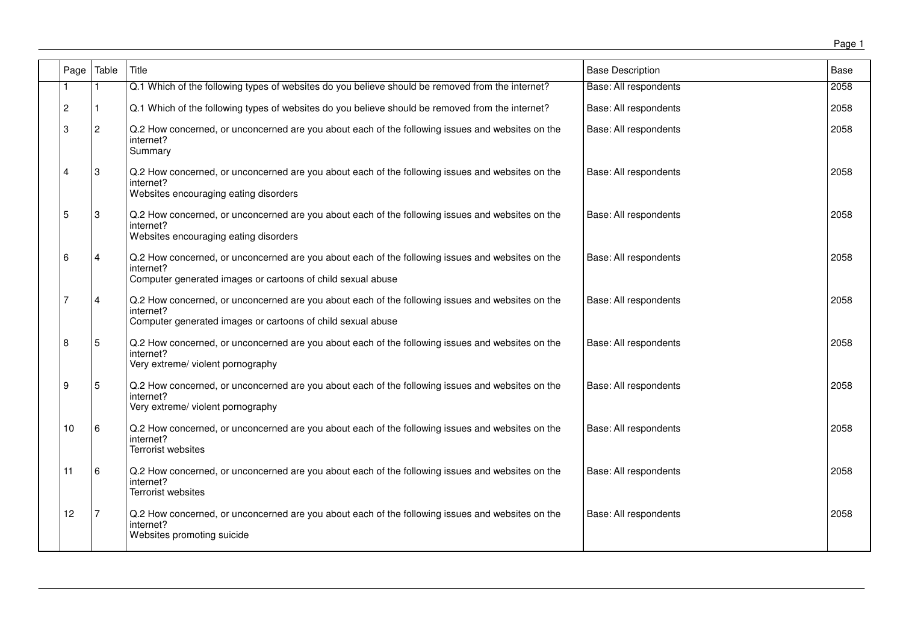| Page           | Table          | Title                                                                                                                                                                        | <b>Base Description</b>      | Base |
|----------------|----------------|------------------------------------------------------------------------------------------------------------------------------------------------------------------------------|------------------------------|------|
|                |                | Q.1 Which of the following types of websites do you believe should be removed from the internet?                                                                             | <b>Base: All respondents</b> | 2058 |
| $\overline{c}$ |                | Q.1 Which of the following types of websites do you believe should be removed from the internet?                                                                             | Base: All respondents        | 2058 |
| 3              | $\overline{c}$ | Q.2 How concerned, or unconcerned are you about each of the following issues and websites on the<br>internet?<br>Summary                                                     | Base: All respondents        | 2058 |
| 4              | 3              | Q.2 How concerned, or unconcerned are you about each of the following issues and websites on the<br>internet?<br>Websites encouraging eating disorders                       | Base: All respondents        | 2058 |
| 5              | 3              | Q.2 How concerned, or unconcerned are you about each of the following issues and websites on the<br>internet?<br>Websites encouraging eating disorders                       | Base: All respondents        | 2058 |
| 6              | 4              | Q.2 How concerned, or unconcerned are you about each of the following issues and websites on the<br>internet?<br>Computer generated images or cartoons of child sexual abuse | Base: All respondents        | 2058 |
| 7              | 4              | Q.2 How concerned, or unconcerned are you about each of the following issues and websites on the<br>internet?<br>Computer generated images or cartoons of child sexual abuse | Base: All respondents        | 2058 |
| 8              | 5              | Q.2 How concerned, or unconcerned are you about each of the following issues and websites on the<br>internet?<br>Very extreme/ violent pornography                           | Base: All respondents        | 2058 |
| 9              | 5              | Q.2 How concerned, or unconcerned are you about each of the following issues and websites on the<br>internet?<br>Very extreme/ violent pornography                           | Base: All respondents        | 2058 |
| 10             | 6              | Q.2 How concerned, or unconcerned are you about each of the following issues and websites on the<br>internet?<br>Terrorist websites                                          | Base: All respondents        | 2058 |
| 11             | 6              | Q.2 How concerned, or unconcerned are you about each of the following issues and websites on the<br>internet?<br>Terrorist websites                                          | Base: All respondents        | 2058 |
| 12             | 7              | Q.2 How concerned, or unconcerned are you about each of the following issues and websites on the<br>internet?<br>Websites promoting suicide                                  | Base: All respondents        | 2058 |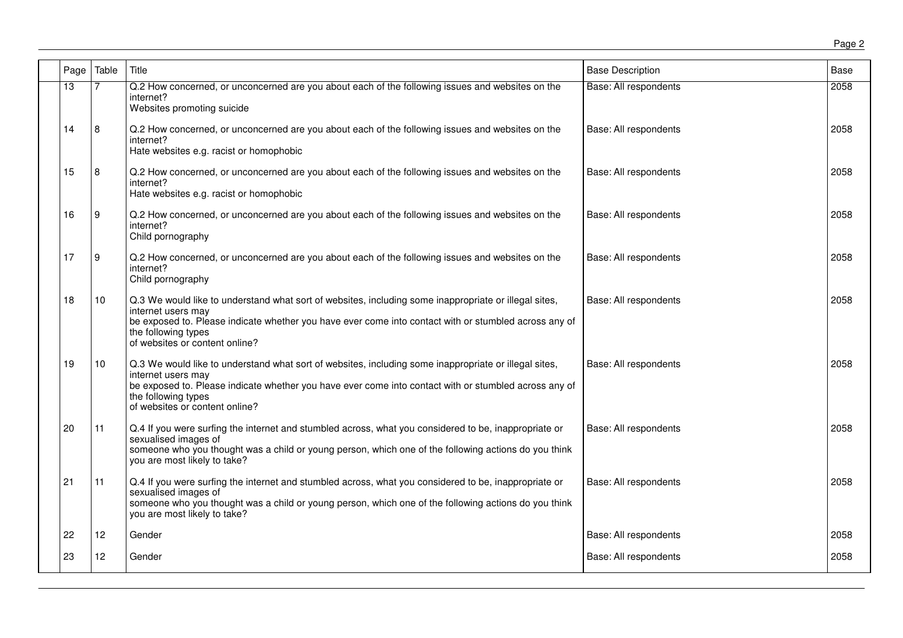|--|--|

| Page | Table           | Title                                                                                                                                                                                                                                                                                         | <b>Base Description</b> | Base |
|------|-----------------|-----------------------------------------------------------------------------------------------------------------------------------------------------------------------------------------------------------------------------------------------------------------------------------------------|-------------------------|------|
| 13   |                 | Q.2 How concerned, or unconcerned are you about each of the following issues and websites on the<br>internet?<br>Websites promoting suicide                                                                                                                                                   | Base: All respondents   | 2058 |
| 14   | 8               | Q.2 How concerned, or unconcerned are you about each of the following issues and websites on the<br>internet?<br>Hate websites e.g. racist or homophobic                                                                                                                                      | Base: All respondents   | 2058 |
| 15   | 8               | Q.2 How concerned, or unconcerned are you about each of the following issues and websites on the<br>internet?<br>Hate websites e.g. racist or homophobic                                                                                                                                      | Base: All respondents   | 2058 |
| 16   | 9               | Q.2 How concerned, or unconcerned are you about each of the following issues and websites on the<br>internet?<br>Child pornography                                                                                                                                                            | Base: All respondents   | 2058 |
| 17   | 9               | Q.2 How concerned, or unconcerned are you about each of the following issues and websites on the<br>internet?<br>Child pornography                                                                                                                                                            | Base: All respondents   | 2058 |
| 18   | 10              | Q.3 We would like to understand what sort of websites, including some inappropriate or illegal sites,<br>internet users may<br>be exposed to. Please indicate whether you have ever come into contact with or stumbled across any of<br>the following types<br>of websites or content online? | Base: All respondents   | 2058 |
| 19   | 10 <sup>1</sup> | Q.3 We would like to understand what sort of websites, including some inappropriate or illegal sites,<br>internet users may<br>be exposed to. Please indicate whether you have ever come into contact with or stumbled across any of<br>the following types<br>of websites or content online? | Base: All respondents   | 2058 |
| 20   | 11              | Q.4 If you were surfing the internet and stumbled across, what you considered to be, inappropriate or<br>sexualised images of<br>someone who you thought was a child or young person, which one of the following actions do you think<br>you are most likely to take?                         | Base: All respondents   | 2058 |
| 21   | 11              | Q.4 If you were surfing the internet and stumbled across, what you considered to be, inappropriate or<br>sexualised images of<br>someone who you thought was a child or young person, which one of the following actions do you think<br>you are most likely to take?                         | Base: All respondents   | 2058 |
| 22   | 12              | Gender                                                                                                                                                                                                                                                                                        | Base: All respondents   | 2058 |
| 23   | 12              | Gender                                                                                                                                                                                                                                                                                        | Base: All respondents   | 2058 |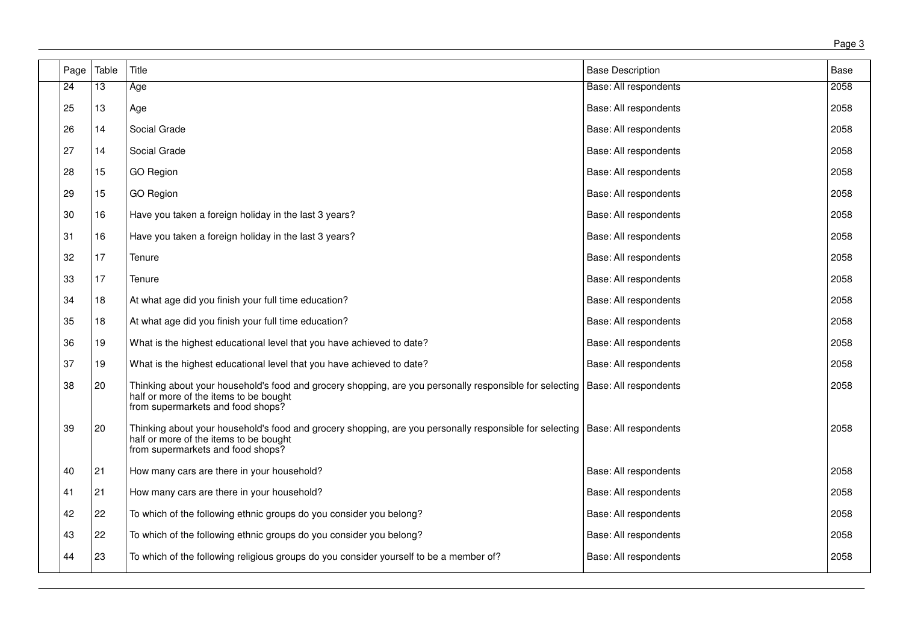| Page            | Table           | Title                                                                                                                                                                                                          | <b>Base Description</b>      | <b>Base</b> |
|-----------------|-----------------|----------------------------------------------------------------------------------------------------------------------------------------------------------------------------------------------------------------|------------------------------|-------------|
| $\overline{24}$ | $\overline{13}$ | Age                                                                                                                                                                                                            | <b>Base: All respondents</b> | 2058        |
| 25              | 13              | Age                                                                                                                                                                                                            | Base: All respondents        | 2058        |
| 26              | 14              | Social Grade                                                                                                                                                                                                   | Base: All respondents        | 2058        |
| 27              | 14              | Social Grade                                                                                                                                                                                                   | Base: All respondents        | 2058        |
| 28              | 15              | <b>GO Region</b>                                                                                                                                                                                               | Base: All respondents        | 2058        |
| 29              | 15              | <b>GO Region</b>                                                                                                                                                                                               | Base: All respondents        | 2058        |
| 30              | 16              | Have you taken a foreign holiday in the last 3 years?                                                                                                                                                          | Base: All respondents        | 2058        |
| 31              | 16              | Have you taken a foreign holiday in the last 3 years?                                                                                                                                                          | Base: All respondents        | 2058        |
| 32              | 17              | Tenure                                                                                                                                                                                                         | Base: All respondents        | 2058        |
| 33              | 17              | Tenure                                                                                                                                                                                                         | Base: All respondents        | 2058        |
| 34              | 18              | At what age did you finish your full time education?                                                                                                                                                           | Base: All respondents        | 2058        |
| 35              | 18              | At what age did you finish your full time education?                                                                                                                                                           | Base: All respondents        | 2058        |
| 36              | 19              | What is the highest educational level that you have achieved to date?                                                                                                                                          | Base: All respondents        | 2058        |
| 37              | 19              | What is the highest educational level that you have achieved to date?                                                                                                                                          | Base: All respondents        | 2058        |
| 38              | 20              | Thinking about your household's food and grocery shopping, are you personally responsible for selecting   Base: All respondents<br>half or more of the items to be bought<br>from supermarkets and food shops? |                              | 2058        |
| 39              | 20              | Thinking about your household's food and grocery shopping, are you personally responsible for selecting   Base: All respondents<br>half or more of the items to be bought<br>from supermarkets and food shops? |                              | 2058        |
| 40              | 21              | How many cars are there in your household?                                                                                                                                                                     | Base: All respondents        | 2058        |
| 41              | 21              | How many cars are there in your household?                                                                                                                                                                     | Base: All respondents        | 2058        |
| 42              | 22              | To which of the following ethnic groups do you consider you belong?                                                                                                                                            | Base: All respondents        | 2058        |
| 43              | 22              | To which of the following ethnic groups do you consider you belong?                                                                                                                                            | Base: All respondents        | 2058        |
| 44              | 23              | To which of the following religious groups do you consider yourself to be a member of?                                                                                                                         | Base: All respondents        | 2058        |
|                 |                 |                                                                                                                                                                                                                |                              |             |